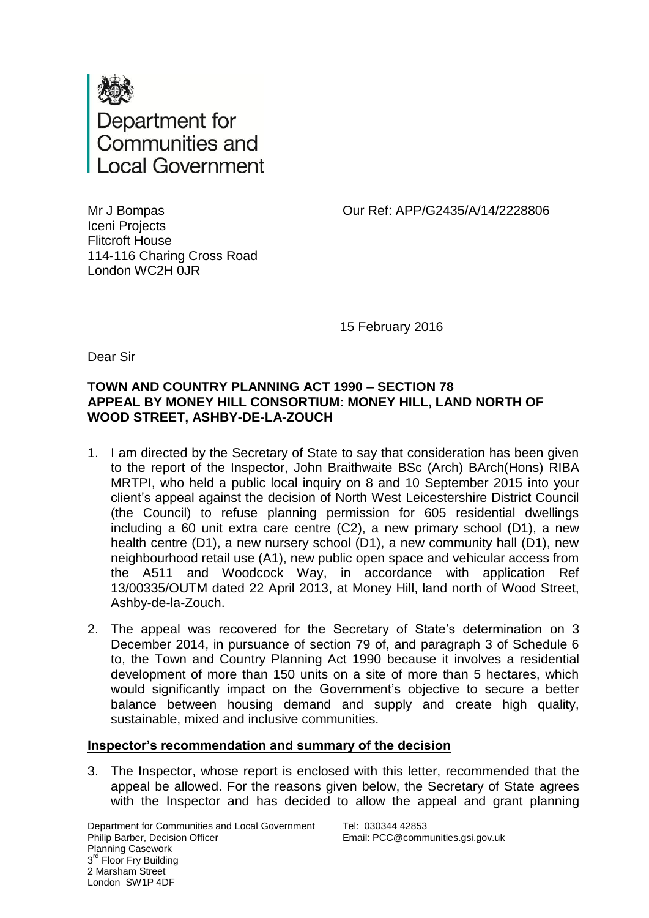

Our Ref: APP/G2435/A/14/2228806

Mr J Bompas Iceni Projects Flitcroft House 114-116 Charing Cross Road London WC2H 0JR

15 February 2016

Dear Sir

## **TOWN AND COUNTRY PLANNING ACT 1990 – SECTION 78 APPEAL BY MONEY HILL CONSORTIUM: MONEY HILL, LAND NORTH OF WOOD STREET, ASHBY-DE-LA-ZOUCH**

- 1. I am directed by the Secretary of State to say that consideration has been given to the report of the Inspector, John Braithwaite BSc (Arch) BArch(Hons) RIBA MRTPI, who held a public local inquiry on 8 and 10 September 2015 into your client's appeal against the decision of North West Leicestershire District Council (the Council) to refuse planning permission for 605 residential dwellings including a 60 unit extra care centre (C2), a new primary school (D1), a new health centre (D1), a new nursery school (D1), a new community hall (D1), new neighbourhood retail use (A1), new public open space and vehicular access from the A511 and Woodcock Way, in accordance with application Ref 13/00335/OUTM dated 22 April 2013, at Money Hill, land north of Wood Street, Ashby-de-la-Zouch.
- 2. The appeal was recovered for the Secretary of State's determination on 3 December 2014, in pursuance of section 79 of, and paragraph 3 of Schedule 6 to, the Town and Country Planning Act 1990 because it involves a residential development of more than 150 units on a site of more than 5 hectares, which would significantly impact on the Government's objective to secure a better balance between housing demand and supply and create high quality, sustainable, mixed and inclusive communities.

## **Inspector's recommendation and summary of the decision**

3. The Inspector, whose report is enclosed with this letter, recommended that the appeal be allowed. For the reasons given below, the Secretary of State agrees with the Inspector and has decided to allow the appeal and grant planning

Department for Communities and Local Government Philip Barber, Decision Officer Planning Casework 3<sup>rd</sup> Floor Fry Building 2 Marsham Street London SW1P 4DF

Tel: 030344 42853 Email: PCC@communities.gsi.gov.uk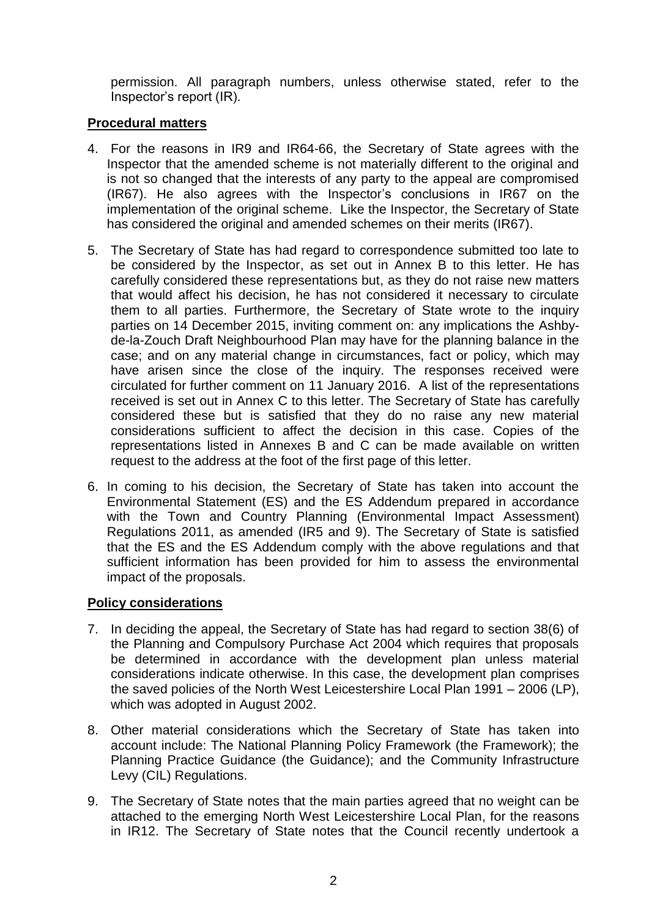permission. All paragraph numbers, unless otherwise stated, refer to the Inspector's report (IR).

## **Procedural matters**

- 4. For the reasons in IR9 and IR64-66, the Secretary of State agrees with the Inspector that the amended scheme is not materially different to the original and is not so changed that the interests of any party to the appeal are compromised (IR67). He also agrees with the Inspector's conclusions in IR67 on the implementation of the original scheme. Like the Inspector, the Secretary of State has considered the original and amended schemes on their merits (IR67).
- 5. The Secretary of State has had regard to correspondence submitted too late to be considered by the Inspector, as set out in Annex B to this letter. He has carefully considered these representations but, as they do not raise new matters that would affect his decision, he has not considered it necessary to circulate them to all parties. Furthermore, the Secretary of State wrote to the inquiry parties on 14 December 2015, inviting comment on: any implications the Ashbyde-la-Zouch Draft Neighbourhood Plan may have for the planning balance in the case; and on any material change in circumstances, fact or policy, which may have arisen since the close of the inquiry. The responses received were circulated for further comment on 11 January 2016. A list of the representations received is set out in Annex C to this letter. The Secretary of State has carefully considered these but is satisfied that they do no raise any new material considerations sufficient to affect the decision in this case. Copies of the representations listed in Annexes B and C can be made available on written request to the address at the foot of the first page of this letter.
- 6. In coming to his decision, the Secretary of State has taken into account the Environmental Statement (ES) and the ES Addendum prepared in accordance with the Town and Country Planning (Environmental Impact Assessment) Regulations 2011, as amended (IR5 and 9). The Secretary of State is satisfied that the ES and the ES Addendum comply with the above regulations and that sufficient information has been provided for him to assess the environmental impact of the proposals.

## **Policy considerations**

- 7. In deciding the appeal, the Secretary of State has had regard to section 38(6) of the Planning and Compulsory Purchase Act 2004 which requires that proposals be determined in accordance with the development plan unless material considerations indicate otherwise. In this case, the development plan comprises the saved policies of the North West Leicestershire Local Plan 1991 – 2006 (LP), which was adopted in August 2002.
- 8. Other material considerations which the Secretary of State has taken into account include: The National Planning Policy Framework (the Framework); the Planning Practice Guidance (the Guidance); and the Community Infrastructure Levy (CIL) Regulations.
- 9. The Secretary of State notes that the main parties agreed that no weight can be attached to the emerging North West Leicestershire Local Plan, for the reasons in IR12. The Secretary of State notes that the Council recently undertook a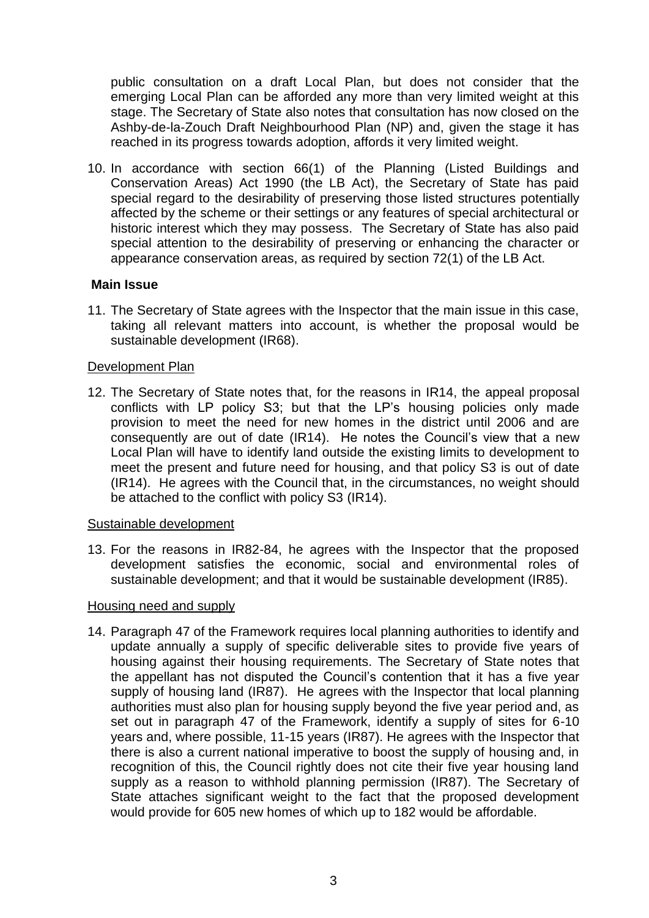public consultation on a draft Local Plan, but does not consider that the emerging Local Plan can be afforded any more than very limited weight at this stage. The Secretary of State also notes that consultation has now closed on the Ashby-de-la-Zouch Draft Neighbourhood Plan (NP) and, given the stage it has reached in its progress towards adoption, affords it very limited weight.

10. In accordance with section 66(1) of the Planning (Listed Buildings and Conservation Areas) Act 1990 (the LB Act), the Secretary of State has paid special regard to the desirability of preserving those listed structures potentially affected by the scheme or their settings or any features of special architectural or historic interest which they may possess. The Secretary of State has also paid special attention to the desirability of preserving or enhancing the character or appearance conservation areas, as required by section 72(1) of the LB Act.

## **Main Issue**

11. The Secretary of State agrees with the Inspector that the main issue in this case, taking all relevant matters into account, is whether the proposal would be sustainable development (IR68).

## Development Plan

12. The Secretary of State notes that, for the reasons in IR14, the appeal proposal conflicts with LP policy S3; but that the LP's housing policies only made provision to meet the need for new homes in the district until 2006 and are consequently are out of date (IR14). He notes the Council's view that a new Local Plan will have to identify land outside the existing limits to development to meet the present and future need for housing, and that policy S3 is out of date (IR14). He agrees with the Council that, in the circumstances, no weight should be attached to the conflict with policy S3 (IR14).

## Sustainable development

13. For the reasons in IR82-84, he agrees with the Inspector that the proposed development satisfies the economic, social and environmental roles of sustainable development; and that it would be sustainable development (IR85).

## Housing need and supply

14. Paragraph 47 of the Framework requires local planning authorities to identify and update annually a supply of specific deliverable sites to provide five years of housing against their housing requirements. The Secretary of State notes that the appellant has not disputed the Council's contention that it has a five year supply of housing land (IR87). He agrees with the Inspector that local planning authorities must also plan for housing supply beyond the five year period and, as set out in paragraph 47 of the Framework, identify a supply of sites for 6-10 years and, where possible, 11-15 years (IR87). He agrees with the Inspector that there is also a current national imperative to boost the supply of housing and, in recognition of this, the Council rightly does not cite their five year housing land supply as a reason to withhold planning permission (IR87). The Secretary of State attaches significant weight to the fact that the proposed development would provide for 605 new homes of which up to 182 would be affordable.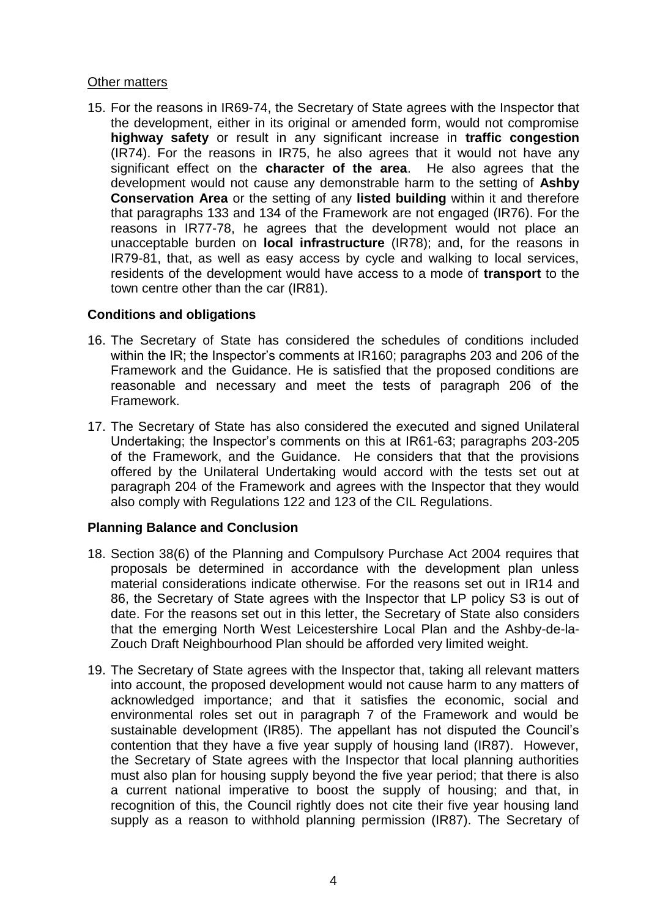## Other matters

15. For the reasons in IR69-74, the Secretary of State agrees with the Inspector that the development, either in its original or amended form, would not compromise **highway safety** or result in any significant increase in **traffic congestion** (IR74). For the reasons in IR75, he also agrees that it would not have any significant effect on the **character of the area**. He also agrees that the development would not cause any demonstrable harm to the setting of **Ashby Conservation Area** or the setting of any **listed building** within it and therefore that paragraphs 133 and 134 of the Framework are not engaged (IR76). For the reasons in IR77-78, he agrees that the development would not place an unacceptable burden on **local infrastructure** (IR78); and, for the reasons in IR79-81, that, as well as easy access by cycle and walking to local services, residents of the development would have access to a mode of **transport** to the town centre other than the car (IR81).

## **Conditions and obligations**

- 16. The Secretary of State has considered the schedules of conditions included within the IR; the Inspector's comments at IR160; paragraphs 203 and 206 of the Framework and the Guidance. He is satisfied that the proposed conditions are reasonable and necessary and meet the tests of paragraph 206 of the Framework.
- 17. The Secretary of State has also considered the executed and signed Unilateral Undertaking; the Inspector's comments on this at IR61-63; paragraphs 203-205 of the Framework, and the Guidance. He considers that that the provisions offered by the Unilateral Undertaking would accord with the tests set out at paragraph 204 of the Framework and agrees with the Inspector that they would also comply with Regulations 122 and 123 of the CIL Regulations.

## **Planning Balance and Conclusion**

- 18. Section 38(6) of the Planning and Compulsory Purchase Act 2004 requires that proposals be determined in accordance with the development plan unless material considerations indicate otherwise. For the reasons set out in IR14 and 86, the Secretary of State agrees with the Inspector that LP policy S3 is out of date. For the reasons set out in this letter, the Secretary of State also considers that the emerging North West Leicestershire Local Plan and the Ashby-de-la-Zouch Draft Neighbourhood Plan should be afforded very limited weight.
- 19. The Secretary of State agrees with the Inspector that, taking all relevant matters into account, the proposed development would not cause harm to any matters of acknowledged importance; and that it satisfies the economic, social and environmental roles set out in paragraph 7 of the Framework and would be sustainable development (IR85). The appellant has not disputed the Council's contention that they have a five year supply of housing land (IR87). However, the Secretary of State agrees with the Inspector that local planning authorities must also plan for housing supply beyond the five year period; that there is also a current national imperative to boost the supply of housing; and that, in recognition of this, the Council rightly does not cite their five year housing land supply as a reason to withhold planning permission (IR87). The Secretary of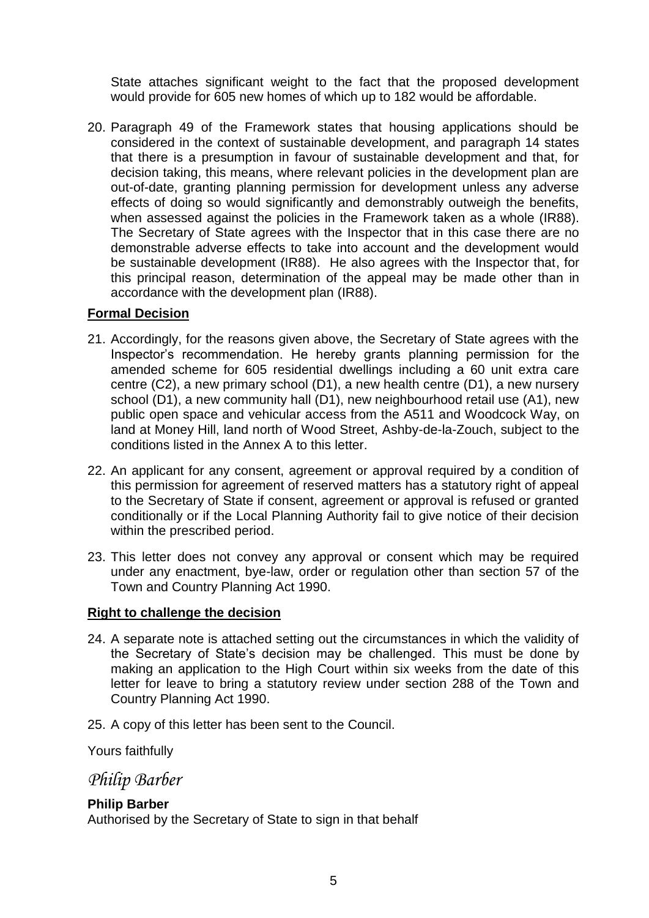State attaches significant weight to the fact that the proposed development would provide for 605 new homes of which up to 182 would be affordable.

20. Paragraph 49 of the Framework states that housing applications should be considered in the context of sustainable development, and paragraph 14 states that there is a presumption in favour of sustainable development and that, for decision taking, this means, where relevant policies in the development plan are out-of-date, granting planning permission for development unless any adverse effects of doing so would significantly and demonstrably outweigh the benefits, when assessed against the policies in the Framework taken as a whole (IR88). The Secretary of State agrees with the Inspector that in this case there are no demonstrable adverse effects to take into account and the development would be sustainable development (IR88). He also agrees with the Inspector that, for this principal reason, determination of the appeal may be made other than in accordance with the development plan (IR88).

## **Formal Decision**

- 21. Accordingly, for the reasons given above, the Secretary of State agrees with the Inspector's recommendation. He hereby grants planning permission for the amended scheme for 605 residential dwellings including a 60 unit extra care centre (C2), a new primary school (D1), a new health centre (D1), a new nursery school (D1), a new community hall (D1), new neighbourhood retail use (A1), new public open space and vehicular access from the A511 and Woodcock Way, on land at Money Hill, land north of Wood Street, Ashby-de-la-Zouch, subject to the conditions listed in the Annex A to this letter.
- 22. An applicant for any consent, agreement or approval required by a condition of this permission for agreement of reserved matters has a statutory right of appeal to the Secretary of State if consent, agreement or approval is refused or granted conditionally or if the Local Planning Authority fail to give notice of their decision within the prescribed period.
- 23. This letter does not convey any approval or consent which may be required under any enactment, bye-law, order or regulation other than section 57 of the Town and Country Planning Act 1990.

## **Right to challenge the decision**

- 24. A separate note is attached setting out the circumstances in which the validity of the Secretary of State's decision may be challenged. This must be done by making an application to the High Court within six weeks from the date of this letter for leave to bring a statutory review under section 288 of the Town and Country Planning Act 1990.
- 25. A copy of this letter has been sent to the Council.

Yours faithfully

*Philip Barber*

## **Philip Barber**

Authorised by the Secretary of State to sign in that behalf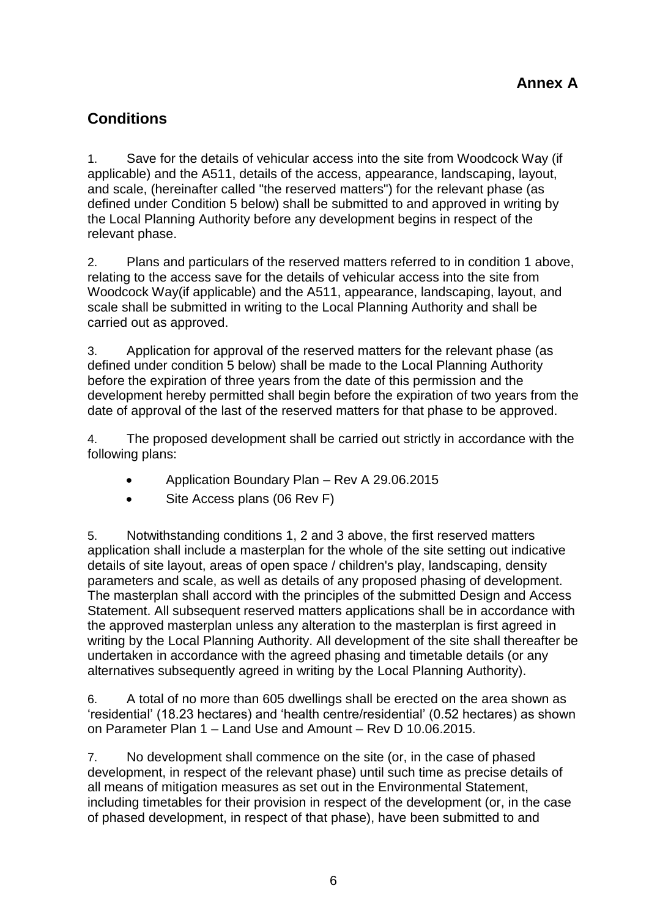## **Conditions**

1. Save for the details of vehicular access into the site from Woodcock Way (if applicable) and the A511, details of the access, appearance, landscaping, layout, and scale, (hereinafter called "the reserved matters") for the relevant phase (as defined under Condition 5 below) shall be submitted to and approved in writing by the Local Planning Authority before any development begins in respect of the relevant phase.

2. Plans and particulars of the reserved matters referred to in condition 1 above, relating to the access save for the details of vehicular access into the site from Woodcock Way(if applicable) and the A511, appearance, landscaping, layout, and scale shall be submitted in writing to the Local Planning Authority and shall be carried out as approved.

3. Application for approval of the reserved matters for the relevant phase (as defined under condition 5 below) shall be made to the Local Planning Authority before the expiration of three years from the date of this permission and the development hereby permitted shall begin before the expiration of two years from the date of approval of the last of the reserved matters for that phase to be approved.

4. The proposed development shall be carried out strictly in accordance with the following plans:

- Application Boundary Plan Rev A 29.06.2015
- Site Access plans (06 Rev F)

5. Notwithstanding conditions 1, 2 and 3 above, the first reserved matters application shall include a masterplan for the whole of the site setting out indicative details of site layout, areas of open space / children's play, landscaping, density parameters and scale, as well as details of any proposed phasing of development. The masterplan shall accord with the principles of the submitted Design and Access Statement. All subsequent reserved matters applications shall be in accordance with the approved masterplan unless any alteration to the masterplan is first agreed in writing by the Local Planning Authority. All development of the site shall thereafter be undertaken in accordance with the agreed phasing and timetable details (or any alternatives subsequently agreed in writing by the Local Planning Authority).

6. A total of no more than 605 dwellings shall be erected on the area shown as 'residential' (18.23 hectares) and 'health centre/residential' (0.52 hectares) as shown on Parameter Plan 1 – Land Use and Amount – Rev D 10.06.2015.

7. No development shall commence on the site (or, in the case of phased development, in respect of the relevant phase) until such time as precise details of all means of mitigation measures as set out in the Environmental Statement, including timetables for their provision in respect of the development (or, in the case of phased development, in respect of that phase), have been submitted to and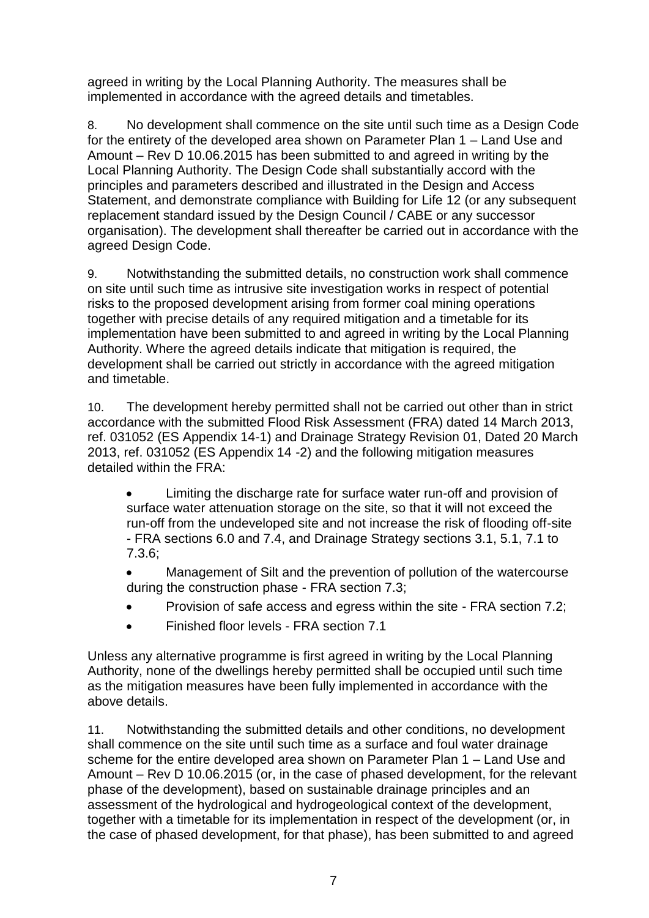agreed in writing by the Local Planning Authority. The measures shall be implemented in accordance with the agreed details and timetables.

8. No development shall commence on the site until such time as a Design Code for the entirety of the developed area shown on Parameter Plan 1 – Land Use and Amount – Rev D 10.06.2015 has been submitted to and agreed in writing by the Local Planning Authority. The Design Code shall substantially accord with the principles and parameters described and illustrated in the Design and Access Statement, and demonstrate compliance with Building for Life 12 (or any subsequent replacement standard issued by the Design Council / CABE or any successor organisation). The development shall thereafter be carried out in accordance with the agreed Design Code.

9. Notwithstanding the submitted details, no construction work shall commence on site until such time as intrusive site investigation works in respect of potential risks to the proposed development arising from former coal mining operations together with precise details of any required mitigation and a timetable for its implementation have been submitted to and agreed in writing by the Local Planning Authority. Where the agreed details indicate that mitigation is required, the development shall be carried out strictly in accordance with the agreed mitigation and timetable.

10. The development hereby permitted shall not be carried out other than in strict accordance with the submitted Flood Risk Assessment (FRA) dated 14 March 2013, ref. 031052 (ES Appendix 14-1) and Drainage Strategy Revision 01, Dated 20 March 2013, ref. 031052 (ES Appendix 14 -2) and the following mitigation measures detailed within the FRA:

 Limiting the discharge rate for surface water run-off and provision of surface water attenuation storage on the site, so that it will not exceed the run-off from the undeveloped site and not increase the risk of flooding off-site - FRA sections 6.0 and 7.4, and Drainage Strategy sections 3.1, 5.1, 7.1 to 7.3.6;

 Management of Silt and the prevention of pollution of the watercourse during the construction phase - FRA section 7.3;

- Provision of safe access and egress within the site FRA section 7.2;
- Finished floor levels FRA section 7.1

Unless any alternative programme is first agreed in writing by the Local Planning Authority, none of the dwellings hereby permitted shall be occupied until such time as the mitigation measures have been fully implemented in accordance with the above details.

11. Notwithstanding the submitted details and other conditions, no development shall commence on the site until such time as a surface and foul water drainage scheme for the entire developed area shown on Parameter Plan 1 – Land Use and Amount – Rev D 10.06.2015 (or, in the case of phased development, for the relevant phase of the development), based on sustainable drainage principles and an assessment of the hydrological and hydrogeological context of the development, together with a timetable for its implementation in respect of the development (or, in the case of phased development, for that phase), has been submitted to and agreed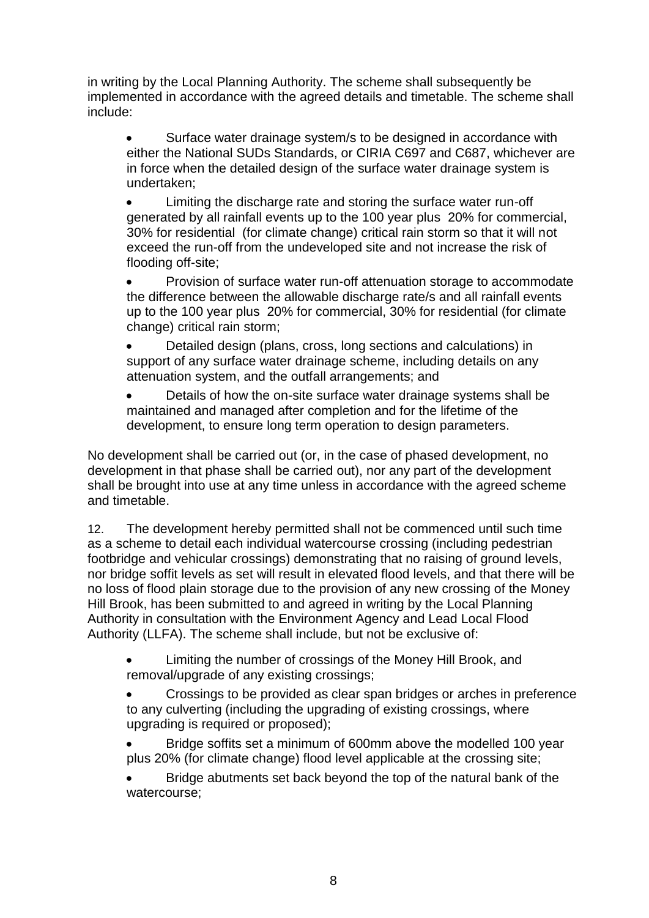in writing by the Local Planning Authority. The scheme shall subsequently be implemented in accordance with the agreed details and timetable. The scheme shall include:

 Surface water drainage system/s to be designed in accordance with either the National SUDs Standards, or CIRIA C697 and C687, whichever are in force when the detailed design of the surface water drainage system is undertaken;

 Limiting the discharge rate and storing the surface water run-off generated by all rainfall events up to the 100 year plus 20% for commercial, 30% for residential (for climate change) critical rain storm so that it will not exceed the run-off from the undeveloped site and not increase the risk of flooding off-site;

 Provision of surface water run-off attenuation storage to accommodate the difference between the allowable discharge rate/s and all rainfall events up to the 100 year plus 20% for commercial, 30% for residential (for climate change) critical rain storm;

 Detailed design (plans, cross, long sections and calculations) in support of any surface water drainage scheme, including details on any attenuation system, and the outfall arrangements; and

 Details of how the on-site surface water drainage systems shall be maintained and managed after completion and for the lifetime of the development, to ensure long term operation to design parameters.

No development shall be carried out (or, in the case of phased development, no development in that phase shall be carried out), nor any part of the development shall be brought into use at any time unless in accordance with the agreed scheme and timetable.

12. The development hereby permitted shall not be commenced until such time as a scheme to detail each individual watercourse crossing (including pedestrian footbridge and vehicular crossings) demonstrating that no raising of ground levels, nor bridge soffit levels as set will result in elevated flood levels, and that there will be no loss of flood plain storage due to the provision of any new crossing of the Money Hill Brook, has been submitted to and agreed in writing by the Local Planning Authority in consultation with the Environment Agency and Lead Local Flood Authority (LLFA). The scheme shall include, but not be exclusive of:

 Limiting the number of crossings of the Money Hill Brook, and removal/upgrade of any existing crossings;

 Crossings to be provided as clear span bridges or arches in preference to any culverting (including the upgrading of existing crossings, where upgrading is required or proposed);

 Bridge soffits set a minimum of 600mm above the modelled 100 year plus 20% (for climate change) flood level applicable at the crossing site;

 Bridge abutments set back beyond the top of the natural bank of the watercourse;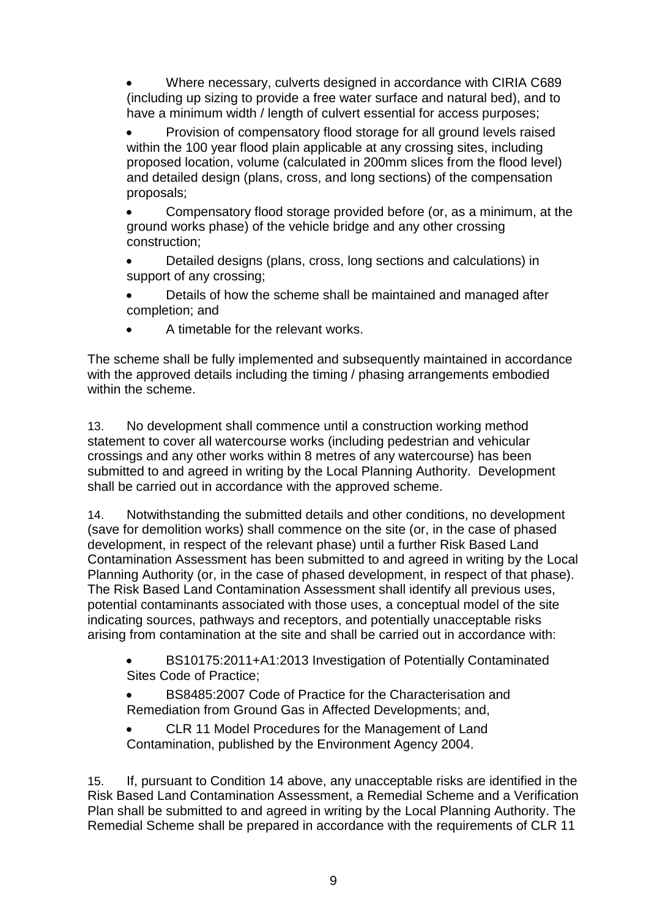Where necessary, culverts designed in accordance with CIRIA C689 (including up sizing to provide a free water surface and natural bed), and to have a minimum width / length of culvert essential for access purposes;

 Provision of compensatory flood storage for all ground levels raised within the 100 year flood plain applicable at any crossing sites, including proposed location, volume (calculated in 200mm slices from the flood level) and detailed design (plans, cross, and long sections) of the compensation proposals;

 Compensatory flood storage provided before (or, as a minimum, at the ground works phase) of the vehicle bridge and any other crossing construction;

 Detailed designs (plans, cross, long sections and calculations) in support of any crossing;

- Details of how the scheme shall be maintained and managed after completion; and
- A timetable for the relevant works.

The scheme shall be fully implemented and subsequently maintained in accordance with the approved details including the timing / phasing arrangements embodied within the scheme.

13. No development shall commence until a construction working method statement to cover all watercourse works (including pedestrian and vehicular crossings and any other works within 8 metres of any watercourse) has been submitted to and agreed in writing by the Local Planning Authority. Development shall be carried out in accordance with the approved scheme.

14. Notwithstanding the submitted details and other conditions, no development (save for demolition works) shall commence on the site (or, in the case of phased development, in respect of the relevant phase) until a further Risk Based Land Contamination Assessment has been submitted to and agreed in writing by the Local Planning Authority (or, in the case of phased development, in respect of that phase). The Risk Based Land Contamination Assessment shall identify all previous uses, potential contaminants associated with those uses, a conceptual model of the site indicating sources, pathways and receptors, and potentially unacceptable risks arising from contamination at the site and shall be carried out in accordance with:

- BS10175:2011+A1:2013 Investigation of Potentially Contaminated Sites Code of Practice;
- BS8485:2007 Code of Practice for the Characterisation and Remediation from Ground Gas in Affected Developments; and,
- CLR 11 Model Procedures for the Management of Land Contamination, published by the Environment Agency 2004.

15. If, pursuant to Condition 14 above, any unacceptable risks are identified in the Risk Based Land Contamination Assessment, a Remedial Scheme and a Verification Plan shall be submitted to and agreed in writing by the Local Planning Authority. The Remedial Scheme shall be prepared in accordance with the requirements of CLR 11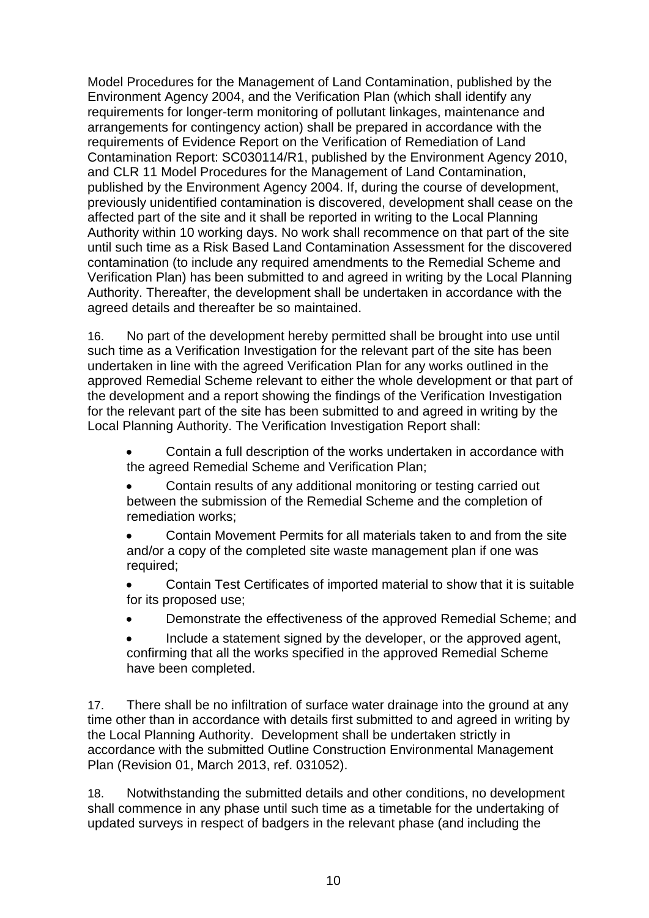Model Procedures for the Management of Land Contamination, published by the Environment Agency 2004, and the Verification Plan (which shall identify any requirements for longer-term monitoring of pollutant linkages, maintenance and arrangements for contingency action) shall be prepared in accordance with the requirements of Evidence Report on the Verification of Remediation of Land Contamination Report: SC030114/R1, published by the Environment Agency 2010, and CLR 11 Model Procedures for the Management of Land Contamination, published by the Environment Agency 2004. If, during the course of development, previously unidentified contamination is discovered, development shall cease on the affected part of the site and it shall be reported in writing to the Local Planning Authority within 10 working days. No work shall recommence on that part of the site until such time as a Risk Based Land Contamination Assessment for the discovered contamination (to include any required amendments to the Remedial Scheme and Verification Plan) has been submitted to and agreed in writing by the Local Planning Authority. Thereafter, the development shall be undertaken in accordance with the agreed details and thereafter be so maintained.

16. No part of the development hereby permitted shall be brought into use until such time as a Verification Investigation for the relevant part of the site has been undertaken in line with the agreed Verification Plan for any works outlined in the approved Remedial Scheme relevant to either the whole development or that part of the development and a report showing the findings of the Verification Investigation for the relevant part of the site has been submitted to and agreed in writing by the Local Planning Authority. The Verification Investigation Report shall:

 Contain a full description of the works undertaken in accordance with the agreed Remedial Scheme and Verification Plan;

 Contain results of any additional monitoring or testing carried out between the submission of the Remedial Scheme and the completion of remediation works;

 Contain Movement Permits for all materials taken to and from the site and/or a copy of the completed site waste management plan if one was required;

 Contain Test Certificates of imported material to show that it is suitable for its proposed use;

- Demonstrate the effectiveness of the approved Remedial Scheme; and
- Include a statement signed by the developer, or the approved agent, confirming that all the works specified in the approved Remedial Scheme have been completed.

17. There shall be no infiltration of surface water drainage into the ground at any time other than in accordance with details first submitted to and agreed in writing by the Local Planning Authority. Development shall be undertaken strictly in accordance with the submitted Outline Construction Environmental Management Plan (Revision 01, March 2013, ref. 031052).

18. Notwithstanding the submitted details and other conditions, no development shall commence in any phase until such time as a timetable for the undertaking of updated surveys in respect of badgers in the relevant phase (and including the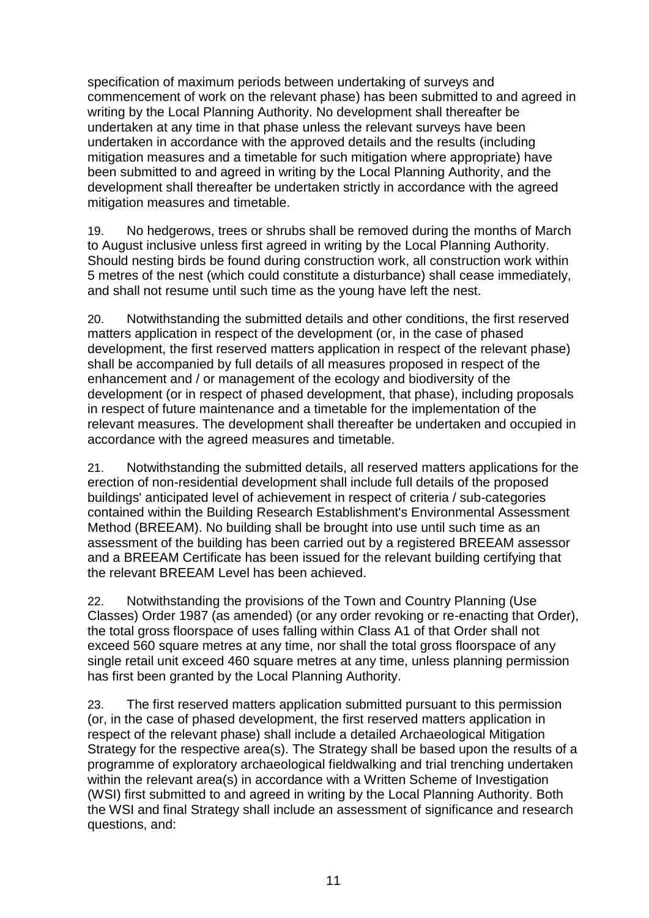specification of maximum periods between undertaking of surveys and commencement of work on the relevant phase) has been submitted to and agreed in writing by the Local Planning Authority. No development shall thereafter be undertaken at any time in that phase unless the relevant surveys have been undertaken in accordance with the approved details and the results (including mitigation measures and a timetable for such mitigation where appropriate) have been submitted to and agreed in writing by the Local Planning Authority, and the development shall thereafter be undertaken strictly in accordance with the agreed mitigation measures and timetable.

19. No hedgerows, trees or shrubs shall be removed during the months of March to August inclusive unless first agreed in writing by the Local Planning Authority. Should nesting birds be found during construction work, all construction work within 5 metres of the nest (which could constitute a disturbance) shall cease immediately, and shall not resume until such time as the young have left the nest.

20. Notwithstanding the submitted details and other conditions, the first reserved matters application in respect of the development (or, in the case of phased development, the first reserved matters application in respect of the relevant phase) shall be accompanied by full details of all measures proposed in respect of the enhancement and / or management of the ecology and biodiversity of the development (or in respect of phased development, that phase), including proposals in respect of future maintenance and a timetable for the implementation of the relevant measures. The development shall thereafter be undertaken and occupied in accordance with the agreed measures and timetable.

21. Notwithstanding the submitted details, all reserved matters applications for the erection of non-residential development shall include full details of the proposed buildings' anticipated level of achievement in respect of criteria / sub-categories contained within the Building Research Establishment's Environmental Assessment Method (BREEAM). No building shall be brought into use until such time as an assessment of the building has been carried out by a registered BREEAM assessor and a BREEAM Certificate has been issued for the relevant building certifying that the relevant BREEAM Level has been achieved.

22. Notwithstanding the provisions of the Town and Country Planning (Use Classes) Order 1987 (as amended) (or any order revoking or re-enacting that Order), the total gross floorspace of uses falling within Class A1 of that Order shall not exceed 560 square metres at any time, nor shall the total gross floorspace of any single retail unit exceed 460 square metres at any time, unless planning permission has first been granted by the Local Planning Authority.

23. The first reserved matters application submitted pursuant to this permission (or, in the case of phased development, the first reserved matters application in respect of the relevant phase) shall include a detailed Archaeological Mitigation Strategy for the respective area(s). The Strategy shall be based upon the results of a programme of exploratory archaeological fieldwalking and trial trenching undertaken within the relevant area(s) in accordance with a Written Scheme of Investigation (WSI) first submitted to and agreed in writing by the Local Planning Authority. Both the WSI and final Strategy shall include an assessment of significance and research questions, and: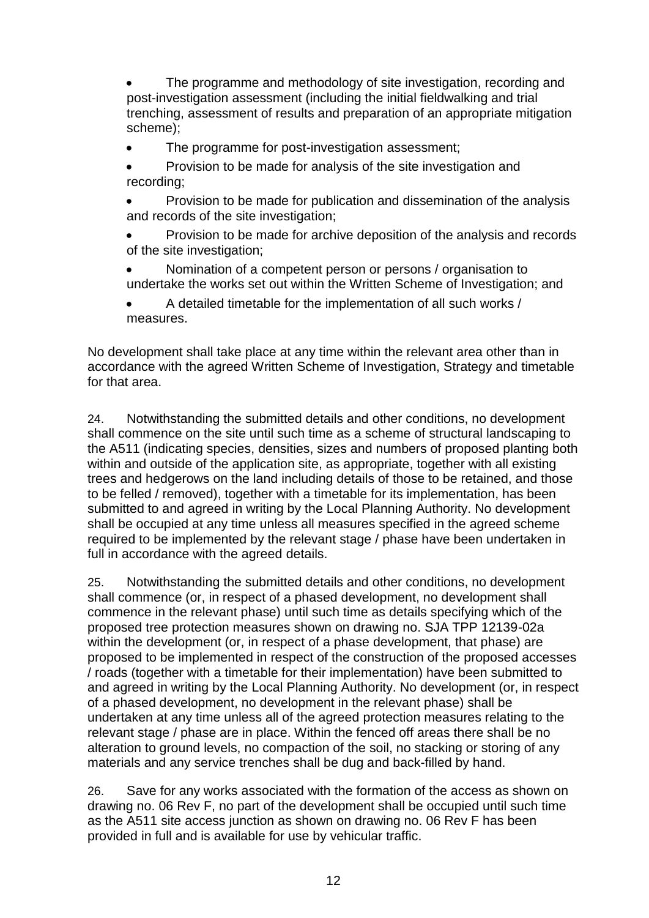The programme and methodology of site investigation, recording and post-investigation assessment (including the initial fieldwalking and trial trenching, assessment of results and preparation of an appropriate mitigation scheme);

- The programme for post-investigation assessment;
- Provision to be made for analysis of the site investigation and recording;
- Provision to be made for publication and dissemination of the analysis and records of the site investigation;
- Provision to be made for archive deposition of the analysis and records of the site investigation;
- Nomination of a competent person or persons / organisation to undertake the works set out within the Written Scheme of Investigation; and
- A detailed timetable for the implementation of all such works / measures.

No development shall take place at any time within the relevant area other than in accordance with the agreed Written Scheme of Investigation, Strategy and timetable for that area.

24. Notwithstanding the submitted details and other conditions, no development shall commence on the site until such time as a scheme of structural landscaping to the A511 (indicating species, densities, sizes and numbers of proposed planting both within and outside of the application site, as appropriate, together with all existing trees and hedgerows on the land including details of those to be retained, and those to be felled / removed), together with a timetable for its implementation, has been submitted to and agreed in writing by the Local Planning Authority. No development shall be occupied at any time unless all measures specified in the agreed scheme required to be implemented by the relevant stage / phase have been undertaken in full in accordance with the agreed details.

25. Notwithstanding the submitted details and other conditions, no development shall commence (or, in respect of a phased development, no development shall commence in the relevant phase) until such time as details specifying which of the proposed tree protection measures shown on drawing no. SJA TPP 12139-02a within the development (or, in respect of a phase development, that phase) are proposed to be implemented in respect of the construction of the proposed accesses / roads (together with a timetable for their implementation) have been submitted to and agreed in writing by the Local Planning Authority. No development (or, in respect of a phased development, no development in the relevant phase) shall be undertaken at any time unless all of the agreed protection measures relating to the relevant stage / phase are in place. Within the fenced off areas there shall be no alteration to ground levels, no compaction of the soil, no stacking or storing of any materials and any service trenches shall be dug and back-filled by hand.

26. Save for any works associated with the formation of the access as shown on drawing no. 06 Rev F, no part of the development shall be occupied until such time as the A511 site access junction as shown on drawing no. 06 Rev F has been provided in full and is available for use by vehicular traffic.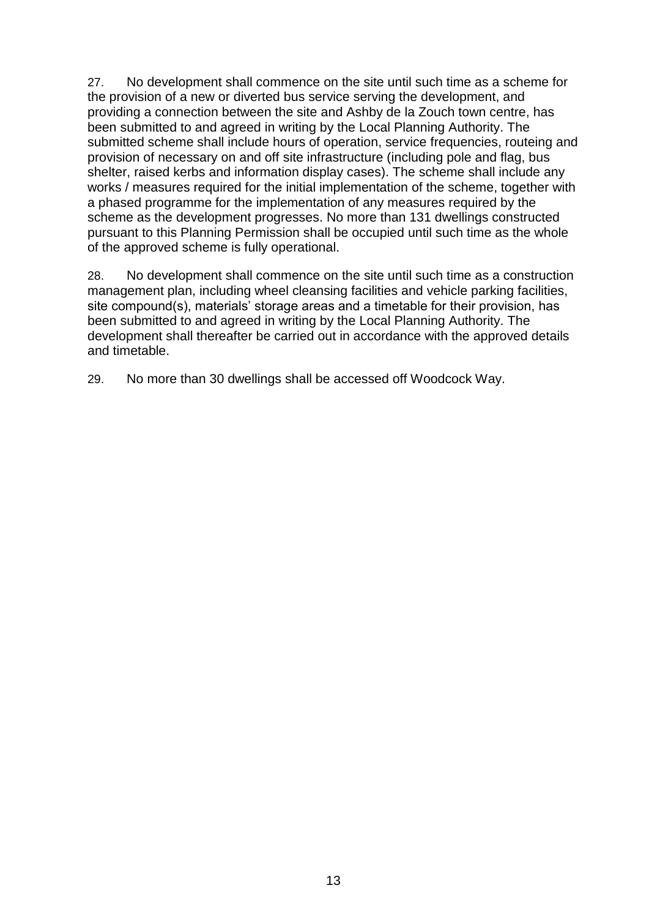27. No development shall commence on the site until such time as a scheme for the provision of a new or diverted bus service serving the development, and providing a connection between the site and Ashby de la Zouch town centre, has been submitted to and agreed in writing by the Local Planning Authority. The submitted scheme shall include hours of operation, service frequencies, routeing and provision of necessary on and off site infrastructure (including pole and flag, bus shelter, raised kerbs and information display cases). The scheme shall include any works / measures required for the initial implementation of the scheme, together with a phased programme for the implementation of any measures required by the scheme as the development progresses. No more than 131 dwellings constructed pursuant to this Planning Permission shall be occupied until such time as the whole of the approved scheme is fully operational.

28. No development shall commence on the site until such time as a construction management plan, including wheel cleansing facilities and vehicle parking facilities, site compound(s), materials' storage areas and a timetable for their provision, has been submitted to and agreed in writing by the Local Planning Authority. The development shall thereafter be carried out in accordance with the approved details and timetable.

29. No more than 30 dwellings shall be accessed off Woodcock Way.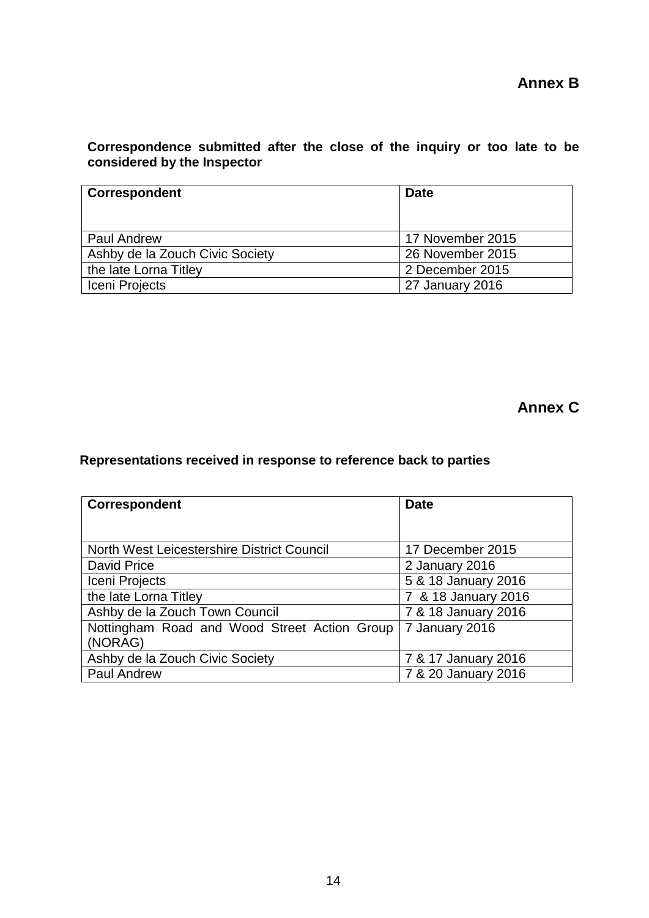## **Correspondence submitted after the close of the inquiry or too late to be considered by the Inspector**

| Correspondent                   | <b>Date</b>      |
|---------------------------------|------------------|
|                                 |                  |
| Paul Andrew                     | 17 November 2015 |
| Ashby de la Zouch Civic Society | 26 November 2015 |
| the late Lorna Titley           | 2 December 2015  |
| Iceni Projects                  | 27 January 2016  |

**Annex C**

## **Representations received in response to reference back to parties**

| <b>Correspondent</b>                                    | <b>Date</b>         |
|---------------------------------------------------------|---------------------|
|                                                         |                     |
| North West Leicestershire District Council              | 17 December 2015    |
| David Price                                             | 2 January 2016      |
| Iceni Projects                                          | 5 & 18 January 2016 |
| the late Lorna Titley                                   | 7 & 18 January 2016 |
| Ashby de la Zouch Town Council                          | 7 & 18 January 2016 |
| Nottingham Road and Wood Street Action Group<br>(NORAG) | 7 January 2016      |
| Ashby de la Zouch Civic Society                         | 7 & 17 January 2016 |
| <b>Paul Andrew</b>                                      | 7 & 20 January 2016 |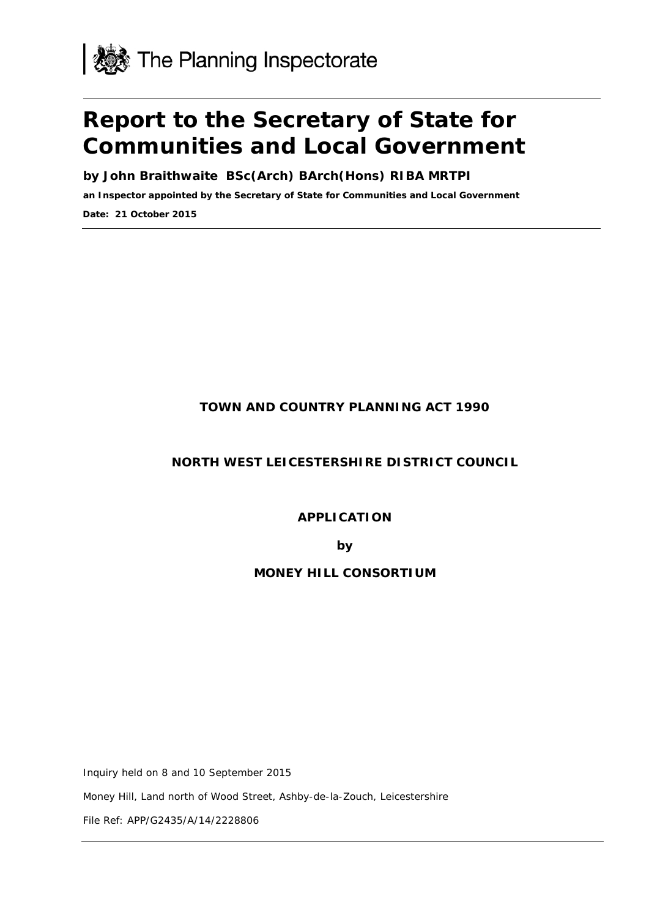

# **Report to the Secretary of State for Communities and Local Government**

**by John Braithwaite BSc(Arch) BArch(Hons) RIBA MRTPI**

**an Inspector appointed by the Secretary of State for Communities and Local Government**

**Date: 21 October 2015**

## **TOWN AND COUNTRY PLANNING ACT 1990**

## **NORTH WEST LEICESTERSHIRE DISTRICT COUNCIL**

**APPLICATION**

**by**

## **MONEY HILL CONSORTIUM**

Inquiry held on 8 and 10 September 2015

Money Hill, Land north of Wood Street, Ashby-de-la-Zouch, Leicestershire

File Ref: APP/G2435/A/14/2228806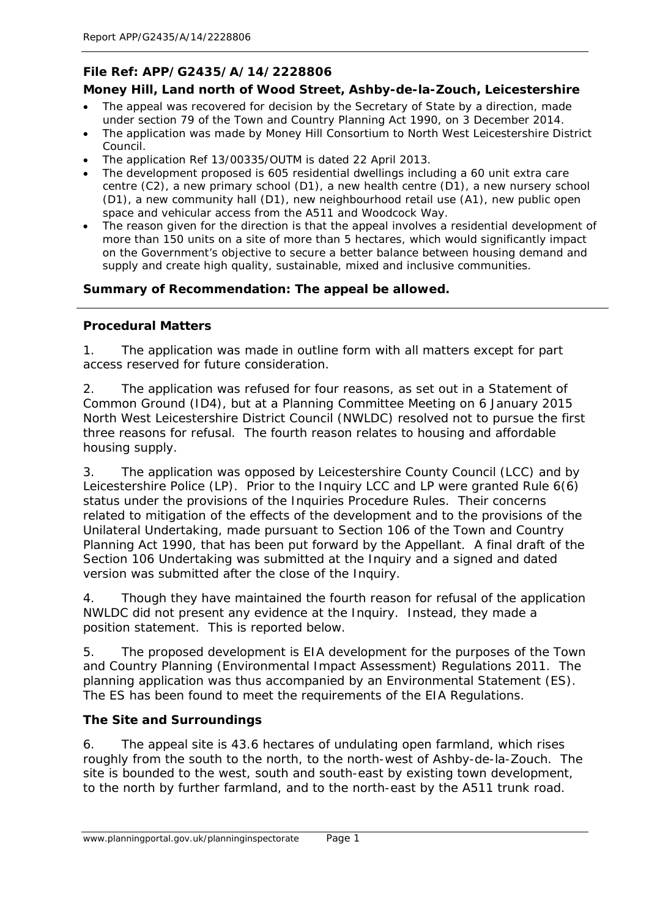## **File Ref: APP/G2435/A/14/2228806**

## **Money Hill, Land north of Wood Street, Ashby-de-la-Zouch, Leicestershire**

- The appeal was recovered for decision by the Secretary of State by a direction, made under section 79 of the Town and Country Planning Act 1990, on 3 December 2014.
- The application was made by Money Hill Consortium to North West Leicestershire District Council.
- The application Ref 13/00335/OUTM is dated 22 April 2013.
- The development proposed is 605 residential dwellings including a 60 unit extra care centre (C2), a new primary school (D1), a new health centre (D1), a new nursery school (D1), a new community hall (D1), new neighbourhood retail use (A1), new public open space and vehicular access from the A511 and Woodcock Way.
- The reason given for the direction is that the appeal involves a residential development of more than 150 units on a site of more than 5 hectares, which would significantly impact on the Government's objective to secure a better balance between housing demand and supply and create high quality, sustainable, mixed and inclusive communities.

## **Summary of Recommendation: The appeal be allowed.**

#### **Procedural Matters**

1. The application was made in outline form with all matters except for part access reserved for future consideration.

2. The application was refused for four reasons, as set out in a Statement of Common Ground (ID4), but at a Planning Committee Meeting on 6 January 2015 North West Leicestershire District Council (NWLDC) resolved not to pursue the first three reasons for refusal. The fourth reason relates to housing and affordable housing supply.

3. The application was opposed by Leicestershire County Council (LCC) and by Leicestershire Police (LP). Prior to the Inquiry LCC and LP were granted Rule 6(6) status under the provisions of the Inquiries Procedure Rules. Their concerns related to mitigation of the effects of the development and to the provisions of the Unilateral Undertaking, made pursuant to Section 106 of the Town and Country Planning Act 1990, that has been put forward by the Appellant. A final draft of the Section 106 Undertaking was submitted at the Inquiry and a signed and dated version was submitted after the close of the Inquiry.

4. Though they have maintained the fourth reason for refusal of the application NWLDC did not present any evidence at the Inquiry. Instead, they made a position statement. This is reported below.

5. The proposed development is EIA development for the purposes of the Town and Country Planning (Environmental Impact Assessment) Regulations 2011. The planning application was thus accompanied by an Environmental Statement (ES). The ES has been found to meet the requirements of the EIA Regulations.

## **The Site and Surroundings**

6. The appeal site is 43.6 hectares of undulating open farmland, which rises roughly from the south to the north, to the north-west of Ashby-de-la-Zouch. The site is bounded to the west, south and south-east by existing town development, to the north by further farmland, and to the north-east by the A511 trunk road.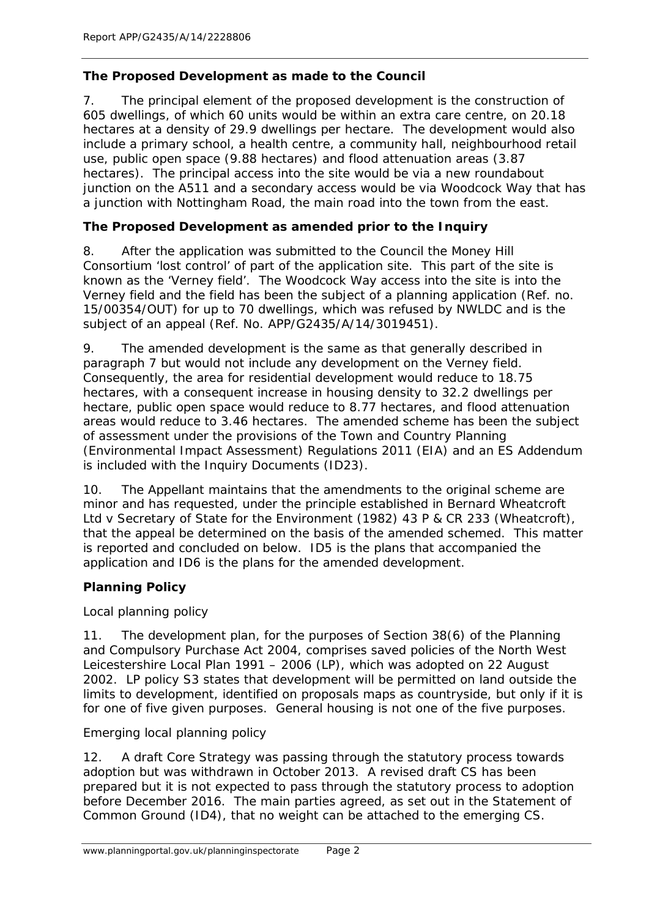## **The Proposed Development as made to the Council**

7. The principal element of the proposed development is the construction of 605 dwellings, of which 60 units would be within an extra care centre, on 20.18 hectares at a density of 29.9 dwellings per hectare. The development would also include a primary school, a health centre, a community hall, neighbourhood retail use, public open space (9.88 hectares) and flood attenuation areas (3.87 hectares). The principal access into the site would be via a new roundabout junction on the A511 and a secondary access would be via Woodcock Way that has a junction with Nottingham Road, the main road into the town from the east.

## **The Proposed Development as amended prior to the Inquiry**

8. After the application was submitted to the Council the Money Hill Consortium 'lost control' of part of the application site. This part of the site is known as the 'Verney field'. The Woodcock Way access into the site is into the Verney field and the field has been the subject of a planning application (Ref. no. 15/00354/OUT) for up to 70 dwellings, which was refused by NWLDC and is the subject of an appeal (Ref. No. APP/G2435/A/14/3019451).

9. The amended development is the same as that generally described in paragraph 7 but would not include any development on the Verney field. Consequently, the area for residential development would reduce to 18.75 hectares, with a consequent increase in housing density to 32.2 dwellings per hectare, public open space would reduce to 8.77 hectares, and flood attenuation areas would reduce to 3.46 hectares. The amended scheme has been the subject of assessment under the provisions of the Town and Country Planning (Environmental Impact Assessment) Regulations 2011 (EIA) and an ES Addendum is included with the Inquiry Documents (ID23).

10. The Appellant maintains that the amendments to the original scheme are minor and has requested, under the principle established in *Bernard Wheatcroft Ltd v Secretary of State for the Environment (1982) 43 P & CR 233 (Wheatcroft)*, that the appeal be determined on the basis of the amended schemed. This matter is reported and concluded on below. ID5 is the plans that accompanied the application and ID6 is the plans for the amended development.

## **Planning Policy**

Local planning policy

11. The development plan, for the purposes of Section 38(6) of the Planning and Compulsory Purchase Act 2004, comprises saved policies of the North West Leicestershire Local Plan 1991 – 2006 (LP), which was adopted on 22 August 2002. LP policy S3 states that development will be permitted on land outside the limits to development, identified on proposals maps as countryside, but only if it is for one of five given purposes. General housing is not one of the five purposes.

Emerging local planning policy

12. A draft Core Strategy was passing through the statutory process towards adoption but was withdrawn in October 2013. A revised draft CS has been prepared but it is not expected to pass through the statutory process to adoption before December 2016. The main parties agreed, as set out in the Statement of Common Ground (ID4), that no weight can be attached to the emerging CS.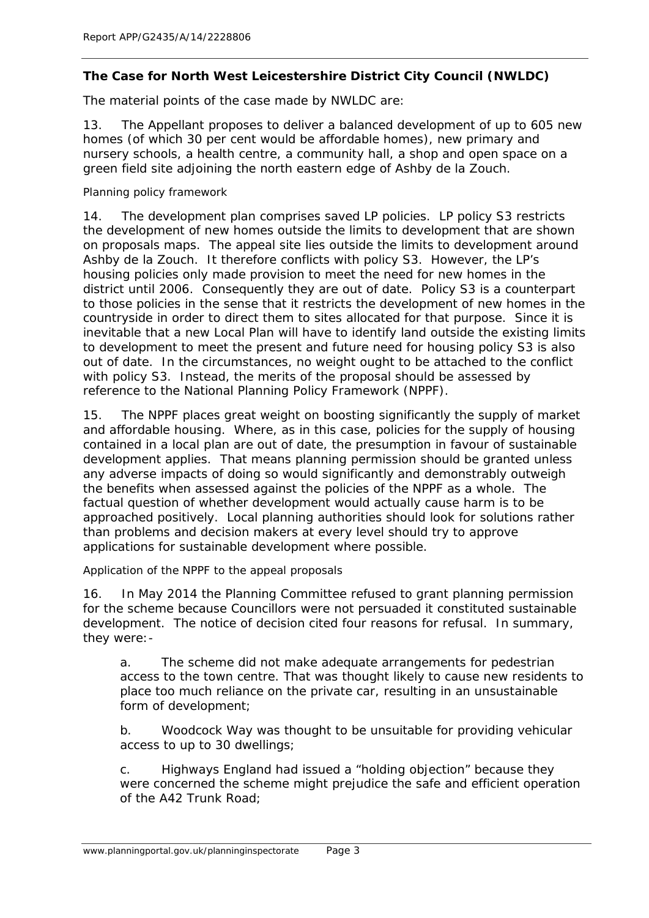## **The Case for North West Leicestershire District City Council (NWLDC)**

The material points of the case made by NWLDC are:

13. The Appellant proposes to deliver a balanced development of up to 605 new homes (of which 30 per cent would be affordable homes), new primary and nursery schools, a health centre, a community hall, a shop and open space on a green field site adjoining the north eastern edge of Ashby de la Zouch.

Planning policy framework

14. The development plan comprises saved LP policies. LP policy S3 restricts the development of new homes outside the limits to development that are shown on proposals maps. The appeal site lies outside the limits to development around Ashby de la Zouch. It therefore conflicts with policy S3. However, the LP's housing policies only made provision to meet the need for new homes in the district until 2006. Consequently they are out of date. Policy S3 is a counterpart to those policies in the sense that it restricts the development of new homes in the countryside in order to direct them to sites allocated for that purpose. Since it is inevitable that a new Local Plan will have to identify land outside the existing limits to development to meet the present and future need for housing policy S3 is also out of date. In the circumstances, no weight ought to be attached to the conflict with policy S3. Instead, the merits of the proposal should be assessed by reference to the National Planning Policy Framework (NPPF).

15. The NPPF places great weight on boosting significantly the supply of market and affordable housing. Where, as in this case, policies for the supply of housing contained in a local plan are out of date, the presumption in favour of sustainable development applies. That means planning permission should be granted unless any adverse impacts of doing so would significantly and demonstrably outweigh the benefits when assessed against the policies of the NPPF as a whole. The factual question of whether development would actually cause harm is to be approached positively. Local planning authorities should look for solutions rather than problems and decision makers at every level should try to approve applications for sustainable development where possible.

Application of the NPPF to the appeal proposals

16. In May 2014 the Planning Committee refused to grant planning permission for the scheme because Councillors were not persuaded it constituted sustainable development. The notice of decision cited four reasons for refusal. In summary, they were:-

a. The scheme did not make adequate arrangements for pedestrian access to the town centre. That was thought likely to cause new residents to place too much reliance on the private car, resulting in an unsustainable form of development;

b. Woodcock Way was thought to be unsuitable for providing vehicular access to up to 30 dwellings;

c. Highways England had issued a "holding objection" because they were concerned the scheme might prejudice the safe and efficient operation of the A42 Trunk Road;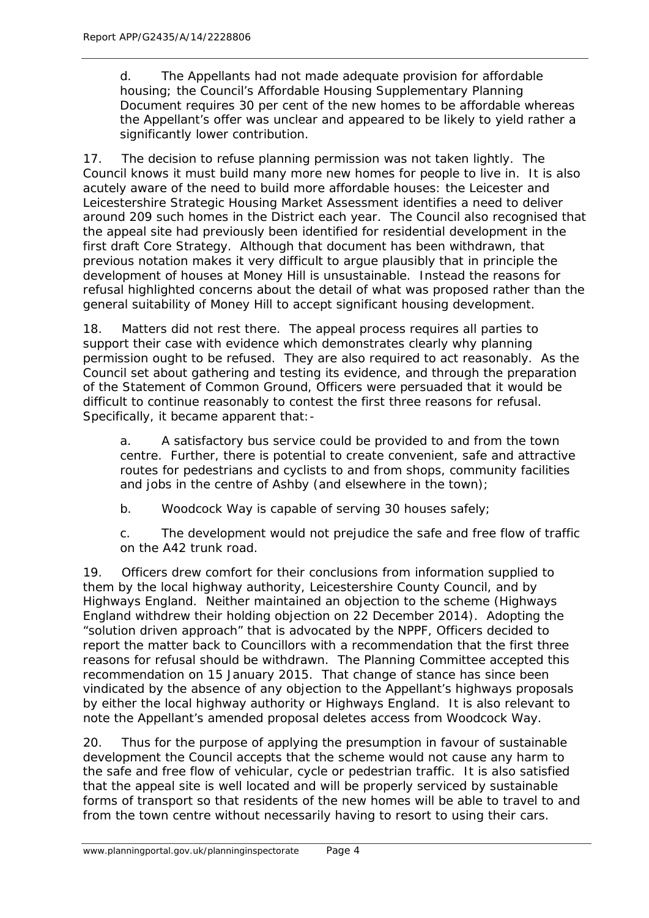d. The Appellants had not made adequate provision for affordable housing; the Council's Affordable Housing Supplementary Planning Document requires 30 per cent of the new homes to be affordable whereas the Appellant's offer was unclear and appeared to be likely to yield rather a significantly lower contribution.

17. The decision to refuse planning permission was not taken lightly. The Council knows it must build many more new homes for people to live in. It is also acutely aware of the need to build more affordable houses: the Leicester and Leicestershire Strategic Housing Market Assessment identifies a need to deliver around 209 such homes in the District each year. The Council also recognised that the appeal site had previously been identified for residential development in the first draft Core Strategy. Although that document has been withdrawn, that previous notation makes it very difficult to argue plausibly that in principle the development of houses at Money Hill is unsustainable. Instead the reasons for refusal highlighted concerns about the detail of what was proposed rather than the general suitability of Money Hill to accept significant housing development.

18. Matters did not rest there. The appeal process requires all parties to support their case with evidence which demonstrates clearly why planning permission ought to be refused. They are also required to act reasonably. As the Council set about gathering and testing its evidence, and through the preparation of the Statement of Common Ground, Officers were persuaded that it would be difficult to continue reasonably to contest the first three reasons for refusal. Specifically, it became apparent that:-

a. A satisfactory bus service could be provided to and from the town centre. Further, there is potential to create convenient, safe and attractive routes for pedestrians and cyclists to and from shops, community facilities and jobs in the centre of Ashby (and elsewhere in the town);

b. Woodcock Way is capable of serving 30 houses safely;

c. The development would not prejudice the safe and free flow of traffic on the A42 trunk road.

19. Officers drew comfort for their conclusions from information supplied to them by the local highway authority, Leicestershire County Council, and by Highways England. Neither maintained an objection to the scheme (Highways England withdrew their holding objection on 22 December 2014). Adopting the "solution driven approach" that is advocated by the NPPF, Officers decided to report the matter back to Councillors with a recommendation that the first three reasons for refusal should be withdrawn. The Planning Committee accepted this recommendation on 15 January 2015. That change of stance has since been vindicated by the absence of any objection to the Appellant's highways proposals by either the local highway authority or Highways England. It is also relevant to note the Appellant's amended proposal deletes access from Woodcock Way.

20. Thus for the purpose of applying the presumption in favour of sustainable development the Council accepts that the scheme would not cause any harm to the safe and free flow of vehicular, cycle or pedestrian traffic. It is also satisfied that the appeal site is well located and will be properly serviced by sustainable forms of transport so that residents of the new homes will be able to travel to and from the town centre without necessarily having to resort to using their cars.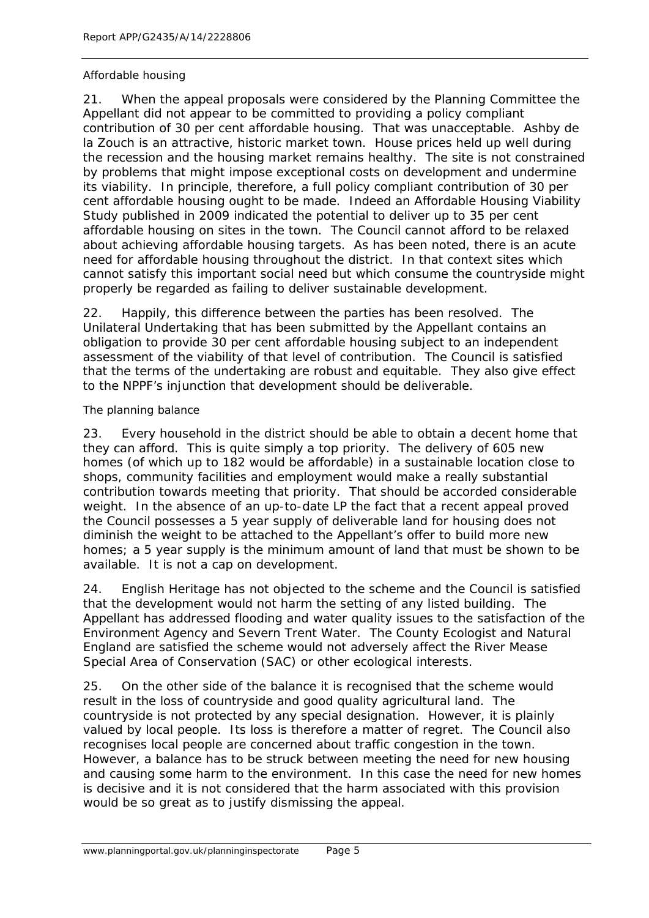#### Affordable housing

21. When the appeal proposals were considered by the Planning Committee the Appellant did not appear to be committed to providing a policy compliant contribution of 30 per cent affordable housing. That was unacceptable. Ashby de la Zouch is an attractive, historic market town. House prices held up well during the recession and the housing market remains healthy. The site is not constrained by problems that might impose exceptional costs on development and undermine its viability. In principle, therefore, a full policy compliant contribution of 30 per cent affordable housing ought to be made. Indeed an Affordable Housing Viability Study published in 2009 indicated the potential to deliver up to 35 per cent affordable housing on sites in the town. The Council cannot afford to be relaxed about achieving affordable housing targets. As has been noted, there is an acute need for affordable housing throughout the district. In that context sites which cannot satisfy this important social need but which consume the countryside might properly be regarded as failing to deliver sustainable development.

22. Happily, this difference between the parties has been resolved. The Unilateral Undertaking that has been submitted by the Appellant contains an obligation to provide 30 per cent affordable housing subject to an independent assessment of the viability of that level of contribution. The Council is satisfied that the terms of the undertaking are robust and equitable. They also give effect to the NPPF's injunction that development should be deliverable.

#### The planning balance

23. Every household in the district should be able to obtain a decent home that they can afford. This is quite simply a top priority. The delivery of 605 new homes (of which up to 182 would be affordable) in a sustainable location close to shops, community facilities and employment would make a really substantial contribution towards meeting that priority. That should be accorded considerable weight. In the absence of an up-to-date LP the fact that a recent appeal proved the Council possesses a 5 year supply of deliverable land for housing does not diminish the weight to be attached to the Appellant's offer to build more new homes; a 5 year supply is the minimum amount of land that must be shown to be available. It is not a cap on development.

24. English Heritage has not objected to the scheme and the Council is satisfied that the development would not harm the setting of any listed building. The Appellant has addressed flooding and water quality issues to the satisfaction of the Environment Agency and Severn Trent Water. The County Ecologist and Natural England are satisfied the scheme would not adversely affect the River Mease Special Area of Conservation (SAC) or other ecological interests.

25. On the other side of the balance it is recognised that the scheme would result in the loss of countryside and good quality agricultural land. The countryside is not protected by any special designation. However, it is plainly valued by local people. Its loss is therefore a matter of regret. The Council also recognises local people are concerned about traffic congestion in the town. However, a balance has to be struck between meeting the need for new housing and causing some harm to the environment. In this case the need for new homes is decisive and it is not considered that the harm associated with this provision would be so great as to justify dismissing the appeal.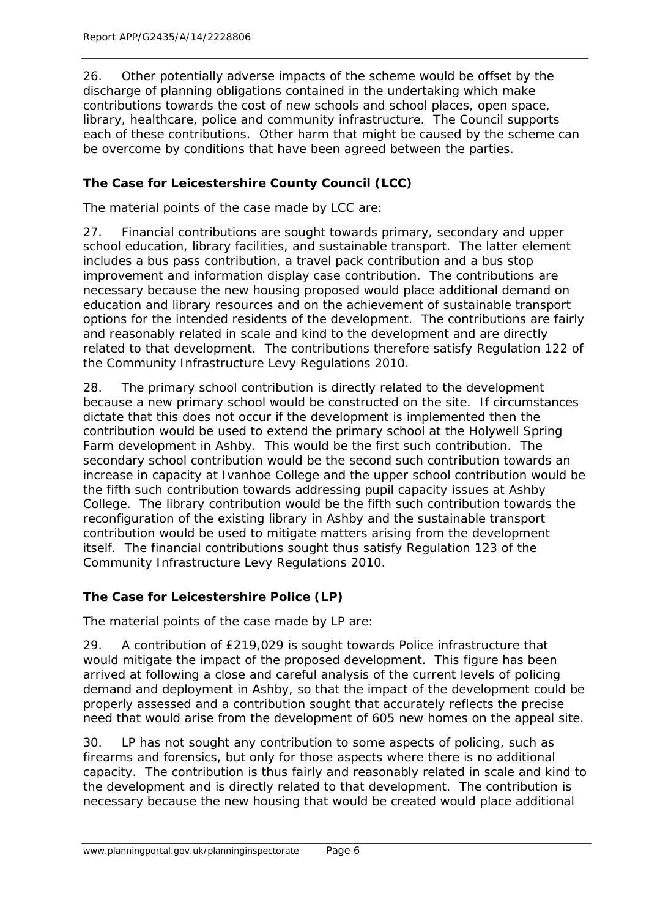26. Other potentially adverse impacts of the scheme would be offset by the discharge of planning obligations contained in the undertaking which make contributions towards the cost of new schools and school places, open space, library, healthcare, police and community infrastructure. The Council supports each of these contributions. Other harm that might be caused by the scheme can be overcome by conditions that have been agreed between the parties.

## **The Case for Leicestershire County Council (LCC)**

The material points of the case made by LCC are:

27. Financial contributions are sought towards primary, secondary and upper school education, library facilities, and sustainable transport. The latter element includes a bus pass contribution, a travel pack contribution and a bus stop improvement and information display case contribution. The contributions are necessary because the new housing proposed would place additional demand on education and library resources and on the achievement of sustainable transport options for the intended residents of the development. The contributions are fairly and reasonably related in scale and kind to the development and are directly related to that development. The contributions therefore satisfy Regulation 122 of the Community Infrastructure Levy Regulations 2010.

28. The primary school contribution is directly related to the development because a new primary school would be constructed on the site. If circumstances dictate that this does not occur if the development is implemented then the contribution would be used to extend the primary school at the Holywell Spring Farm development in Ashby. This would be the first such contribution. The secondary school contribution would be the second such contribution towards an increase in capacity at Ivanhoe College and the upper school contribution would be the fifth such contribution towards addressing pupil capacity issues at Ashby College. The library contribution would be the fifth such contribution towards the reconfiguration of the existing library in Ashby and the sustainable transport contribution would be used to mitigate matters arising from the development itself. The financial contributions sought thus satisfy Regulation 123 of the Community Infrastructure Levy Regulations 2010.

## **The Case for Leicestershire Police (LP)**

The material points of the case made by LP are:

29. A contribution of £219,029 is sought towards Police infrastructure that would mitigate the impact of the proposed development. This figure has been arrived at following a close and careful analysis of the current levels of policing demand and deployment in Ashby, so that the impact of the development could be properly assessed and a contribution sought that accurately reflects the precise need that would arise from the development of 605 new homes on the appeal site.

30. LP has not sought any contribution to some aspects of policing, such as firearms and forensics, but only for those aspects where there is no additional capacity. The contribution is thus fairly and reasonably related in scale and kind to the development and is directly related to that development. The contribution is necessary because the new housing that would be created would place additional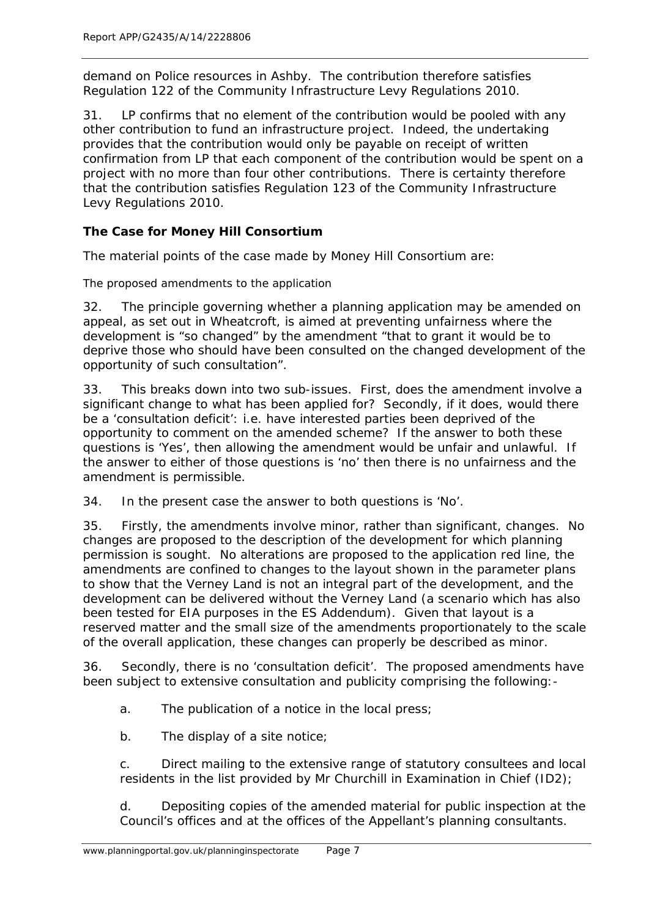demand on Police resources in Ashby. The contribution therefore satisfies Regulation 122 of the Community Infrastructure Levy Regulations 2010.

31. LP confirms that no element of the contribution would be pooled with any other contribution to fund an infrastructure project. Indeed, the undertaking provides that the contribution would only be payable on receipt of written confirmation from LP that each component of the contribution would be spent on a project with no more than four other contributions. There is certainty therefore that the contribution satisfies Regulation 123 of the Community Infrastructure Levy Regulations 2010.

## **The Case for Money Hill Consortium**

The material points of the case made by Money Hill Consortium are:

The proposed amendments to the application

32. The principle governing whether a planning application may be amended on appeal, as set out in *Wheatcroft*, is aimed at preventing unfairness where the development is *"so changed"* by the amendment *"that to grant it would be to deprive those who should have been consulted on the changed development of the opportunity of such consultation"*.

33. This breaks down into two sub-issues. First, does the amendment involve a significant change to what has been applied for? Secondly, if it does, would there be a 'consultation deficit': i.e. have interested parties been deprived of the opportunity to comment on the amended scheme? If the answer to both these questions is 'Yes', then allowing the amendment would be unfair and unlawful. If the answer to either of those questions is 'no' then there is no unfairness and the amendment is permissible.

34. In the present case the answer to both questions is 'No'.

35. Firstly, the amendments involve minor, rather than significant, changes. No changes are proposed to the description of the development for which planning permission is sought. No alterations are proposed to the application red line, the amendments are confined to changes to the layout shown in the parameter plans to show that the Verney Land is not an integral part of the development, and the development can be delivered without the Verney Land (a scenario which has also been tested for EIA purposes in the ES Addendum). Given that layout is a reserved matter and the small size of the amendments proportionately to the scale of the overall application, these changes can properly be described as minor.

36. Secondly, there is no 'consultation deficit'. The proposed amendments have been subject to extensive consultation and publicity comprising the following:-

a. The publication of a notice in the local press;

b. The display of a site notice;

c. Direct mailing to the extensive range of statutory consultees and local residents in the list provided by Mr Churchill in Examination in Chief (ID2);

d. Depositing copies of the amended material for public inspection at the Council's offices and at the offices of the Appellant's planning consultants.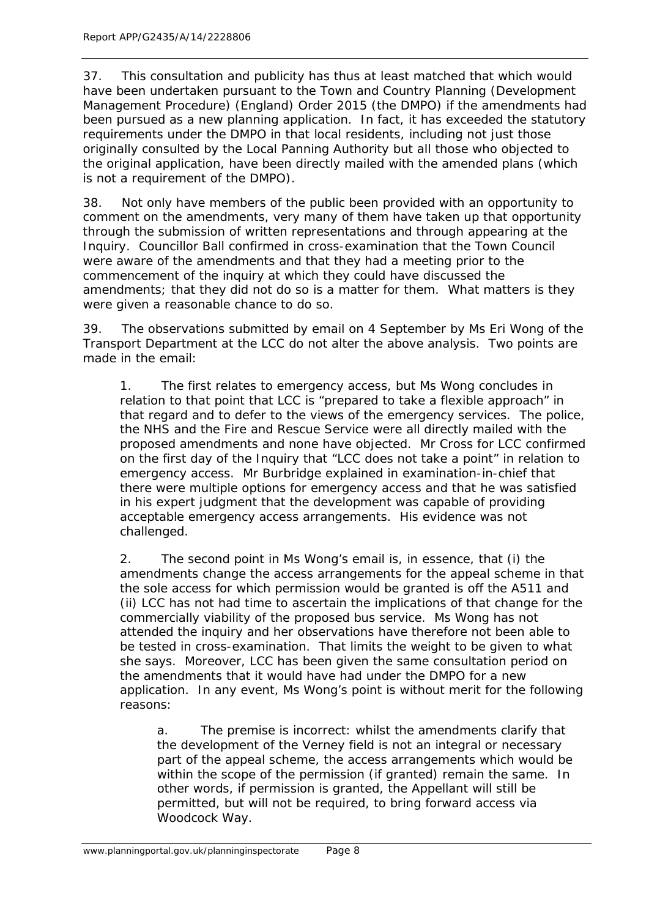37. This consultation and publicity has thus at least matched that which would have been undertaken pursuant to the Town and Country Planning (Development Management Procedure) (England) Order 2015 (the DMPO) if the amendments had been pursued as a new planning application. In fact, it has exceeded the statutory requirements under the DMPO in that local residents, including not just those originally consulted by the Local Panning Authority but all those who objected to the original application, have been directly mailed with the amended plans (which is not a requirement of the DMPO).

38. Not only have members of the public been provided with an opportunity to comment on the amendments, very many of them have taken up that opportunity through the submission of written representations and through appearing at the Inquiry. Councillor Ball confirmed in cross-examination that the Town Council were aware of the amendments and that they had a meeting prior to the commencement of the inquiry at which they could have discussed the amendments; that they did not do so is a matter for them. What matters is they were given a reasonable chance to do so.

39. The observations submitted by email on 4 September by Ms Eri Wong of the Transport Department at the LCC do not alter the above analysis. Two points are made in the email:

1. The first relates to emergency access, but Ms Wong concludes in relation to that point that LCC is "prepared to take a flexible approach" in that regard and to defer to the views of the emergency services. The police, the NHS and the Fire and Rescue Service were all directly mailed with the proposed amendments and none have objected. Mr Cross for LCC confirmed on the first day of the Inquiry that "LCC does not take a point" in relation to emergency access. Mr Burbridge explained in examination-in-chief that there were multiple options for emergency access and that he was satisfied in his expert judgment that the development was capable of providing acceptable emergency access arrangements. His evidence was not challenged.

2. The second point in Ms Wong's email is, in essence, that (i) the amendments change the access arrangements for the appeal scheme in that the sole access for which permission would be granted is off the A511 and (ii) LCC has not had time to ascertain the implications of that change for the commercially viability of the proposed bus service. Ms Wong has not attended the inquiry and her observations have therefore not been able to be tested in cross-examination. That limits the weight to be given to what she says. Moreover, LCC has been given the same consultation period on the amendments that it would have had under the DMPO for a new application. In any event, Ms Wong's point is without merit for the following reasons:

a. The premise is incorrect: whilst the amendments clarify that the development of the Verney field is not an integral or necessary part of the appeal scheme, the access arrangements which would be within the scope of the permission (if granted) remain the same. In other words, if permission is granted, the Appellant will still be permitted, but will not be required, to bring forward access via Woodcock Way.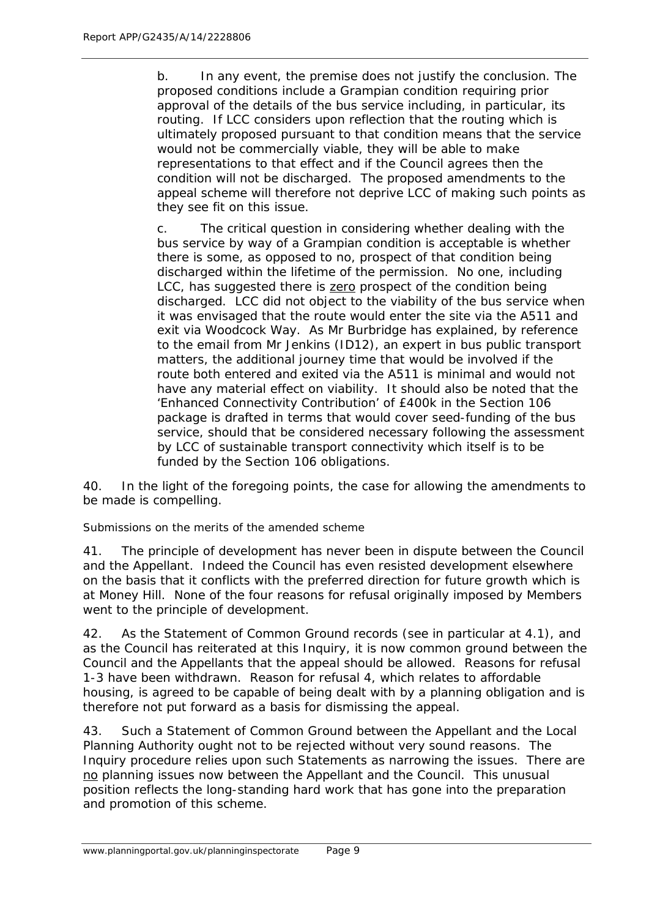b. In any event, the premise does not justify the conclusion. The proposed conditions include a Grampian condition requiring prior approval of the details of the bus service including, in particular, its routing. If LCC considers upon reflection that the routing which is ultimately proposed pursuant to that condition means that the service would not be commercially viable, they will be able to make representations to that effect and if the Council agrees then the condition will not be discharged. The proposed amendments to the appeal scheme will therefore not deprive LCC of making such points as they see fit on this issue.

c. The critical question in considering whether dealing with the bus service by way of a Grampian condition is acceptable is whether there is some, as opposed to no, prospect of that condition being discharged within the lifetime of the permission. No one, including LCC, has suggested there is zero prospect of the condition being discharged. LCC did not object to the viability of the bus service when it was envisaged that the route would enter the site via the A511 and exit via Woodcock Way. As Mr Burbridge has explained, by reference to the email from Mr Jenkins (ID12), an expert in bus public transport matters, the additional journey time that would be involved if the route both entered and exited via the A511 is minimal and would not have any material effect on viability. It should also be noted that the 'Enhanced Connectivity Contribution' of £400k in the Section 106 package is drafted in terms that would cover seed-funding of the bus service, should that be considered necessary following the assessment by LCC of sustainable transport connectivity which itself is to be funded by the Section 106 obligations.

40. In the light of the foregoing points, the case for allowing the amendments to be made is compelling.

Submissions on the merits of the amended scheme

41. The principle of development has never been in dispute between the Council and the Appellant. Indeed the Council has even resisted development elsewhere on the basis that it conflicts with the preferred direction for future growth which is at Money Hill. None of the four reasons for refusal originally imposed by Members went to the principle of development.

42. As the Statement of Common Ground records (see in particular at 4.1), and as the Council has reiterated at this Inquiry, it is now common ground between the Council and the Appellants that the appeal should be allowed. Reasons for refusal 1-3 have been withdrawn. Reason for refusal 4, which relates to affordable housing, is agreed to be capable of being dealt with by a planning obligation and is therefore not put forward as a basis for dismissing the appeal.

43. Such a Statement of Common Ground between the Appellant and the Local Planning Authority ought not to be rejected without very sound reasons. The Inquiry procedure relies upon such Statements as narrowing the issues. There are no planning issues now between the Appellant and the Council. This unusual position reflects the long-standing hard work that has gone into the preparation and promotion of this scheme.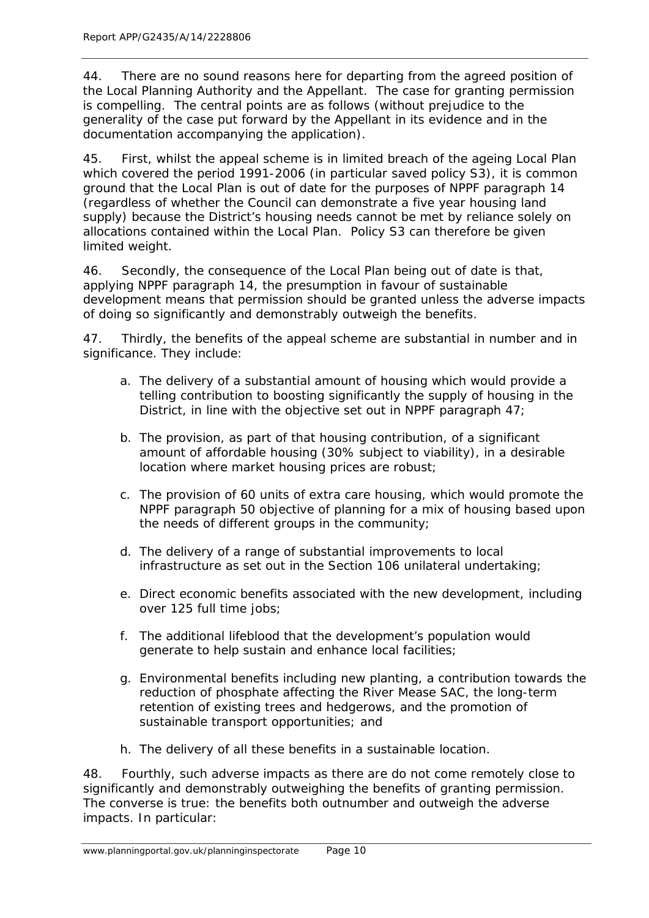44. There are no sound reasons here for departing from the agreed position of the Local Planning Authority and the Appellant. The case for granting permission is compelling. The central points are as follows (without prejudice to the generality of the case put forward by the Appellant in its evidence and in the documentation accompanying the application).

45. First, whilst the appeal scheme is in limited breach of the ageing Local Plan which covered the period 1991-2006 (in particular saved policy S3), it is common ground that the Local Plan is out of date for the purposes of NPPF paragraph 14 (regardless of whether the Council can demonstrate a five year housing land supply) because the District's housing needs cannot be met by reliance solely on allocations contained within the Local Plan. Policy S3 can therefore be given limited weight.

46. Secondly, the consequence of the Local Plan being out of date is that, applying NPPF paragraph 14, the presumption in favour of sustainable development means that permission should be granted unless the adverse impacts of doing so significantly and demonstrably outweigh the benefits.

47. Thirdly, the benefits of the appeal scheme are substantial in number and in significance. They include:

- a. The delivery of a substantial amount of housing which would provide a telling contribution to boosting significantly the supply of housing in the District, in line with the objective set out in NPPF paragraph 47;
- b. The provision, as part of that housing contribution, of a significant amount of affordable housing (30% subject to viability), in a desirable location where market housing prices are robust;
- c. The provision of 60 units of extra care housing, which would promote the NPPF paragraph 50 objective of planning for a mix of housing based upon the needs of different groups in the community;
- d. The delivery of a range of substantial improvements to local infrastructure as set out in the Section 106 unilateral undertaking;
- e. Direct economic benefits associated with the new development, including over 125 full time jobs;
- f. The additional lifeblood that the development's population would generate to help sustain and enhance local facilities;
- g. Environmental benefits including new planting, a contribution towards the reduction of phosphate affecting the River Mease SAC, the long-term retention of existing trees and hedgerows, and the promotion of sustainable transport opportunities; and
- h. The delivery of all these benefits in a sustainable location.

48. Fourthly, such adverse impacts as there are do not come remotely close to significantly and demonstrably outweighing the benefits of granting permission. The converse is true: the benefits both outnumber and outweigh the adverse impacts. In particular: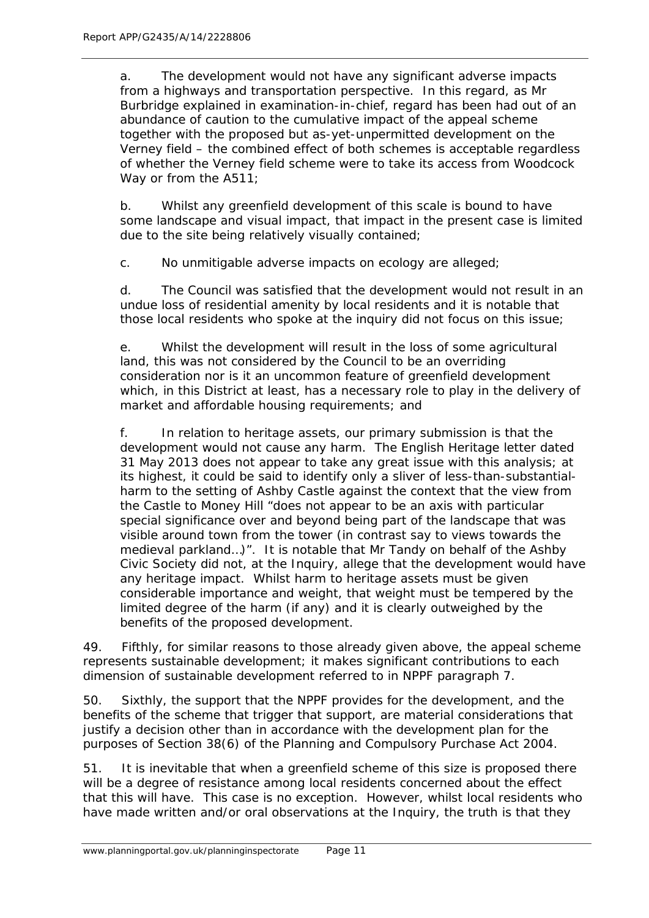a. The development would not have any significant adverse impacts from a highways and transportation perspective. In this regard, as Mr Burbridge explained in examination-in-chief, regard has been had out of an abundance of caution to the cumulative impact of the appeal scheme together with the proposed but as-yet-unpermitted development on the Verney field – the combined effect of both schemes is acceptable regardless of whether the Verney field scheme were to take its access from Woodcock Way or from the A511;

b. Whilst any greenfield development of this scale is bound to have some landscape and visual impact, that impact in the present case is limited due to the site being relatively visually contained;

c. No unmitigable adverse impacts on ecology are alleged;

d. The Council was satisfied that the development would not result in an undue loss of residential amenity by local residents and it is notable that those local residents who spoke at the inquiry did not focus on this issue;

e. Whilst the development will result in the loss of some agricultural land, this was not considered by the Council to be an overriding consideration nor is it an uncommon feature of greenfield development which, in this District at least, has a necessary role to play in the delivery of market and affordable housing requirements; and

f. In relation to heritage assets, our primary submission is that the development would not cause any harm. The English Heritage letter dated 31 May 2013 does not appear to take any great issue with this analysis; at its highest, it could be said to identify only a sliver of less-than-substantialharm to the setting of Ashby Castle against the context that the view from the Castle to Money Hill *"does not appear to be an axis with particular special significance over and beyond being part of the landscape that was visible around town from the tower (in contrast say to views towards the medieval parkland…)"*. It is notable that Mr Tandy on behalf of the Ashby Civic Society did not, at the Inquiry, allege that the development would have any heritage impact. Whilst harm to heritage assets must be given considerable importance and weight, that weight must be tempered by the limited degree of the harm (if any) and it is clearly outweighed by the benefits of the proposed development.

49. Fifthly, for similar reasons to those already given above, the appeal scheme represents sustainable development; it makes significant contributions to each dimension of sustainable development referred to in NPPF paragraph 7.

50. Sixthly, the support that the NPPF provides for the development, and the benefits of the scheme that trigger that support, are material considerations that justify a decision other than in accordance with the development plan for the purposes of Section 38(6) of the Planning and Compulsory Purchase Act 2004.

51. It is inevitable that when a greenfield scheme of this size is proposed there will be a degree of resistance among local residents concerned about the effect that this will have. This case is no exception. However, whilst local residents who have made written and/or oral observations at the Inquiry, the truth is that they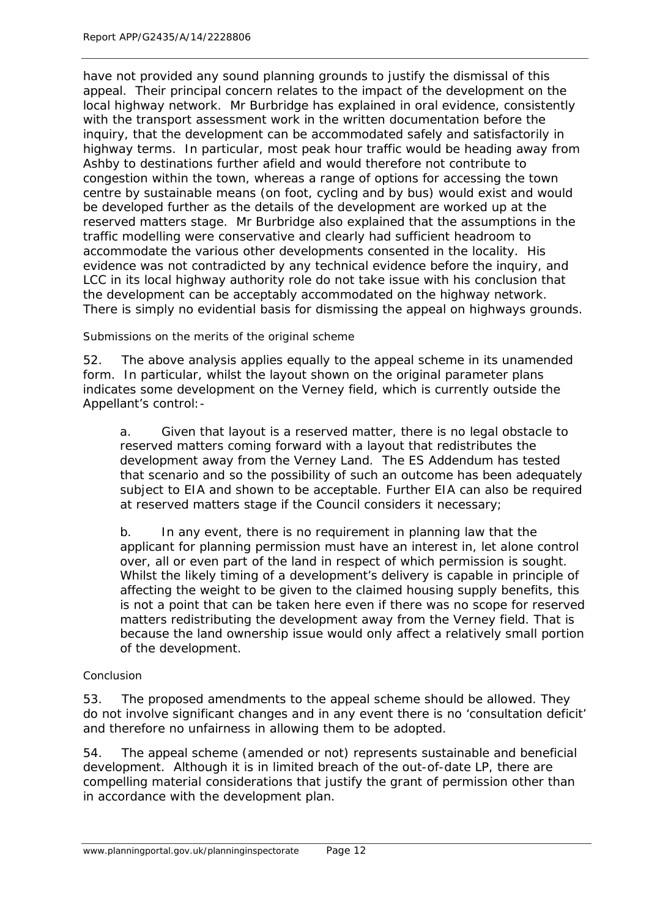have not provided any sound planning grounds to justify the dismissal of this appeal. Their principal concern relates to the impact of the development on the local highway network. Mr Burbridge has explained in oral evidence, consistently with the transport assessment work in the written documentation before the inquiry, that the development can be accommodated safely and satisfactorily in highway terms. In particular, most peak hour traffic would be heading away from Ashby to destinations further afield and would therefore not contribute to congestion within the town, whereas a range of options for accessing the town centre by sustainable means (on foot, cycling and by bus) would exist and would be developed further as the details of the development are worked up at the reserved matters stage. Mr Burbridge also explained that the assumptions in the traffic modelling were conservative and clearly had sufficient headroom to accommodate the various other developments consented in the locality. His evidence was not contradicted by any technical evidence before the inquiry, and LCC in its local highway authority role do not take issue with his conclusion that the development can be acceptably accommodated on the highway network. There is simply no evidential basis for dismissing the appeal on highways grounds.

Submissions on the merits of the original scheme

52. The above analysis applies equally to the appeal scheme in its unamended form. In particular, whilst the layout shown on the original parameter plans indicates some development on the Verney field, which is currently outside the Appellant's control:-

a. Given that layout is a reserved matter, there is no legal obstacle to reserved matters coming forward with a layout that redistributes the development away from the Verney Land. The ES Addendum has tested that scenario and so the possibility of such an outcome has been adequately subject to EIA and shown to be acceptable. Further EIA can also be required at reserved matters stage if the Council considers it necessary;

b. In any event, there is no requirement in planning law that the applicant for planning permission must have an interest in, let alone control over, all or even part of the land in respect of which permission is sought. Whilst the likely timing of a development's delivery is capable in principle of affecting the weight to be given to the claimed housing supply benefits, this is not a point that can be taken here even if there was no scope for reserved matters redistributing the development away from the Verney field. That is because the land ownership issue would only affect a relatively small portion of the development.

#### Conclusion

53. The proposed amendments to the appeal scheme should be allowed. They do not involve significant changes and in any event there is no 'consultation deficit' and therefore no unfairness in allowing them to be adopted.

54. The appeal scheme (amended or not) represents sustainable and beneficial development. Although it is in limited breach of the out-of-date LP, there are compelling material considerations that justify the grant of permission other than in accordance with the development plan.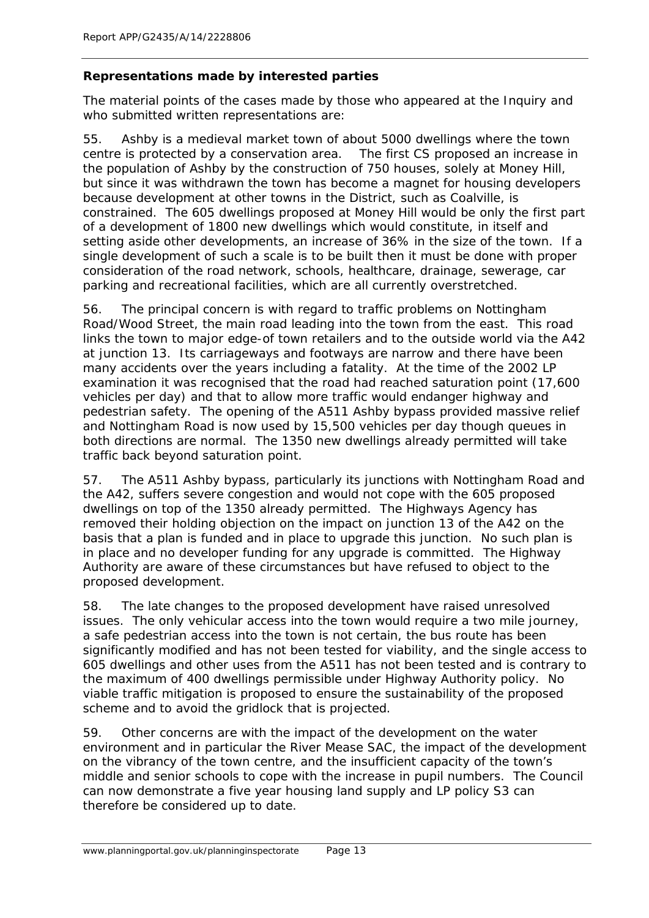## **Representations made by interested parties**

The material points of the cases made by those who appeared at the Inquiry and who submitted written representations are:

55. Ashby is a medieval market town of about 5000 dwellings where the town centre is protected by a conservation area. The first CS proposed an increase in the population of Ashby by the construction of 750 houses, solely at Money Hill, but since it was withdrawn the town has become a magnet for housing developers because development at other towns in the District, such as Coalville, is constrained. The 605 dwellings proposed at Money Hill would be only the first part of a development of 1800 new dwellings which would constitute, in itself and setting aside other developments, an increase of 36% in the size of the town. If a single development of such a scale is to be built then it must be done with proper consideration of the road network, schools, healthcare, drainage, sewerage, car parking and recreational facilities, which are all currently overstretched.

56. The principal concern is with regard to traffic problems on Nottingham Road/Wood Street, the main road leading into the town from the east. This road links the town to major edge-of town retailers and to the outside world via the A42 at junction 13. Its carriageways and footways are narrow and there have been many accidents over the years including a fatality. At the time of the 2002 LP examination it was recognised that the road had reached saturation point (17,600 vehicles per day) and that to allow more traffic would endanger highway and pedestrian safety. The opening of the A511 Ashby bypass provided massive relief and Nottingham Road is now used by 15,500 vehicles per day though queues in both directions are normal. The 1350 new dwellings already permitted will take traffic back beyond saturation point.

57. The A511 Ashby bypass, particularly its junctions with Nottingham Road and the A42, suffers severe congestion and would not cope with the 605 proposed dwellings on top of the 1350 already permitted. The Highways Agency has removed their holding objection on the impact on junction 13 of the A42 on the basis that a plan is funded and in place to upgrade this junction. No such plan is in place and no developer funding for any upgrade is committed. The Highway Authority are aware of these circumstances but have refused to object to the proposed development.

58. The late changes to the proposed development have raised unresolved issues. The only vehicular access into the town would require a two mile journey, a safe pedestrian access into the town is not certain, the bus route has been significantly modified and has not been tested for viability, and the single access to 605 dwellings and other uses from the A511 has not been tested and is contrary to the maximum of 400 dwellings permissible under Highway Authority policy. No viable traffic mitigation is proposed to ensure the sustainability of the proposed scheme and to avoid the gridlock that is projected.

59. Other concerns are with the impact of the development on the water environment and in particular the River Mease SAC, the impact of the development on the vibrancy of the town centre, and the insufficient capacity of the town's middle and senior schools to cope with the increase in pupil numbers. The Council can now demonstrate a five year housing land supply and LP policy S3 can therefore be considered up to date.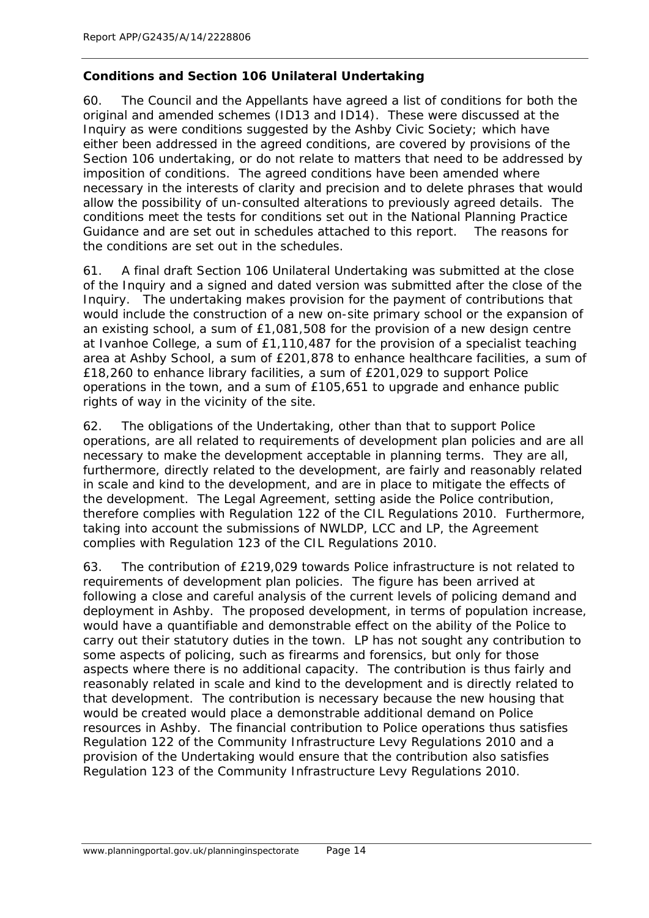## **Conditions and Section 106 Unilateral Undertaking**

60. The Council and the Appellants have agreed a list of conditions for both the original and amended schemes (ID13 and ID14). These were discussed at the Inquiry as were conditions suggested by the Ashby Civic Society; which have either been addressed in the agreed conditions, are covered by provisions of the Section 106 undertaking, or do not relate to matters that need to be addressed by imposition of conditions. The agreed conditions have been amended where necessary in the interests of clarity and precision and to delete phrases that would allow the possibility of un-consulted alterations to previously agreed details. The conditions meet the tests for conditions set out in the National Planning Practice Guidance and are set out in schedules attached to this report. The reasons for the conditions are set out in the schedules.

61. A final draft Section 106 Unilateral Undertaking was submitted at the close of the Inquiry and a signed and dated version was submitted after the close of the Inquiry. The undertaking makes provision for the payment of contributions that would include the construction of a new on-site primary school or the expansion of an existing school, a sum of £1,081,508 for the provision of a new design centre at Ivanhoe College, a sum of £1,110,487 for the provision of a specialist teaching area at Ashby School, a sum of £201,878 to enhance healthcare facilities, a sum of £18,260 to enhance library facilities, a sum of £201,029 to support Police operations in the town, and a sum of £105,651 to upgrade and enhance public rights of way in the vicinity of the site.

62. The obligations of the Undertaking, other than that to support Police operations, are all related to requirements of development plan policies and are all necessary to make the development acceptable in planning terms. They are all, furthermore, directly related to the development, are fairly and reasonably related in scale and kind to the development, and are in place to mitigate the effects of the development. The Legal Agreement, setting aside the Police contribution, therefore complies with Regulation 122 of the CIL Regulations 2010. Furthermore, taking into account the submissions of NWLDP, LCC and LP, the Agreement complies with Regulation 123 of the CIL Regulations 2010.

63. The contribution of £219,029 towards Police infrastructure is not related to requirements of development plan policies. The figure has been arrived at following a close and careful analysis of the current levels of policing demand and deployment in Ashby. The proposed development, in terms of population increase, would have a quantifiable and demonstrable effect on the ability of the Police to carry out their statutory duties in the town. LP has not sought any contribution to some aspects of policing, such as firearms and forensics, but only for those aspects where there is no additional capacity. The contribution is thus fairly and reasonably related in scale and kind to the development and is directly related to that development. The contribution is necessary because the new housing that would be created would place a demonstrable additional demand on Police resources in Ashby. The financial contribution to Police operations thus satisfies Regulation 122 of the Community Infrastructure Levy Regulations 2010 and a provision of the Undertaking would ensure that the contribution also satisfies Regulation 123 of the Community Infrastructure Levy Regulations 2010.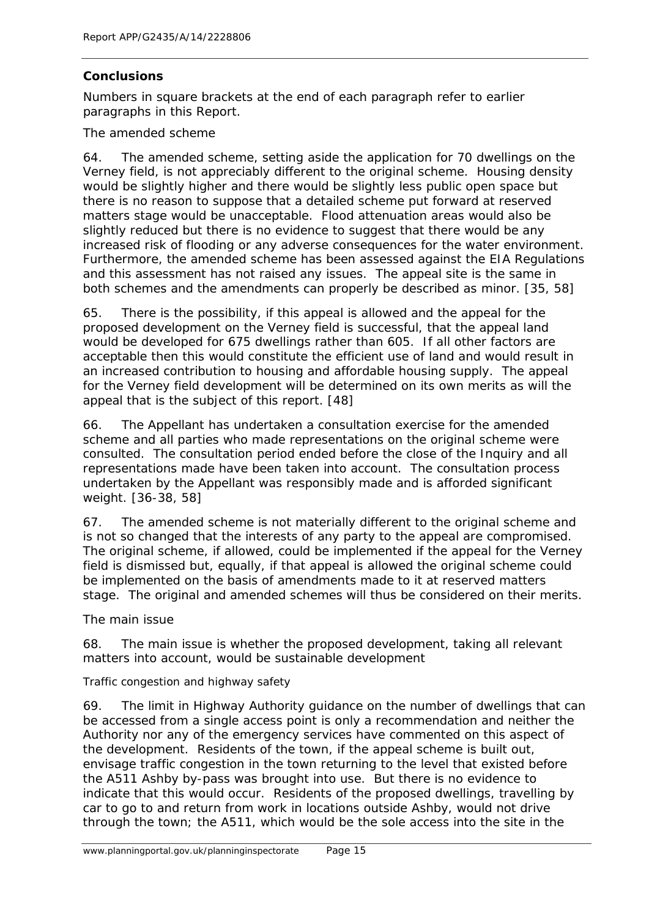## **Conclusions**

*Numbers in square brackets at the end of each paragraph refer to earlier paragraphs in this Report.*

The amended scheme

64. The amended scheme, setting aside the application for 70 dwellings on the Verney field, is not appreciably different to the original scheme. Housing density would be slightly higher and there would be slightly less public open space but there is no reason to suppose that a detailed scheme put forward at reserved matters stage would be unacceptable. Flood attenuation areas would also be slightly reduced but there is no evidence to suggest that there would be any increased risk of flooding or any adverse consequences for the water environment. Furthermore, the amended scheme has been assessed against the EIA Regulations and this assessment has not raised any issues. The appeal site is the same in both schemes and the amendments can properly be described as minor. [35, 58]

65. There is the possibility, if this appeal is allowed and the appeal for the proposed development on the Verney field is successful, that the appeal land would be developed for 675 dwellings rather than 605. If all other factors are acceptable then this would constitute the efficient use of land and would result in an increased contribution to housing and affordable housing supply. The appeal for the Verney field development will be determined on its own merits as will the appeal that is the subject of this report. [48]

66. The Appellant has undertaken a consultation exercise for the amended scheme and all parties who made representations on the original scheme were consulted. The consultation period ended before the close of the Inquiry and all representations made have been taken into account. The consultation process undertaken by the Appellant was responsibly made and is afforded significant weight. [36-38, 58]

67. The amended scheme is not materially different to the original scheme and is not so changed that the interests of any party to the appeal are compromised. The original scheme, if allowed, could be implemented if the appeal for the Verney field is dismissed but, equally, if that appeal is allowed the original scheme could be implemented on the basis of amendments made to it at reserved matters stage. The original and amended schemes will thus be considered on their merits.

The main issue

68. The main issue is whether the proposed development, taking all relevant matters into account, would be sustainable development

Traffic congestion and highway safety

69. The limit in Highway Authority guidance on the number of dwellings that can be accessed from a single access point is only a recommendation and neither the Authority nor any of the emergency services have commented on this aspect of the development. Residents of the town, if the appeal scheme is built out, envisage traffic congestion in the town returning to the level that existed before the A511 Ashby by-pass was brought into use. But there is no evidence to indicate that this would occur. Residents of the proposed dwellings, travelling by car to go to and return from work in locations outside Ashby, would not drive through the town; the A511, which would be the sole access into the site in the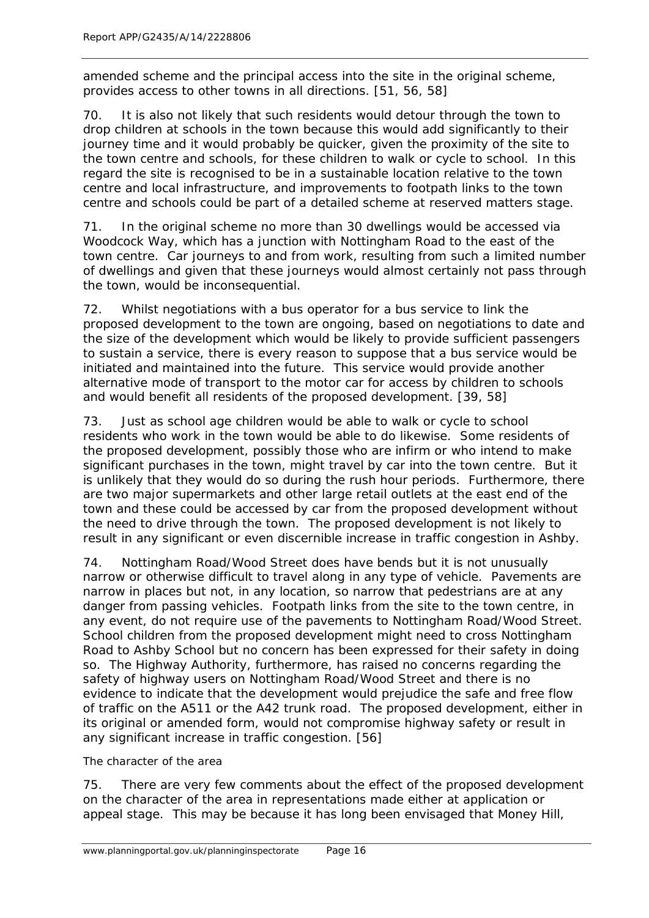amended scheme and the principal access into the site in the original scheme, provides access to other towns in all directions. [51, 56, 58]

70. It is also not likely that such residents would detour through the town to drop children at schools in the town because this would add significantly to their journey time and it would probably be quicker, given the proximity of the site to the town centre and schools, for these children to walk or cycle to school. In this regard the site is recognised to be in a sustainable location relative to the town centre and local infrastructure, and improvements to footpath links to the town centre and schools could be part of a detailed scheme at reserved matters stage.

71. In the original scheme no more than 30 dwellings would be accessed via Woodcock Way, which has a junction with Nottingham Road to the east of the town centre. Car journeys to and from work, resulting from such a limited number of dwellings and given that these journeys would almost certainly not pass through the town, would be inconsequential.

72. Whilst negotiations with a bus operator for a bus service to link the proposed development to the town are ongoing, based on negotiations to date and the size of the development which would be likely to provide sufficient passengers to sustain a service, there is every reason to suppose that a bus service would be initiated and maintained into the future. This service would provide another alternative mode of transport to the motor car for access by children to schools and would benefit all residents of the proposed development. [39, 58]

73. Just as school age children would be able to walk or cycle to school residents who work in the town would be able to do likewise. Some residents of the proposed development, possibly those who are infirm or who intend to make significant purchases in the town, might travel by car into the town centre. But it is unlikely that they would do so during the rush hour periods. Furthermore, there are two major supermarkets and other large retail outlets at the east end of the town and these could be accessed by car from the proposed development without the need to drive through the town. The proposed development is not likely to result in any significant or even discernible increase in traffic congestion in Ashby.

74. Nottingham Road/Wood Street does have bends but it is not unusually narrow or otherwise difficult to travel along in any type of vehicle. Pavements are narrow in places but not, in any location, so narrow that pedestrians are at any danger from passing vehicles. Footpath links from the site to the town centre, in any event, do not require use of the pavements to Nottingham Road/Wood Street. School children from the proposed development might need to cross Nottingham Road to Ashby School but no concern has been expressed for their safety in doing so. The Highway Authority, furthermore, has raised no concerns regarding the safety of highway users on Nottingham Road/Wood Street and there is no evidence to indicate that the development would prejudice the safe and free flow of traffic on the A511 or the A42 trunk road. The proposed development, either in its original or amended form, would not compromise highway safety or result in any significant increase in traffic congestion. [56]

The character of the area

75. There are very few comments about the effect of the proposed development on the character of the area in representations made either at application or appeal stage. This may be because it has long been envisaged that Money Hill,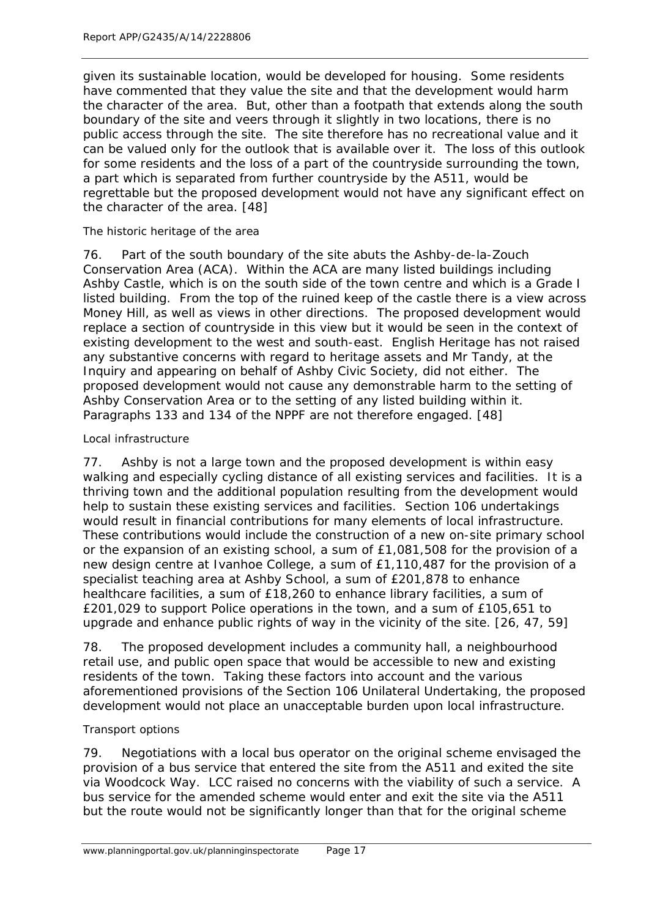given its sustainable location, would be developed for housing. Some residents have commented that they value the site and that the development would harm the character of the area. But, other than a footpath that extends along the south boundary of the site and veers through it slightly in two locations, there is no public access through the site. The site therefore has no recreational value and it can be valued only for the outlook that is available over it. The loss of this outlook for some residents and the loss of a part of the countryside surrounding the town, a part which is separated from further countryside by the A511, would be regrettable but the proposed development would not have any significant effect on the character of the area. [48]

#### The historic heritage of the area

76. Part of the south boundary of the site abuts the Ashby-de-la-Zouch Conservation Area (ACA). Within the ACA are many listed buildings including Ashby Castle, which is on the south side of the town centre and which is a Grade I listed building. From the top of the ruined keep of the castle there is a view across Money Hill, as well as views in other directions. The proposed development would replace a section of countryside in this view but it would be seen in the context of existing development to the west and south-east. English Heritage has not raised any substantive concerns with regard to heritage assets and Mr Tandy, at the Inquiry and appearing on behalf of Ashby Civic Society, did not either. The proposed development would not cause any demonstrable harm to the setting of Ashby Conservation Area or to the setting of any listed building within it. Paragraphs 133 and 134 of the NPPF are not therefore engaged. [48]

#### Local infrastructure

77. Ashby is not a large town and the proposed development is within easy walking and especially cycling distance of all existing services and facilities. It is a thriving town and the additional population resulting from the development would help to sustain these existing services and facilities. Section 106 undertakings would result in financial contributions for many elements of local infrastructure. These contributions would include the construction of a new on-site primary school or the expansion of an existing school, a sum of £1,081,508 for the provision of a new design centre at Ivanhoe College, a sum of £1,110,487 for the provision of a specialist teaching area at Ashby School, a sum of £201,878 to enhance healthcare facilities, a sum of £18,260 to enhance library facilities, a sum of £201,029 to support Police operations in the town, and a sum of £105,651 to upgrade and enhance public rights of way in the vicinity of the site. [26, 47, 59]

78. The proposed development includes a community hall, a neighbourhood retail use, and public open space that would be accessible to new and existing residents of the town. Taking these factors into account and the various aforementioned provisions of the Section 106 Unilateral Undertaking, the proposed development would not place an unacceptable burden upon local infrastructure.

#### Transport options

79. Negotiations with a local bus operator on the original scheme envisaged the provision of a bus service that entered the site from the A511 and exited the site via Woodcock Way. LCC raised no concerns with the viability of such a service. A bus service for the amended scheme would enter and exit the site via the A511 but the route would not be significantly longer than that for the original scheme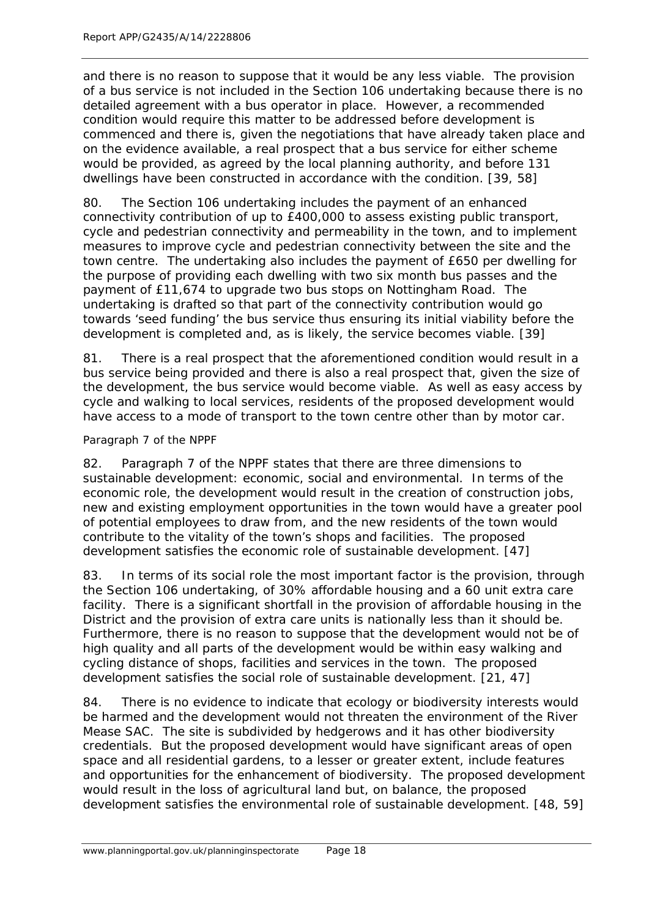and there is no reason to suppose that it would be any less viable. The provision of a bus service is not included in the Section 106 undertaking because there is no detailed agreement with a bus operator in place. However, a recommended condition would require this matter to be addressed before development is commenced and there is, given the negotiations that have already taken place and on the evidence available, a real prospect that a bus service for either scheme would be provided, as agreed by the local planning authority, and before 131 dwellings have been constructed in accordance with the condition. [39, 58]

80. The Section 106 undertaking includes the payment of an enhanced connectivity contribution of up to £400,000 to assess existing public transport, cycle and pedestrian connectivity and permeability in the town, and to implement measures to improve cycle and pedestrian connectivity between the site and the town centre. The undertaking also includes the payment of £650 per dwelling for the purpose of providing each dwelling with two six month bus passes and the payment of £11,674 to upgrade two bus stops on Nottingham Road. The undertaking is drafted so that part of the connectivity contribution would go towards 'seed funding' the bus service thus ensuring its initial viability before the development is completed and, as is likely, the service becomes viable. [39]

81. There is a real prospect that the aforementioned condition would result in a bus service being provided and there is also a real prospect that, given the size of the development, the bus service would become viable. As well as easy access by cycle and walking to local services, residents of the proposed development would have access to a mode of transport to the town centre other than by motor car.

#### Paragraph 7 of the NPPF

82. Paragraph 7 of the NPPF states that there are three dimensions to sustainable development: economic, social and environmental. In terms of the economic role, the development would result in the creation of construction jobs, new and existing employment opportunities in the town would have a greater pool of potential employees to draw from, and the new residents of the town would contribute to the vitality of the town's shops and facilities. The proposed development satisfies the economic role of sustainable development. [47]

83. In terms of its social role the most important factor is the provision, through the Section 106 undertaking, of 30% affordable housing and a 60 unit extra care facility. There is a significant shortfall in the provision of affordable housing in the District and the provision of extra care units is nationally less than it should be. Furthermore, there is no reason to suppose that the development would not be of high quality and all parts of the development would be within easy walking and cycling distance of shops, facilities and services in the town. The proposed development satisfies the social role of sustainable development. [21, 47]

84. There is no evidence to indicate that ecology or biodiversity interests would be harmed and the development would not threaten the environment of the River Mease SAC. The site is subdivided by hedgerows and it has other biodiversity credentials. But the proposed development would have significant areas of open space and all residential gardens, to a lesser or greater extent, include features and opportunities for the enhancement of biodiversity. The proposed development would result in the loss of agricultural land but, on balance, the proposed development satisfies the environmental role of sustainable development. [48, 59]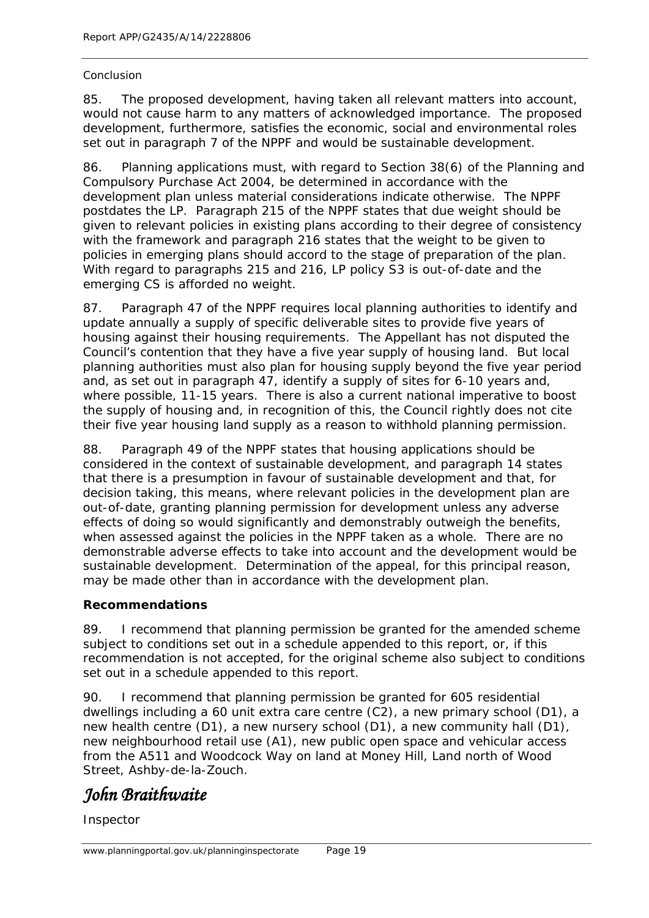#### Conclusion

85. The proposed development, having taken all relevant matters into account, would not cause harm to any matters of acknowledged importance. The proposed development, furthermore, satisfies the economic, social and environmental roles set out in paragraph 7 of the NPPF and would be sustainable development.

86. Planning applications must, with regard to Section 38(6) of the Planning and Compulsory Purchase Act 2004, be determined in accordance with the development plan unless material considerations indicate otherwise. The NPPF postdates the LP. Paragraph 215 of the NPPF states that due weight should be given to relevant policies in existing plans according to their degree of consistency with the framework and paragraph 216 states that the weight to be given to policies in emerging plans should accord to the stage of preparation of the plan. With regard to paragraphs 215 and 216, LP policy S3 is out-of-date and the emerging CS is afforded no weight.

87. Paragraph 47 of the NPPF requires local planning authorities to identify and update annually a supply of specific deliverable sites to provide five years of housing against their housing requirements. The Appellant has not disputed the Council's contention that they have a five year supply of housing land. But local planning authorities must also plan for housing supply beyond the five year period and, as set out in paragraph 47, identify a supply of sites for 6-10 years and, where possible, 11-15 years. There is also a current national imperative to boost the supply of housing and, in recognition of this, the Council rightly does not cite their five year housing land supply as a reason to withhold planning permission.

88. Paragraph 49 of the NPPF states that housing applications should be considered in the context of sustainable development, and paragraph 14 states that there is a presumption in favour of sustainable development and that, for decision taking, this means, where relevant policies in the development plan are out-of-date, granting planning permission for development unless any adverse effects of doing so would significantly and demonstrably outweigh the benefits, when assessed against the policies in the NPPF taken as a whole. There are no demonstrable adverse effects to take into account and the development would be sustainable development. Determination of the appeal, for this principal reason, may be made other than in accordance with the development plan.

## **Recommendations**

89. I recommend that planning permission be granted for the amended scheme subject to conditions set out in a schedule appended to this report, or, if this recommendation is not accepted, for the original scheme also subject to conditions set out in a schedule appended to this report.

90. I recommend that planning permission be granted for 605 residential dwellings including a 60 unit extra care centre (C2), a new primary school (D1), a new health centre (D1), a new nursery school (D1), a new community hall (D1), new neighbourhood retail use (A1), new public open space and vehicular access from the A511 and Woodcock Way on land at Money Hill, Land north of Wood Street, Ashby-de-la-Zouch.

# *John Braithwaite*

Inspector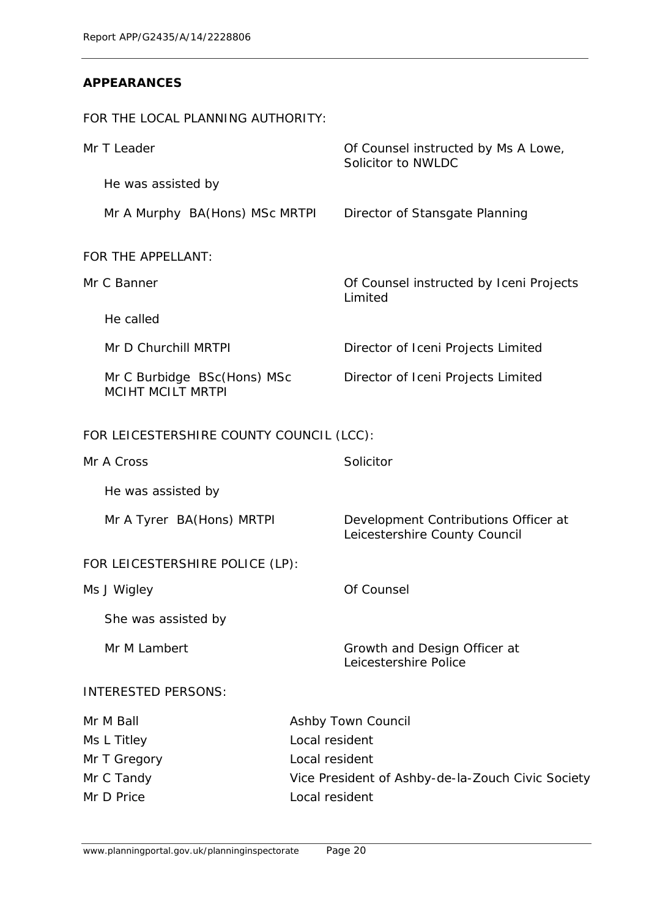## **APPEARANCES**

FOR THE LOCAL PLANNING AUTHORITY:

| Mr T Leader                                             | Of Counsel instructed by Ms A Lowe,<br>Solicitor to NWLDC             |  |
|---------------------------------------------------------|-----------------------------------------------------------------------|--|
| He was assisted by                                      |                                                                       |  |
| Mr A Murphy BA(Hons) MSc MRTPI                          | Director of Stansgate Planning                                        |  |
| FOR THE APPELLANT:                                      |                                                                       |  |
| Mr C Banner                                             | Of Counsel instructed by Iceni Projects<br>Limited                    |  |
| He called                                               |                                                                       |  |
| Mr D Churchill MRTPI                                    | Director of Iceni Projects Limited                                    |  |
| Mr C Burbidge BSc(Hons) MSc<br><b>MCIHT MCILT MRTPI</b> | Director of Iceni Projects Limited                                    |  |
| FOR LEICESTERSHIRE COUNTY COUNCIL (LCC):                |                                                                       |  |
| Mr A Cross                                              | Solicitor                                                             |  |
| He was assisted by                                      |                                                                       |  |
| Mr A Tyrer BA(Hons) MRTPI                               | Development Contributions Officer at<br>Leicestershire County Council |  |
| FOR LEICESTERSHIRE POLICE (LP):                         |                                                                       |  |
| Ms J Wigley                                             | Of Counsel                                                            |  |
| She was assisted by                                     |                                                                       |  |
| Mr M Lambert                                            | Growth and Design Officer at<br>Leicestershire Police                 |  |
| <b>INTERESTED PERSONS:</b>                              |                                                                       |  |
| Mr M Ball                                               | Ashby Town Council                                                    |  |
| Ms L Titley                                             | Local resident                                                        |  |
| Mr T Gregory                                            | Local resident                                                        |  |
| Mr C Tandy                                              | Vice President of Ashby-de-la-Zouch Civic Society                     |  |
| Mr D Price                                              | Local resident                                                        |  |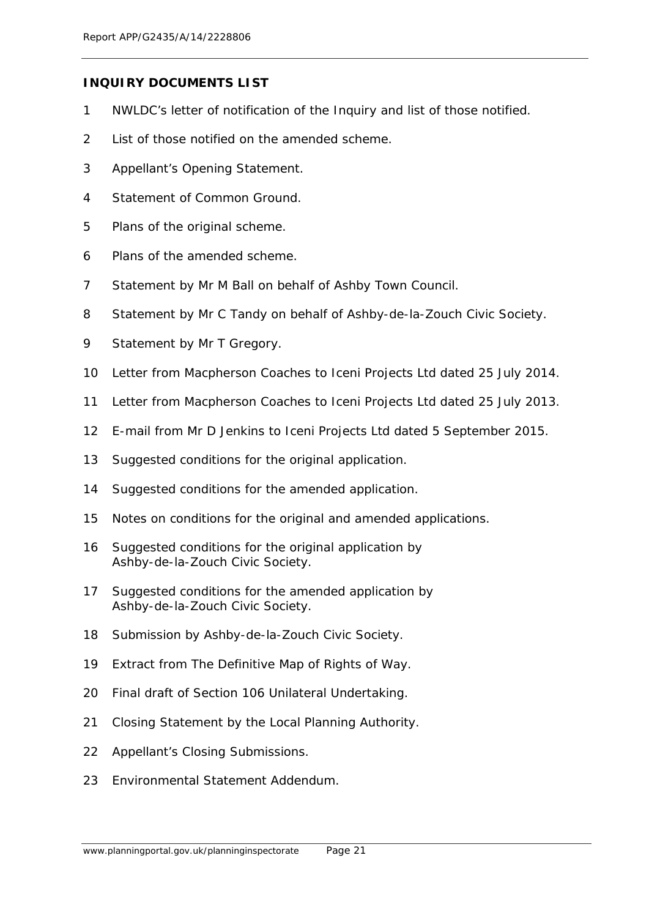#### **INQUIRY DOCUMENTS LIST**

- NWLDC's letter of notification of the Inquiry and list of those notified.
- List of those notified on the amended scheme.
- Appellant's Opening Statement.
- Statement of Common Ground.
- Plans of the original scheme.
- Plans of the amended scheme.
- Statement by Mr M Ball on behalf of Ashby Town Council.
- Statement by Mr C Tandy on behalf of Ashby-de-la-Zouch Civic Society.
- Statement by Mr T Gregory.
- Letter from Macpherson Coaches to Iceni Projects Ltd dated 25 July 2014.
- Letter from Macpherson Coaches to Iceni Projects Ltd dated 25 July 2013.
- E-mail from Mr D Jenkins to Iceni Projects Ltd dated 5 September 2015.
- Suggested conditions for the original application.
- Suggested conditions for the amended application.
- Notes on conditions for the original and amended applications.
- Suggested conditions for the original application by Ashby-de-la-Zouch Civic Society.
- Suggested conditions for the amended application by Ashby-de-la-Zouch Civic Society.
- Submission by Ashby-de-la-Zouch Civic Society.
- Extract from The Definitive Map of Rights of Way.
- Final draft of Section 106 Unilateral Undertaking.
- Closing Statement by the Local Planning Authority.
- Appellant's Closing Submissions.
- Environmental Statement Addendum.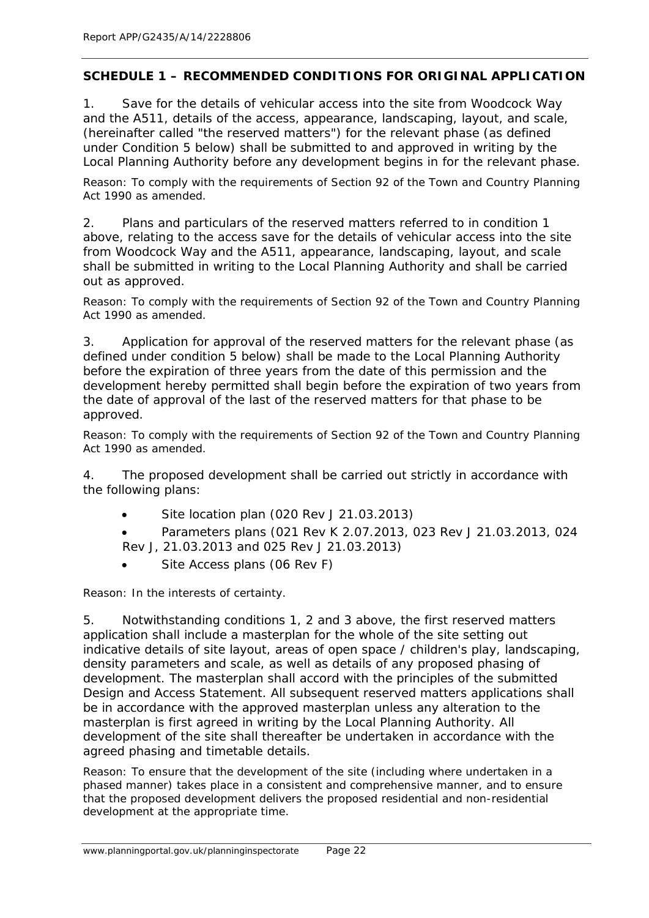## **SCHEDULE 1 – RECOMMENDED CONDITIONS FOR ORIGINAL APPLICATION**

1. Save for the details of vehicular access into the site from Woodcock Way and the A511, details of the access, appearance, landscaping, layout, and scale, (hereinafter called "the reserved matters") for the relevant phase (as defined under Condition 5 below) shall be submitted to and approved in writing by the Local Planning Authority before any development begins in for the relevant phase.

Reason: To comply with the requirements of Section 92 of the Town and Country Planning Act 1990 as amended.

2. Plans and particulars of the reserved matters referred to in condition 1 above, relating to the access save for the details of vehicular access into the site from Woodcock Way and the A511, appearance, landscaping, layout, and scale shall be submitted in writing to the Local Planning Authority and shall be carried out as approved.

Reason: To comply with the requirements of Section 92 of the Town and Country Planning Act 1990 as amended.

3. Application for approval of the reserved matters for the relevant phase (as defined under condition 5 below) shall be made to the Local Planning Authority before the expiration of three years from the date of this permission and the development hereby permitted shall begin before the expiration of two years from the date of approval of the last of the reserved matters for that phase to be approved.

Reason: To comply with the requirements of Section 92 of the Town and Country Planning Act 1990 as amended.

4. The proposed development shall be carried out strictly in accordance with the following plans:

• Site location plan (020 Rev J 21.03.2013)

• Parameters plans (021 Rev K 2.07.2013, 023 Rev J 21.03.2013, 024 Rev J, 21.03.2013 and 025 Rev J 21.03.2013)

Site Access plans (06 Rev F)

Reason: In the interests of certainty.

5. Notwithstanding conditions 1, 2 and 3 above, the first reserved matters application shall include a masterplan for the whole of the site setting out indicative details of site layout, areas of open space / children's play, landscaping, density parameters and scale, as well as details of any proposed phasing of development. The masterplan shall accord with the principles of the submitted Design and Access Statement. All subsequent reserved matters applications shall be in accordance with the approved masterplan unless any alteration to the masterplan is first agreed in writing by the Local Planning Authority. All development of the site shall thereafter be undertaken in accordance with the agreed phasing and timetable details.

Reason: To ensure that the development of the site (including where undertaken in a phased manner) takes place in a consistent and comprehensive manner, and to ensure that the proposed development delivers the proposed residential and non-residential development at the appropriate time.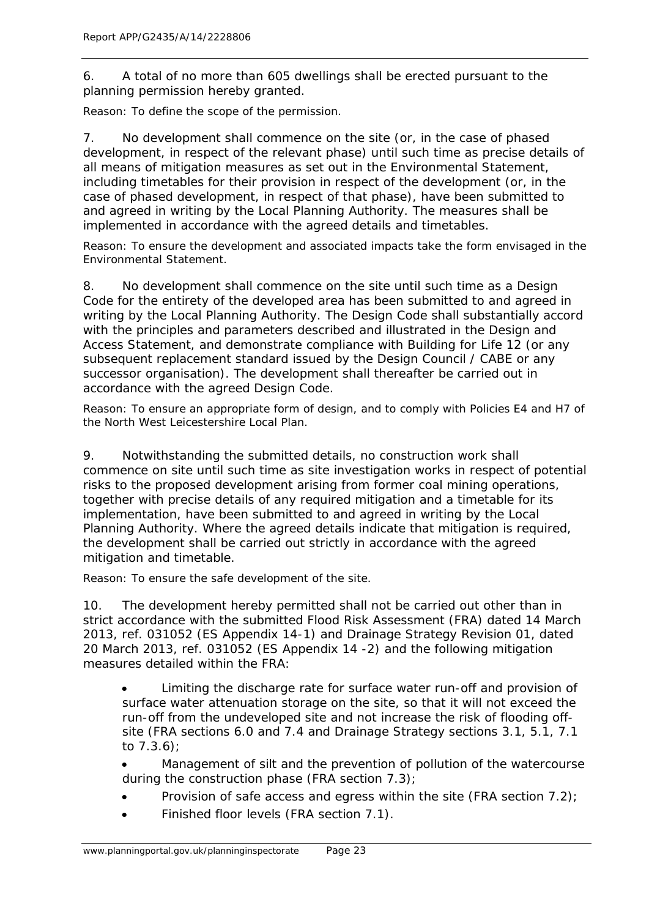6. A total of no more than 605 dwellings shall be erected pursuant to the planning permission hereby granted.

Reason: To define the scope of the permission.

7. No development shall commence on the site (or, in the case of phased development, in respect of the relevant phase) until such time as precise details of all means of mitigation measures as set out in the Environmental Statement, including timetables for their provision in respect of the development (or, in the case of phased development, in respect of that phase), have been submitted to and agreed in writing by the Local Planning Authority. The measures shall be implemented in accordance with the agreed details and timetables.

Reason: To ensure the development and associated impacts take the form envisaged in the Environmental Statement.

8. No development shall commence on the site until such time as a Design Code for the entirety of the developed area has been submitted to and agreed in writing by the Local Planning Authority. The Design Code shall substantially accord with the principles and parameters described and illustrated in the Design and Access Statement, and demonstrate compliance with Building for Life 12 (or any subsequent replacement standard issued by the Design Council / CABE or any successor organisation). The development shall thereafter be carried out in accordance with the agreed Design Code.

Reason: To ensure an appropriate form of design, and to comply with Policies E4 and H7 of the North West Leicestershire Local Plan.

9. Notwithstanding the submitted details, no construction work shall commence on site until such time as site investigation works in respect of potential risks to the proposed development arising from former coal mining operations, together with precise details of any required mitigation and a timetable for its implementation, have been submitted to and agreed in writing by the Local Planning Authority. Where the agreed details indicate that mitigation is required, the development shall be carried out strictly in accordance with the agreed mitigation and timetable.

Reason: To ensure the safe development of the site.

10. The development hereby permitted shall not be carried out other than in strict accordance with the submitted Flood Risk Assessment (FRA) dated 14 March 2013, ref. 031052 (ES Appendix 14-1) and Drainage Strategy Revision 01, dated 20 March 2013, ref. 031052 (ES Appendix 14 -2) and the following mitigation measures detailed within the FRA:

• Limiting the discharge rate for surface water run-off and provision of surface water attenuation storage on the site, so that it will not exceed the run-off from the undeveloped site and not increase the risk of flooding offsite (FRA sections 6.0 and 7.4 and Drainage Strategy sections 3.1, 5.1, 7.1 to 7.3.6);

• Management of silt and the prevention of pollution of the watercourse during the construction phase (FRA section 7.3);

- Provision of safe access and egress within the site (FRA section 7.2);
- Finished floor levels (FRA section 7.1).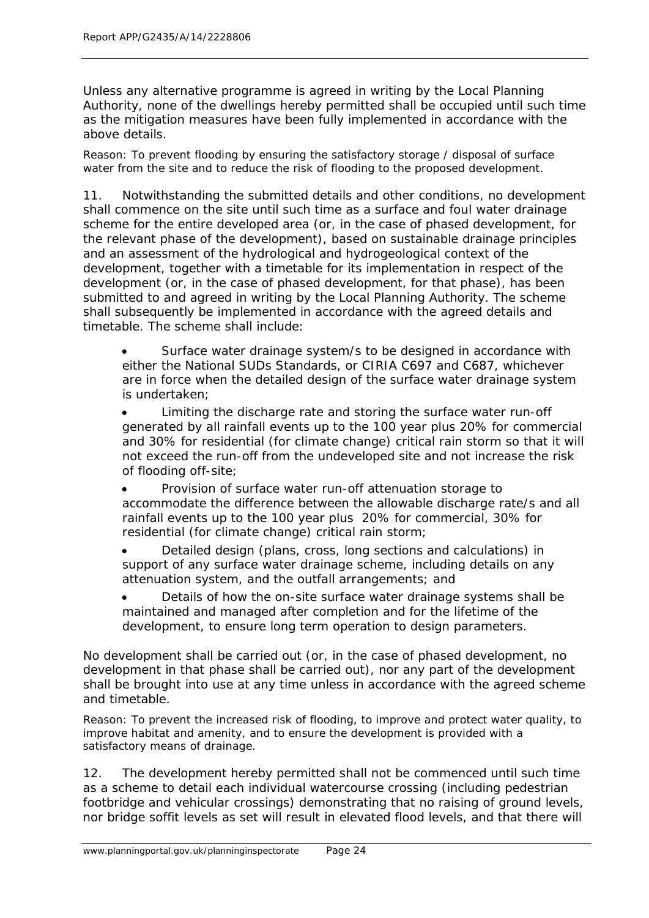Unless any alternative programme is agreed in writing by the Local Planning Authority, none of the dwellings hereby permitted shall be occupied until such time as the mitigation measures have been fully implemented in accordance with the above details.

Reason: To prevent flooding by ensuring the satisfactory storage / disposal of surface water from the site and to reduce the risk of flooding to the proposed development.

11. Notwithstanding the submitted details and other conditions, no development shall commence on the site until such time as a surface and foul water drainage scheme for the entire developed area (or, in the case of phased development, for the relevant phase of the development), based on sustainable drainage principles and an assessment of the hydrological and hydrogeological context of the development, together with a timetable for its implementation in respect of the development (or, in the case of phased development, for that phase), has been submitted to and agreed in writing by the Local Planning Authority. The scheme shall subsequently be implemented in accordance with the agreed details and timetable. The scheme shall include:

Surface water drainage system/s to be designed in accordance with either the National SUDs Standards, or CIRIA C697 and C687, whichever are in force when the detailed design of the surface water drainage system is undertaken;

• Limiting the discharge rate and storing the surface water run-off generated by all rainfall events up to the 100 year plus 20% for commercial and 30% for residential (for climate change) critical rain storm so that it will not exceed the run-off from the undeveloped site and not increase the risk of flooding off-site;

• Provision of surface water run-off attenuation storage to accommodate the difference between the allowable discharge rate/s and all rainfall events up to the 100 year plus 20% for commercial, 30% for residential (for climate change) critical rain storm;

• Detailed design (plans, cross, long sections and calculations) in support of any surface water drainage scheme, including details on any attenuation system, and the outfall arrangements; and

• Details of how the on-site surface water drainage systems shall be maintained and managed after completion and for the lifetime of the development, to ensure long term operation to design parameters.

No development shall be carried out (or, in the case of phased development, no development in that phase shall be carried out), nor any part of the development shall be brought into use at any time unless in accordance with the agreed scheme and timetable.

Reason: To prevent the increased risk of flooding, to improve and protect water quality, to improve habitat and amenity, and to ensure the development is provided with a satisfactory means of drainage.

12. The development hereby permitted shall not be commenced until such time as a scheme to detail each individual watercourse crossing (including pedestrian footbridge and vehicular crossings) demonstrating that no raising of ground levels, nor bridge soffit levels as set will result in elevated flood levels, and that there will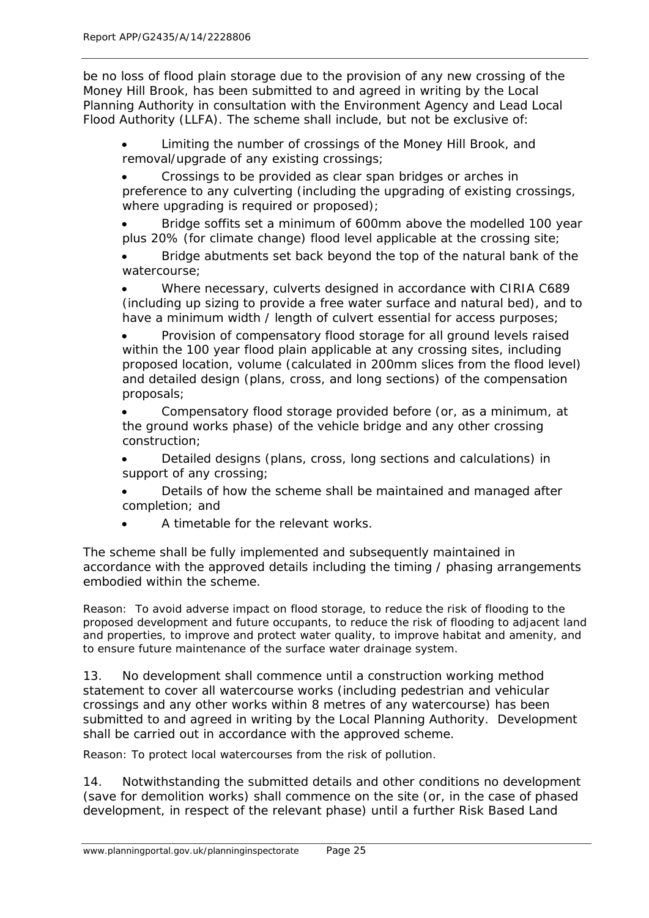be no loss of flood plain storage due to the provision of any new crossing of the Money Hill Brook, has been submitted to and agreed in writing by the Local Planning Authority in consultation with the Environment Agency and Lead Local Flood Authority (LLFA). The scheme shall include, but not be exclusive of:

• Limiting the number of crossings of the Money Hill Brook, and removal/upgrade of any existing crossings;

• Crossings to be provided as clear span bridges or arches in preference to any culverting (including the upgrading of existing crossings, where upgrading is required or proposed);

• Bridge soffits set a minimum of 600mm above the modelled 100 year plus 20% (for climate change) flood level applicable at the crossing site;

• Bridge abutments set back beyond the top of the natural bank of the watercourse;

• Where necessary, culverts designed in accordance with CIRIA C689 (including up sizing to provide a free water surface and natural bed), and to have a minimum width / length of culvert essential for access purposes;

• Provision of compensatory flood storage for all ground levels raised within the 100 year flood plain applicable at any crossing sites, including proposed location, volume (calculated in 200mm slices from the flood level) and detailed design (plans, cross, and long sections) of the compensation proposals;

• Compensatory flood storage provided before (or, as a minimum, at the ground works phase) of the vehicle bridge and any other crossing construction;

• Detailed designs (plans, cross, long sections and calculations) in support of any crossing;

• Details of how the scheme shall be maintained and managed after completion; and

• A timetable for the relevant works.

The scheme shall be fully implemented and subsequently maintained in accordance with the approved details including the timing / phasing arrangements embodied within the scheme.

Reason: To avoid adverse impact on flood storage, to reduce the risk of flooding to the proposed development and future occupants, to reduce the risk of flooding to adjacent land and properties, to improve and protect water quality, to improve habitat and amenity, and to ensure future maintenance of the surface water drainage system.

13. No development shall commence until a construction working method statement to cover all watercourse works (including pedestrian and vehicular crossings and any other works within 8 metres of any watercourse) has been submitted to and agreed in writing by the Local Planning Authority. Development shall be carried out in accordance with the approved scheme.

Reason: To protect local watercourses from the risk of pollution.

14. Notwithstanding the submitted details and other conditions no development (save for demolition works) shall commence on the site (or, in the case of phased development, in respect of the relevant phase) until a further Risk Based Land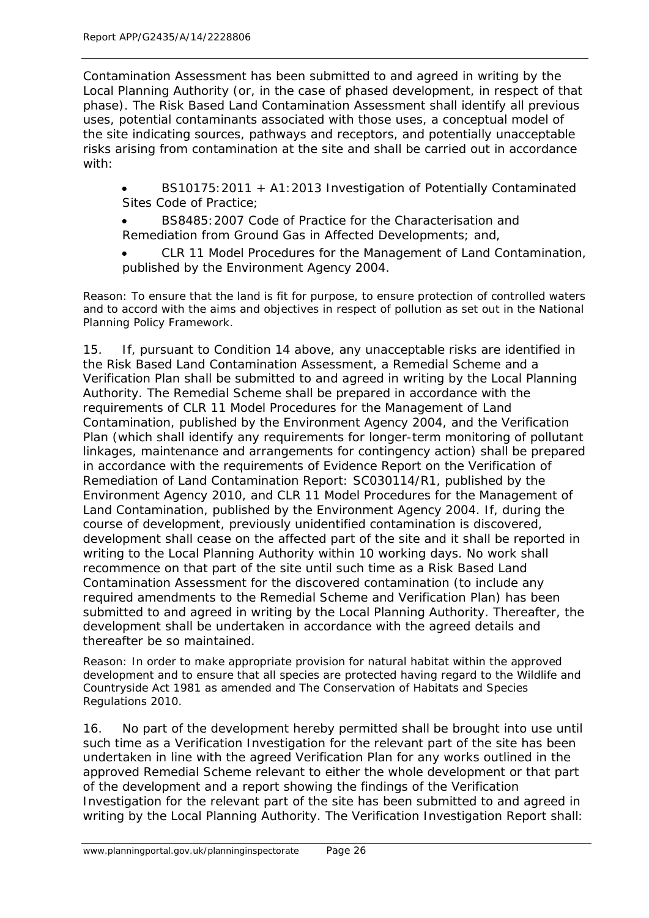Contamination Assessment has been submitted to and agreed in writing by the Local Planning Authority (or, in the case of phased development, in respect of that phase). The Risk Based Land Contamination Assessment shall identify all previous uses, potential contaminants associated with those uses, a conceptual model of the site indicating sources, pathways and receptors, and potentially unacceptable risks arising from contamination at the site and shall be carried out in accordance with:

• BS10175:2011 + A1:2013 Investigation of Potentially Contaminated Sites Code of Practice;

• BS8485:2007 Code of Practice for the Characterisation and Remediation from Ground Gas in Affected Developments; and,

• CLR 11 Model Procedures for the Management of Land Contamination, published by the Environment Agency 2004.

Reason: To ensure that the land is fit for purpose, to ensure protection of controlled waters and to accord with the aims and objectives in respect of pollution as set out in the National Planning Policy Framework.

15. If, pursuant to Condition 14 above, any unacceptable risks are identified in the Risk Based Land Contamination Assessment, a Remedial Scheme and a Verification Plan shall be submitted to and agreed in writing by the Local Planning Authority. The Remedial Scheme shall be prepared in accordance with the requirements of CLR 11 Model Procedures for the Management of Land Contamination, published by the Environment Agency 2004, and the Verification Plan (which shall identify any requirements for longer-term monitoring of pollutant linkages, maintenance and arrangements for contingency action) shall be prepared in accordance with the requirements of Evidence Report on the Verification of Remediation of Land Contamination Report: SC030114/R1, published by the Environment Agency 2010, and CLR 11 Model Procedures for the Management of Land Contamination, published by the Environment Agency 2004. If, during the course of development, previously unidentified contamination is discovered, development shall cease on the affected part of the site and it shall be reported in writing to the Local Planning Authority within 10 working days. No work shall recommence on that part of the site until such time as a Risk Based Land Contamination Assessment for the discovered contamination (to include any required amendments to the Remedial Scheme and Verification Plan) has been submitted to and agreed in writing by the Local Planning Authority. Thereafter, the development shall be undertaken in accordance with the agreed details and thereafter be so maintained.

Reason: In order to make appropriate provision for natural habitat within the approved development and to ensure that all species are protected having regard to the Wildlife and Countryside Act 1981 as amended and The Conservation of Habitats and Species Regulations 2010.

16. No part of the development hereby permitted shall be brought into use until such time as a Verification Investigation for the relevant part of the site has been undertaken in line with the agreed Verification Plan for any works outlined in the approved Remedial Scheme relevant to either the whole development or that part of the development and a report showing the findings of the Verification Investigation for the relevant part of the site has been submitted to and agreed in writing by the Local Planning Authority. The Verification Investigation Report shall: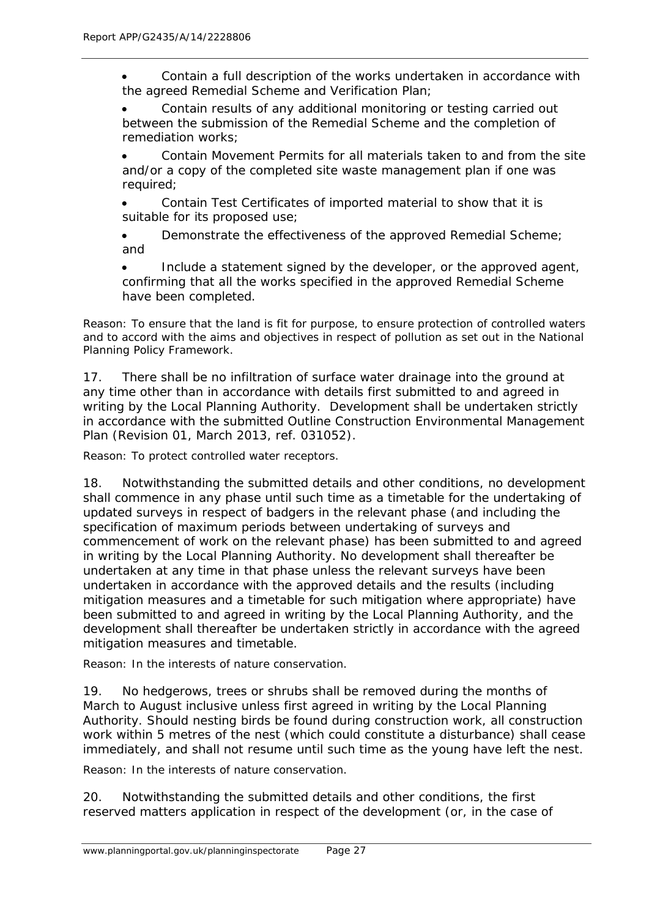• Contain a full description of the works undertaken in accordance with the agreed Remedial Scheme and Verification Plan;

Contain results of any additional monitoring or testing carried out between the submission of the Remedial Scheme and the completion of remediation works;

• Contain Movement Permits for all materials taken to and from the site and/or a copy of the completed site waste management plan if one was required;

• Contain Test Certificates of imported material to show that it is suitable for its proposed use;

Demonstrate the effectiveness of the approved Remedial Scheme; and

Include a statement signed by the developer, or the approved agent, confirming that all the works specified in the approved Remedial Scheme have been completed.

Reason: To ensure that the land is fit for purpose, to ensure protection of controlled waters and to accord with the aims and objectives in respect of pollution as set out in the National Planning Policy Framework.

17. There shall be no infiltration of surface water drainage into the ground at any time other than in accordance with details first submitted to and agreed in writing by the Local Planning Authority. Development shall be undertaken strictly in accordance with the submitted Outline Construction Environmental Management Plan (Revision 01, March 2013, ref. 031052).

Reason: To protect controlled water receptors.

18. Notwithstanding the submitted details and other conditions, no development shall commence in any phase until such time as a timetable for the undertaking of updated surveys in respect of badgers in the relevant phase (and including the specification of maximum periods between undertaking of surveys and commencement of work on the relevant phase) has been submitted to and agreed in writing by the Local Planning Authority. No development shall thereafter be undertaken at any time in that phase unless the relevant surveys have been undertaken in accordance with the approved details and the results (including mitigation measures and a timetable for such mitigation where appropriate) have been submitted to and agreed in writing by the Local Planning Authority, and the development shall thereafter be undertaken strictly in accordance with the agreed mitigation measures and timetable.

Reason: In the interests of nature conservation.

19. No hedgerows, trees or shrubs shall be removed during the months of March to August inclusive unless first agreed in writing by the Local Planning Authority. Should nesting birds be found during construction work, all construction work within 5 metres of the nest (which could constitute a disturbance) shall cease immediately, and shall not resume until such time as the young have left the nest.

Reason: In the interests of nature conservation.

20. Notwithstanding the submitted details and other conditions, the first reserved matters application in respect of the development (or, in the case of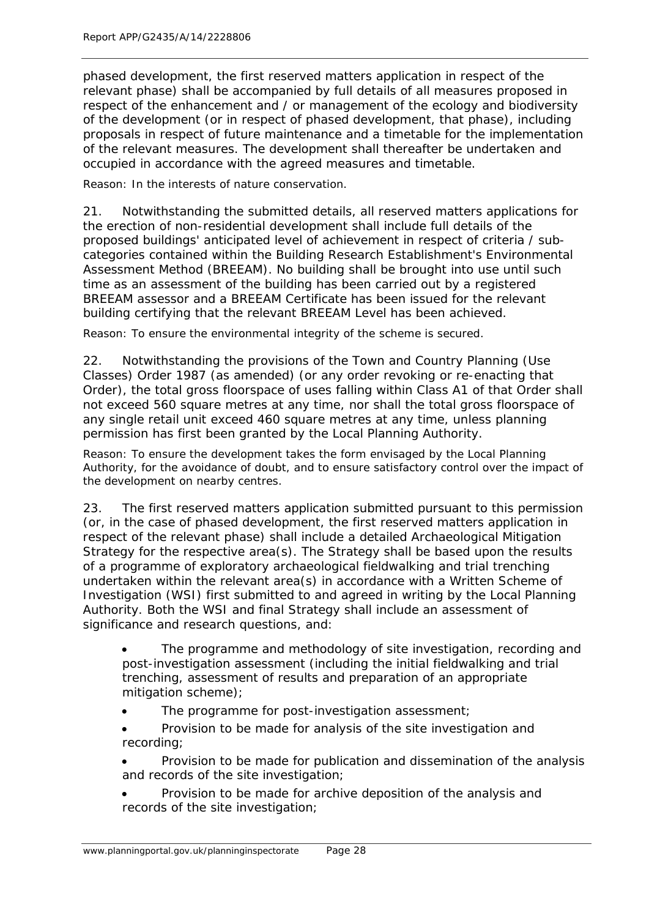phased development, the first reserved matters application in respect of the relevant phase) shall be accompanied by full details of all measures proposed in respect of the enhancement and / or management of the ecology and biodiversity of the development (or in respect of phased development, that phase), including proposals in respect of future maintenance and a timetable for the implementation of the relevant measures. The development shall thereafter be undertaken and occupied in accordance with the agreed measures and timetable.

Reason: In the interests of nature conservation.

21. Notwithstanding the submitted details, all reserved matters applications for the erection of non-residential development shall include full details of the proposed buildings' anticipated level of achievement in respect of criteria / subcategories contained within the Building Research Establishment's Environmental Assessment Method (BREEAM). No building shall be brought into use until such time as an assessment of the building has been carried out by a registered BREEAM assessor and a BREEAM Certificate has been issued for the relevant building certifying that the relevant BREEAM Level has been achieved.

Reason: To ensure the environmental integrity of the scheme is secured.

22. Notwithstanding the provisions of the Town and Country Planning (Use Classes) Order 1987 (as amended) (or any order revoking or re-enacting that Order), the total gross floorspace of uses falling within Class A1 of that Order shall not exceed 560 square metres at any time, nor shall the total gross floorspace of any single retail unit exceed 460 square metres at any time, unless planning permission has first been granted by the Local Planning Authority.

Reason: To ensure the development takes the form envisaged by the Local Planning Authority, for the avoidance of doubt, and to ensure satisfactory control over the impact of the development on nearby centres.

23. The first reserved matters application submitted pursuant to this permission (or, in the case of phased development, the first reserved matters application in respect of the relevant phase) shall include a detailed Archaeological Mitigation Strategy for the respective area(s). The Strategy shall be based upon the results of a programme of exploratory archaeological fieldwalking and trial trenching undertaken within the relevant area(s) in accordance with a Written Scheme of Investigation (WSI) first submitted to and agreed in writing by the Local Planning Authority. Both the WSI and final Strategy shall include an assessment of significance and research questions, and:

- The programme and methodology of site investigation, recording and post-investigation assessment (including the initial fieldwalking and trial trenching, assessment of results and preparation of an appropriate mitigation scheme);
- The programme for post-investigation assessment:
- Provision to be made for analysis of the site investigation and recording;
- Provision to be made for publication and dissemination of the analysis and records of the site investigation;
- Provision to be made for archive deposition of the analysis and records of the site investigation;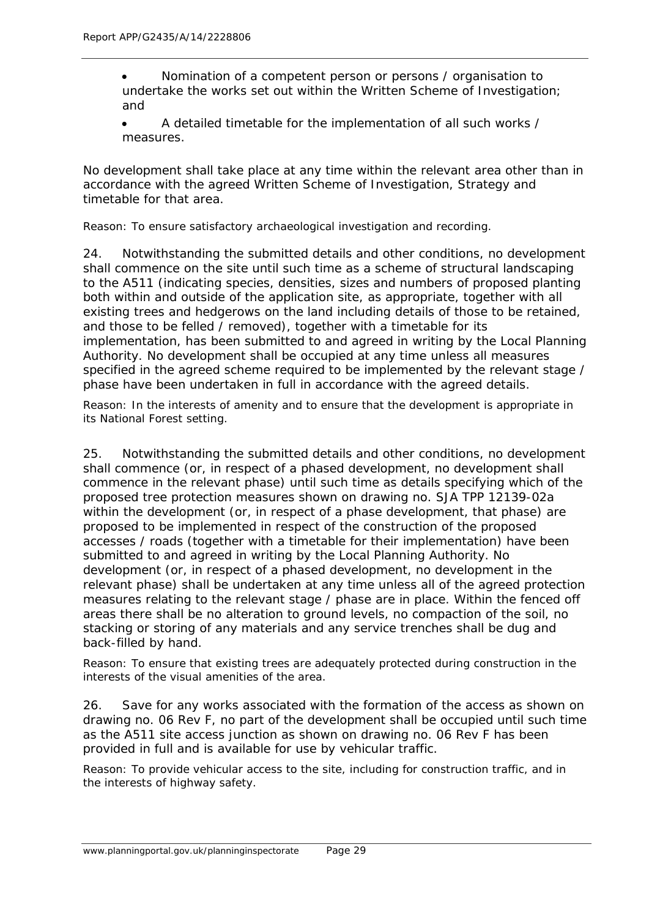- Nomination of a competent person or persons / organisation to undertake the works set out within the Written Scheme of Investigation; and
- A detailed timetable for the implementation of all such works / measures.

No development shall take place at any time within the relevant area other than in accordance with the agreed Written Scheme of Investigation, Strategy and timetable for that area.

Reason: To ensure satisfactory archaeological investigation and recording.

24. Notwithstanding the submitted details and other conditions, no development shall commence on the site until such time as a scheme of structural landscaping to the A511 (indicating species, densities, sizes and numbers of proposed planting both within and outside of the application site, as appropriate, together with all existing trees and hedgerows on the land including details of those to be retained, and those to be felled / removed), together with a timetable for its implementation, has been submitted to and agreed in writing by the Local Planning Authority. No development shall be occupied at any time unless all measures specified in the agreed scheme required to be implemented by the relevant stage / phase have been undertaken in full in accordance with the agreed details.

Reason: In the interests of amenity and to ensure that the development is appropriate in its National Forest setting.

25. Notwithstanding the submitted details and other conditions, no development shall commence (or, in respect of a phased development, no development shall commence in the relevant phase) until such time as details specifying which of the proposed tree protection measures shown on drawing no. SJA TPP 12139-02a within the development (or, in respect of a phase development, that phase) are proposed to be implemented in respect of the construction of the proposed accesses / roads (together with a timetable for their implementation) have been submitted to and agreed in writing by the Local Planning Authority. No development (or, in respect of a phased development, no development in the relevant phase) shall be undertaken at any time unless all of the agreed protection measures relating to the relevant stage / phase are in place. Within the fenced off areas there shall be no alteration to ground levels, no compaction of the soil, no stacking or storing of any materials and any service trenches shall be dug and back-filled by hand.

Reason: To ensure that existing trees are adequately protected during construction in the interests of the visual amenities of the area.

26. Save for any works associated with the formation of the access as shown on drawing no. 06 Rev F, no part of the development shall be occupied until such time as the A511 site access junction as shown on drawing no. 06 Rev F has been provided in full and is available for use by vehicular traffic.

Reason: To provide vehicular access to the site, including for construction traffic, and in the interests of highway safety.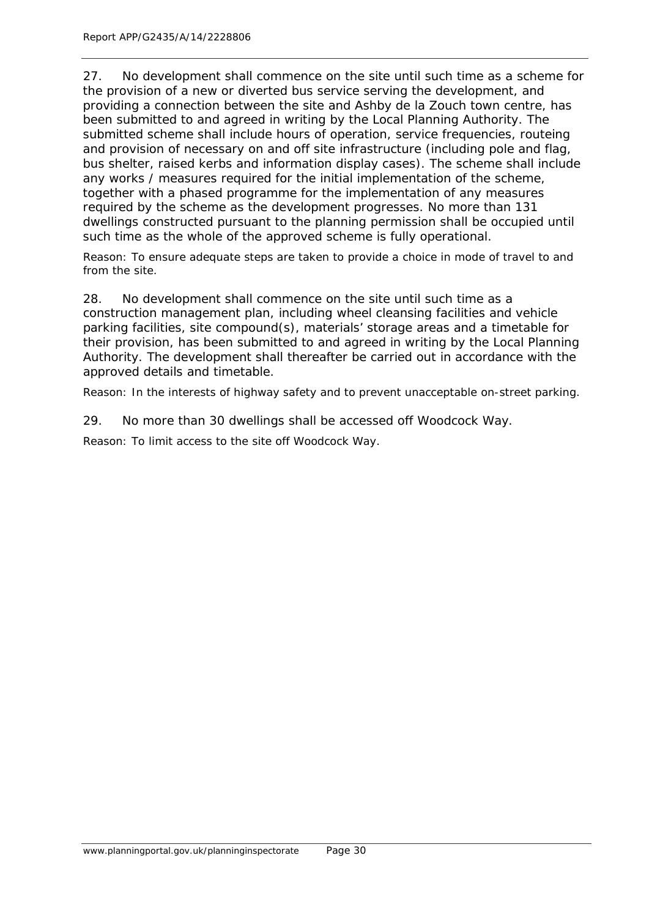27. No development shall commence on the site until such time as a scheme for the provision of a new or diverted bus service serving the development, and providing a connection between the site and Ashby de la Zouch town centre, has been submitted to and agreed in writing by the Local Planning Authority. The submitted scheme shall include hours of operation, service frequencies, routeing and provision of necessary on and off site infrastructure (including pole and flag, bus shelter, raised kerbs and information display cases). The scheme shall include any works / measures required for the initial implementation of the scheme, together with a phased programme for the implementation of any measures required by the scheme as the development progresses. No more than 131 dwellings constructed pursuant to the planning permission shall be occupied until such time as the whole of the approved scheme is fully operational.

Reason: To ensure adequate steps are taken to provide a choice in mode of travel to and from the site.

28. No development shall commence on the site until such time as a construction management plan, including wheel cleansing facilities and vehicle parking facilities, site compound(s), materials' storage areas and a timetable for their provision, has been submitted to and agreed in writing by the Local Planning Authority. The development shall thereafter be carried out in accordance with the approved details and timetable.

Reason: In the interests of highway safety and to prevent unacceptable on-street parking.

29. No more than 30 dwellings shall be accessed off Woodcock Way.

Reason: To limit access to the site off Woodcock Way.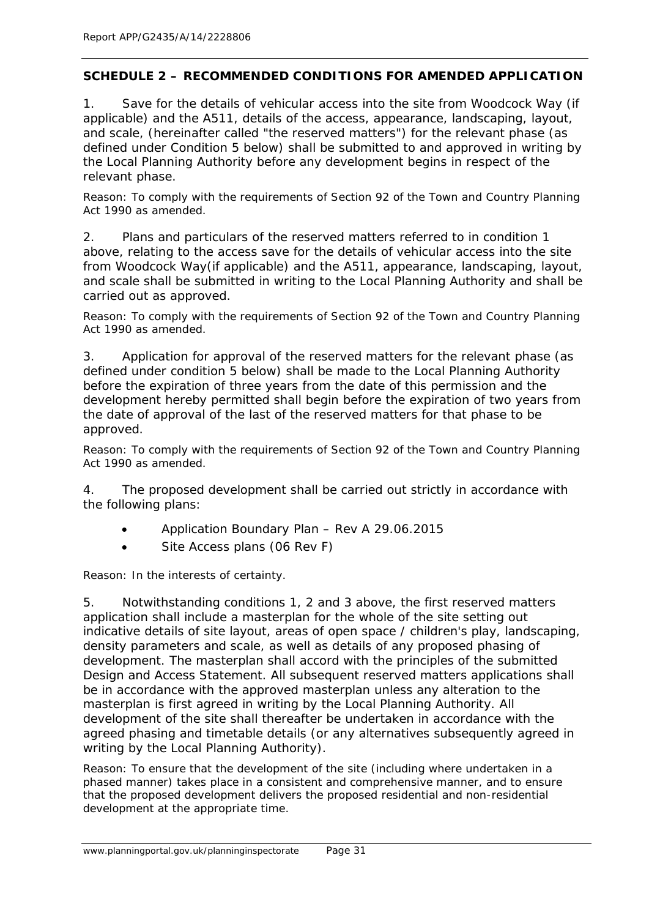## **SCHEDULE 2 – RECOMMENDED CONDITIONS FOR AMENDED APPLICATION**

1. Save for the details of vehicular access into the site from Woodcock Way (if applicable) and the A511, details of the access, appearance, landscaping, layout, and scale, (hereinafter called "the reserved matters") for the relevant phase (as defined under Condition 5 below) shall be submitted to and approved in writing by the Local Planning Authority before any development begins in respect of the relevant phase.

Reason: To comply with the requirements of Section 92 of the Town and Country Planning Act 1990 as amended.

2. Plans and particulars of the reserved matters referred to in condition 1 above, relating to the access save for the details of vehicular access into the site from Woodcock Way(if applicable) and the A511, appearance, landscaping, layout, and scale shall be submitted in writing to the Local Planning Authority and shall be carried out as approved.

Reason: To comply with the requirements of Section 92 of the Town and Country Planning Act 1990 as amended.

3. Application for approval of the reserved matters for the relevant phase (as defined under condition 5 below) shall be made to the Local Planning Authority before the expiration of three years from the date of this permission and the development hereby permitted shall begin before the expiration of two years from the date of approval of the last of the reserved matters for that phase to be approved.

Reason: To comply with the requirements of Section 92 of the Town and Country Planning Act 1990 as amended.

4. The proposed development shall be carried out strictly in accordance with the following plans:

- Application Boundary Plan Rev A 29.06.2015
- Site Access plans (06 Rev F)

Reason: In the interests of certainty.

5. Notwithstanding conditions 1, 2 and 3 above, the first reserved matters application shall include a masterplan for the whole of the site setting out indicative details of site layout, areas of open space / children's play, landscaping, density parameters and scale, as well as details of any proposed phasing of development. The masterplan shall accord with the principles of the submitted Design and Access Statement. All subsequent reserved matters applications shall be in accordance with the approved masterplan unless any alteration to the masterplan is first agreed in writing by the Local Planning Authority. All development of the site shall thereafter be undertaken in accordance with the agreed phasing and timetable details (or any alternatives subsequently agreed in writing by the Local Planning Authority).

Reason: To ensure that the development of the site (including where undertaken in a phased manner) takes place in a consistent and comprehensive manner, and to ensure that the proposed development delivers the proposed residential and non-residential development at the appropriate time.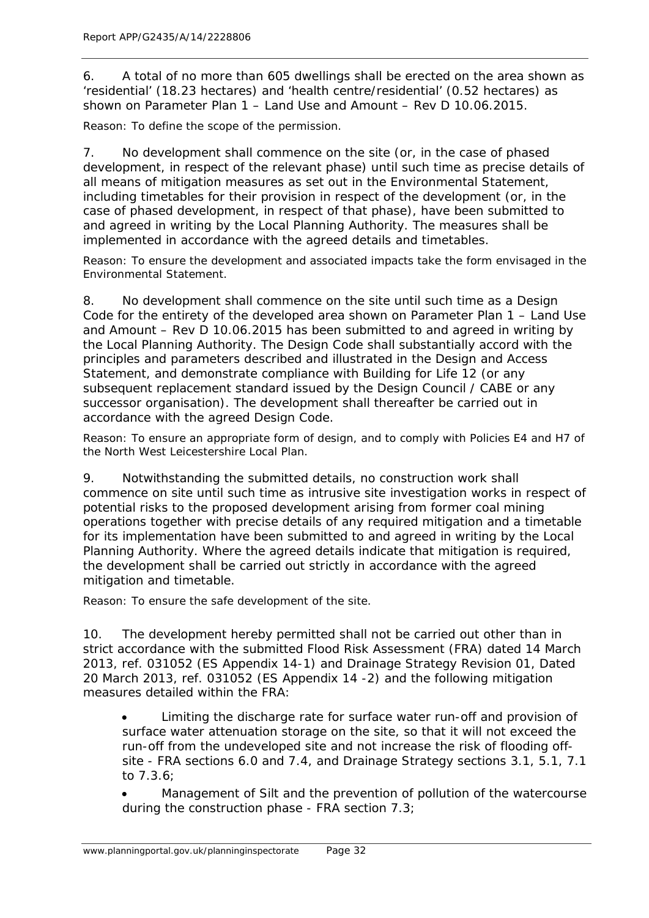6. A total of no more than 605 dwellings shall be erected on the area shown as 'residential' (18.23 hectares) and 'health centre/residential' (0.52 hectares) as shown on Parameter Plan 1 – Land Use and Amount – Rev D 10.06.2015.

Reason: To define the scope of the permission.

7. No development shall commence on the site (or, in the case of phased development, in respect of the relevant phase) until such time as precise details of all means of mitigation measures as set out in the Environmental Statement, including timetables for their provision in respect of the development (or, in the case of phased development, in respect of that phase), have been submitted to and agreed in writing by the Local Planning Authority. The measures shall be implemented in accordance with the agreed details and timetables.

Reason: To ensure the development and associated impacts take the form envisaged in the Environmental Statement.

8. No development shall commence on the site until such time as a Design Code for the entirety of the developed area shown on Parameter Plan 1 – Land Use and Amount – Rev D 10.06.2015 has been submitted to and agreed in writing by the Local Planning Authority. The Design Code shall substantially accord with the principles and parameters described and illustrated in the Design and Access Statement, and demonstrate compliance with Building for Life 12 (or any subsequent replacement standard issued by the Design Council / CABE or any successor organisation). The development shall thereafter be carried out in accordance with the agreed Design Code.

Reason: To ensure an appropriate form of design, and to comply with Policies E4 and H7 of the North West Leicestershire Local Plan.

9. Notwithstanding the submitted details, no construction work shall commence on site until such time as intrusive site investigation works in respect of potential risks to the proposed development arising from former coal mining operations together with precise details of any required mitigation and a timetable for its implementation have been submitted to and agreed in writing by the Local Planning Authority. Where the agreed details indicate that mitigation is required, the development shall be carried out strictly in accordance with the agreed mitigation and timetable.

Reason: To ensure the safe development of the site.

10. The development hereby permitted shall not be carried out other than in strict accordance with the submitted Flood Risk Assessment (FRA) dated 14 March 2013, ref. 031052 (ES Appendix 14-1) and Drainage Strategy Revision 01, Dated 20 March 2013, ref. 031052 (ES Appendix 14 -2) and the following mitigation measures detailed within the FRA:

• Limiting the discharge rate for surface water run-off and provision of surface water attenuation storage on the site, so that it will not exceed the run-off from the undeveloped site and not increase the risk of flooding offsite - FRA sections 6.0 and 7.4, and Drainage Strategy sections 3.1, 5.1, 7.1 to 7.3.6;

• Management of Silt and the prevention of pollution of the watercourse during the construction phase - FRA section 7.3;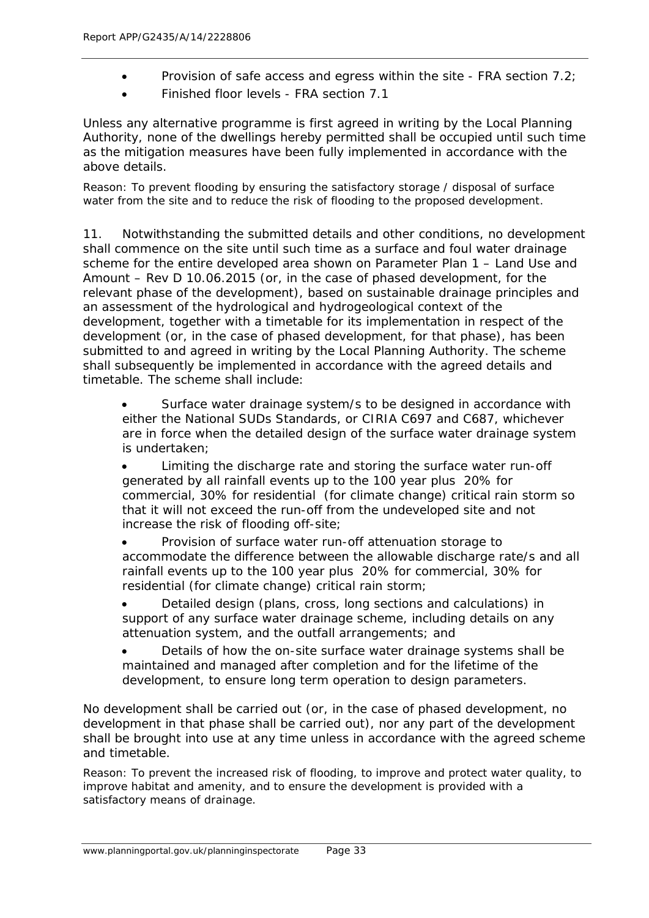- Provision of safe access and egress within the site FRA section 7.2;
- Finished floor levels FRA section 7.1

Unless any alternative programme is first agreed in writing by the Local Planning Authority, none of the dwellings hereby permitted shall be occupied until such time as the mitigation measures have been fully implemented in accordance with the above details.

Reason: To prevent flooding by ensuring the satisfactory storage / disposal of surface water from the site and to reduce the risk of flooding to the proposed development.

11. Notwithstanding the submitted details and other conditions, no development shall commence on the site until such time as a surface and foul water drainage scheme for the entire developed area shown on Parameter Plan 1 – Land Use and Amount – Rev D 10.06.2015 (or, in the case of phased development, for the relevant phase of the development), based on sustainable drainage principles and an assessment of the hydrological and hydrogeological context of the development, together with a timetable for its implementation in respect of the development (or, in the case of phased development, for that phase), has been submitted to and agreed in writing by the Local Planning Authority. The scheme shall subsequently be implemented in accordance with the agreed details and timetable. The scheme shall include:

Surface water drainage system/s to be designed in accordance with either the National SUDs Standards, or CIRIA C697 and C687, whichever are in force when the detailed design of the surface water drainage system is undertaken;

• Limiting the discharge rate and storing the surface water run-off generated by all rainfall events up to the 100 year plus 20% for commercial, 30% for residential (for climate change) critical rain storm so that it will not exceed the run-off from the undeveloped site and not increase the risk of flooding off-site;

• Provision of surface water run-off attenuation storage to accommodate the difference between the allowable discharge rate/s and all rainfall events up to the 100 year plus 20% for commercial, 30% for residential (for climate change) critical rain storm;

• Detailed design (plans, cross, long sections and calculations) in support of any surface water drainage scheme, including details on any attenuation system, and the outfall arrangements; and

• Details of how the on-site surface water drainage systems shall be maintained and managed after completion and for the lifetime of the development, to ensure long term operation to design parameters.

No development shall be carried out (or, in the case of phased development, no development in that phase shall be carried out), nor any part of the development shall be brought into use at any time unless in accordance with the agreed scheme and timetable.

Reason: To prevent the increased risk of flooding, to improve and protect water quality, to improve habitat and amenity, and to ensure the development is provided with a satisfactory means of drainage.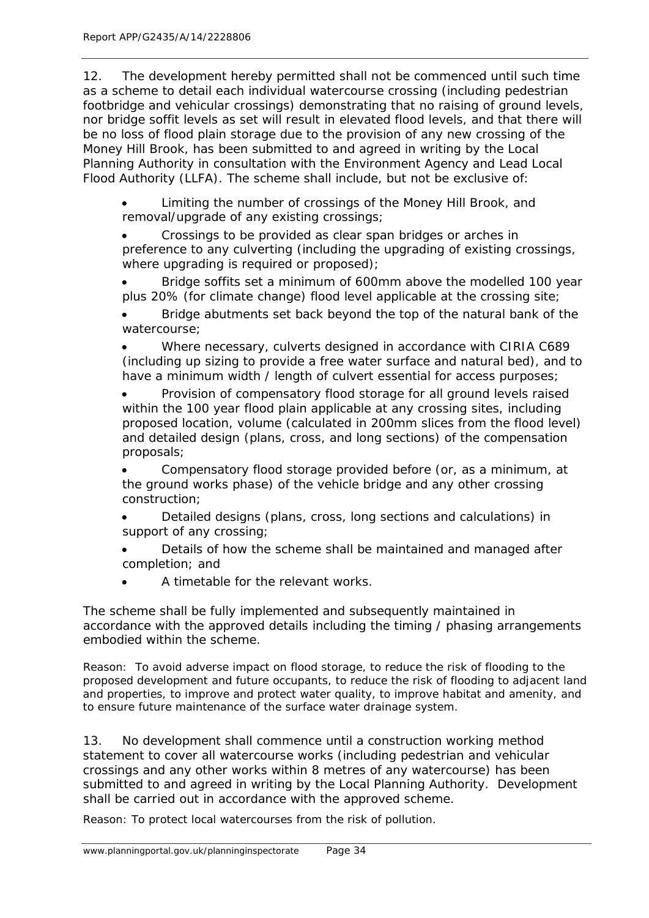12. The development hereby permitted shall not be commenced until such time as a scheme to detail each individual watercourse crossing (including pedestrian footbridge and vehicular crossings) demonstrating that no raising of ground levels, nor bridge soffit levels as set will result in elevated flood levels, and that there will be no loss of flood plain storage due to the provision of any new crossing of the Money Hill Brook, has been submitted to and agreed in writing by the Local Planning Authority in consultation with the Environment Agency and Lead Local Flood Authority (LLFA). The scheme shall include, but not be exclusive of:

• Limiting the number of crossings of the Money Hill Brook, and removal/upgrade of any existing crossings;

• Crossings to be provided as clear span bridges or arches in preference to any culverting (including the upgrading of existing crossings, where upgrading is required or proposed);

• Bridge soffits set a minimum of 600mm above the modelled 100 year plus 20% (for climate change) flood level applicable at the crossing site;

• Bridge abutments set back beyond the top of the natural bank of the watercourse;

• Where necessary, culverts designed in accordance with CIRIA C689 (including up sizing to provide a free water surface and natural bed), and to have a minimum width / length of culvert essential for access purposes;

• Provision of compensatory flood storage for all ground levels raised within the 100 year flood plain applicable at any crossing sites, including proposed location, volume (calculated in 200mm slices from the flood level) and detailed design (plans, cross, and long sections) of the compensation proposals;

• Compensatory flood storage provided before (or, as a minimum, at the ground works phase) of the vehicle bridge and any other crossing construction;

• Detailed designs (plans, cross, long sections and calculations) in support of any crossing;

• Details of how the scheme shall be maintained and managed after completion; and

• A timetable for the relevant works.

The scheme shall be fully implemented and subsequently maintained in accordance with the approved details including the timing / phasing arrangements embodied within the scheme.

Reason: To avoid adverse impact on flood storage, to reduce the risk of flooding to the proposed development and future occupants, to reduce the risk of flooding to adjacent land and properties, to improve and protect water quality, to improve habitat and amenity, and to ensure future maintenance of the surface water drainage system.

13. No development shall commence until a construction working method statement to cover all watercourse works (including pedestrian and vehicular crossings and any other works within 8 metres of any watercourse) has been submitted to and agreed in writing by the Local Planning Authority. Development shall be carried out in accordance with the approved scheme.

Reason: To protect local watercourses from the risk of pollution.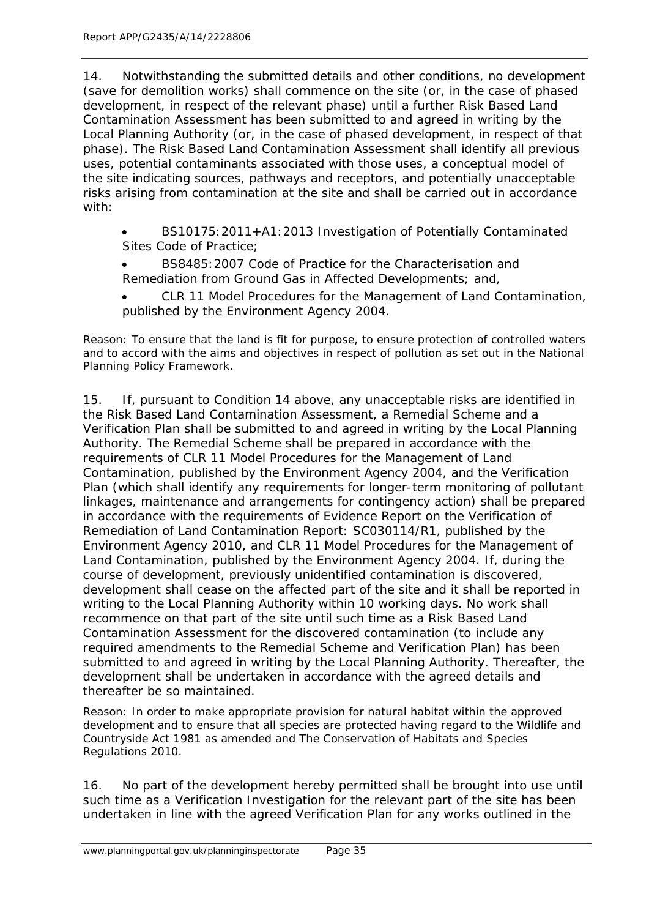14. Notwithstanding the submitted details and other conditions, no development (save for demolition works) shall commence on the site (or, in the case of phased development, in respect of the relevant phase) until a further Risk Based Land Contamination Assessment has been submitted to and agreed in writing by the Local Planning Authority (or, in the case of phased development, in respect of that phase). The Risk Based Land Contamination Assessment shall identify all previous uses, potential contaminants associated with those uses, a conceptual model of the site indicating sources, pathways and receptors, and potentially unacceptable risks arising from contamination at the site and shall be carried out in accordance with:

• BS10175:2011+A1:2013 Investigation of Potentially Contaminated Sites Code of Practice;

- BS8485:2007 Code of Practice for the Characterisation and Remediation from Ground Gas in Affected Developments; and,
- CLR 11 Model Procedures for the Management of Land Contamination, published by the Environment Agency 2004.

Reason: To ensure that the land is fit for purpose, to ensure protection of controlled waters and to accord with the aims and objectives in respect of pollution as set out in the National Planning Policy Framework.

15. If, pursuant to Condition 14 above, any unacceptable risks are identified in the Risk Based Land Contamination Assessment, a Remedial Scheme and a Verification Plan shall be submitted to and agreed in writing by the Local Planning Authority. The Remedial Scheme shall be prepared in accordance with the requirements of CLR 11 Model Procedures for the Management of Land Contamination, published by the Environment Agency 2004, and the Verification Plan (which shall identify any requirements for longer-term monitoring of pollutant linkages, maintenance and arrangements for contingency action) shall be prepared in accordance with the requirements of Evidence Report on the Verification of Remediation of Land Contamination Report: SC030114/R1, published by the Environment Agency 2010, and CLR 11 Model Procedures for the Management of Land Contamination, published by the Environment Agency 2004. If, during the course of development, previously unidentified contamination is discovered, development shall cease on the affected part of the site and it shall be reported in writing to the Local Planning Authority within 10 working days. No work shall recommence on that part of the site until such time as a Risk Based Land Contamination Assessment for the discovered contamination (to include any required amendments to the Remedial Scheme and Verification Plan) has been submitted to and agreed in writing by the Local Planning Authority. Thereafter, the development shall be undertaken in accordance with the agreed details and thereafter be so maintained.

Reason: In order to make appropriate provision for natural habitat within the approved development and to ensure that all species are protected having regard to the Wildlife and Countryside Act 1981 as amended and The Conservation of Habitats and Species Regulations 2010.

16. No part of the development hereby permitted shall be brought into use until such time as a Verification Investigation for the relevant part of the site has been undertaken in line with the agreed Verification Plan for any works outlined in the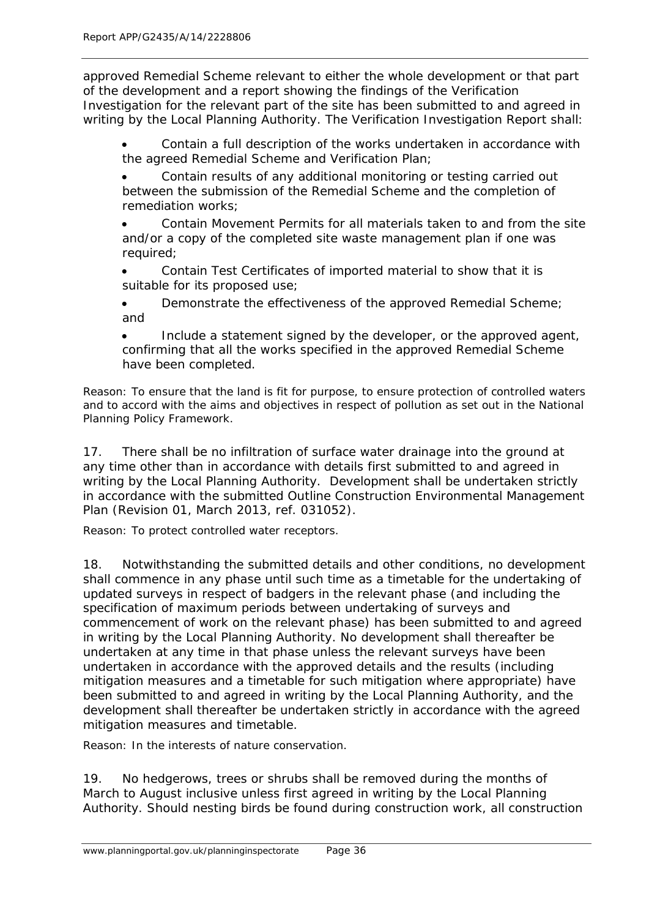approved Remedial Scheme relevant to either the whole development or that part of the development and a report showing the findings of the Verification Investigation for the relevant part of the site has been submitted to and agreed in writing by the Local Planning Authority. The Verification Investigation Report shall:

Contain a full description of the works undertaken in accordance with the agreed Remedial Scheme and Verification Plan;

• Contain results of any additional monitoring or testing carried out between the submission of the Remedial Scheme and the completion of remediation works;

• Contain Movement Permits for all materials taken to and from the site and/or a copy of the completed site waste management plan if one was required;

• Contain Test Certificates of imported material to show that it is suitable for its proposed use;

Demonstrate the effectiveness of the approved Remedial Scheme; and

Include a statement signed by the developer, or the approved agent, confirming that all the works specified in the approved Remedial Scheme have been completed.

Reason: To ensure that the land is fit for purpose, to ensure protection of controlled waters and to accord with the aims and objectives in respect of pollution as set out in the National Planning Policy Framework.

17. There shall be no infiltration of surface water drainage into the ground at any time other than in accordance with details first submitted to and agreed in writing by the Local Planning Authority. Development shall be undertaken strictly in accordance with the submitted Outline Construction Environmental Management Plan (Revision 01, March 2013, ref. 031052).

Reason: To protect controlled water receptors.

18. Notwithstanding the submitted details and other conditions, no development shall commence in any phase until such time as a timetable for the undertaking of updated surveys in respect of badgers in the relevant phase (and including the specification of maximum periods between undertaking of surveys and commencement of work on the relevant phase) has been submitted to and agreed in writing by the Local Planning Authority. No development shall thereafter be undertaken at any time in that phase unless the relevant surveys have been undertaken in accordance with the approved details and the results (including mitigation measures and a timetable for such mitigation where appropriate) have been submitted to and agreed in writing by the Local Planning Authority, and the development shall thereafter be undertaken strictly in accordance with the agreed mitigation measures and timetable.

Reason: In the interests of nature conservation.

19. No hedgerows, trees or shrubs shall be removed during the months of March to August inclusive unless first agreed in writing by the Local Planning Authority. Should nesting birds be found during construction work, all construction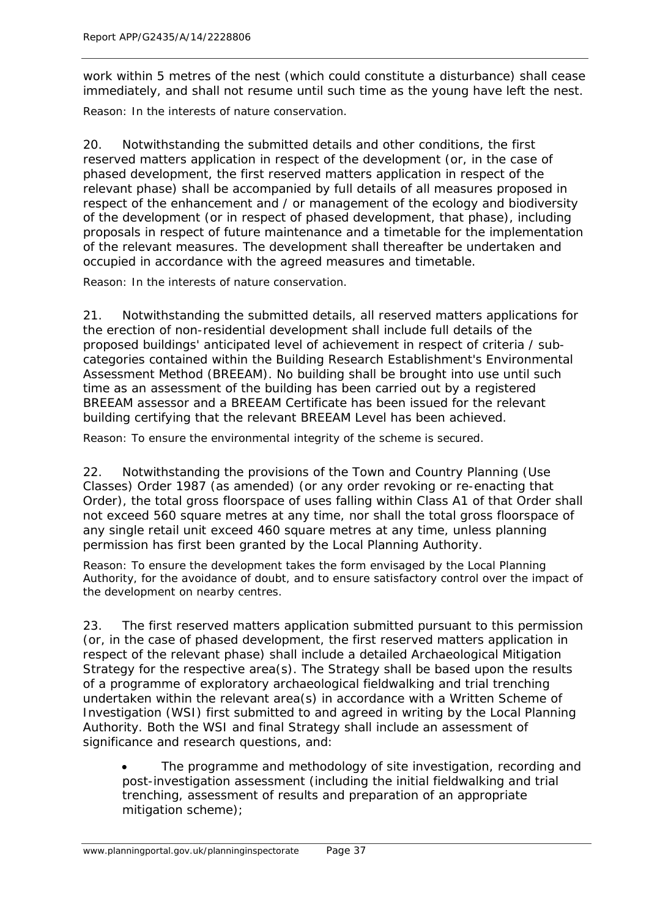work within 5 metres of the nest (which could constitute a disturbance) shall cease immediately, and shall not resume until such time as the young have left the nest.

Reason: In the interests of nature conservation.

20. Notwithstanding the submitted details and other conditions, the first reserved matters application in respect of the development (or, in the case of phased development, the first reserved matters application in respect of the relevant phase) shall be accompanied by full details of all measures proposed in respect of the enhancement and / or management of the ecology and biodiversity of the development (or in respect of phased development, that phase), including proposals in respect of future maintenance and a timetable for the implementation of the relevant measures. The development shall thereafter be undertaken and occupied in accordance with the agreed measures and timetable.

Reason: In the interests of nature conservation.

21. Notwithstanding the submitted details, all reserved matters applications for the erection of non-residential development shall include full details of the proposed buildings' anticipated level of achievement in respect of criteria / subcategories contained within the Building Research Establishment's Environmental Assessment Method (BREEAM). No building shall be brought into use until such time as an assessment of the building has been carried out by a registered BREEAM assessor and a BREEAM Certificate has been issued for the relevant building certifying that the relevant BREEAM Level has been achieved.

Reason: To ensure the environmental integrity of the scheme is secured.

22. Notwithstanding the provisions of the Town and Country Planning (Use Classes) Order 1987 (as amended) (or any order revoking or re-enacting that Order), the total gross floorspace of uses falling within Class A1 of that Order shall not exceed 560 square metres at any time, nor shall the total gross floorspace of any single retail unit exceed 460 square metres at any time, unless planning permission has first been granted by the Local Planning Authority.

Reason: To ensure the development takes the form envisaged by the Local Planning Authority, for the avoidance of doubt, and to ensure satisfactory control over the impact of the development on nearby centres.

23. The first reserved matters application submitted pursuant to this permission (or, in the case of phased development, the first reserved matters application in respect of the relevant phase) shall include a detailed Archaeological Mitigation Strategy for the respective area(s). The Strategy shall be based upon the results of a programme of exploratory archaeological fieldwalking and trial trenching undertaken within the relevant area(s) in accordance with a Written Scheme of Investigation (WSI) first submitted to and agreed in writing by the Local Planning Authority. Both the WSI and final Strategy shall include an assessment of significance and research questions, and:

The programme and methodology of site investigation, recording and post-investigation assessment (including the initial fieldwalking and trial trenching, assessment of results and preparation of an appropriate mitigation scheme);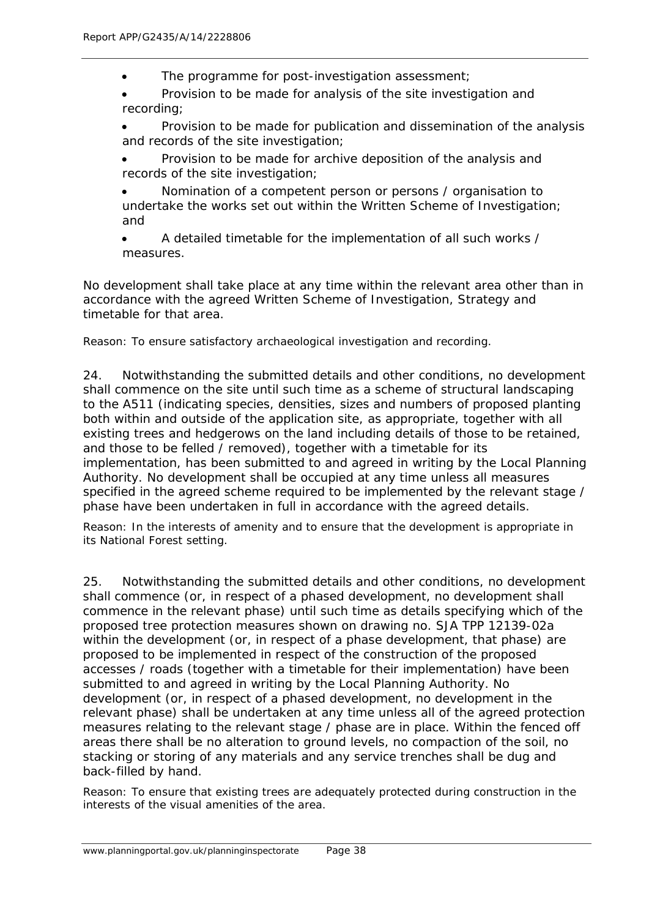The programme for post-investigation assessment;

• Provision to be made for analysis of the site investigation and recording;

• Provision to be made for publication and dissemination of the analysis and records of the site investigation;

• Provision to be made for archive deposition of the analysis and records of the site investigation;

• Nomination of a competent person or persons / organisation to undertake the works set out within the Written Scheme of Investigation; and

• A detailed timetable for the implementation of all such works / measures.

No development shall take place at any time within the relevant area other than in accordance with the agreed Written Scheme of Investigation, Strategy and timetable for that area.

Reason: To ensure satisfactory archaeological investigation and recording.

24. Notwithstanding the submitted details and other conditions, no development shall commence on the site until such time as a scheme of structural landscaping to the A511 (indicating species, densities, sizes and numbers of proposed planting both within and outside of the application site, as appropriate, together with all existing trees and hedgerows on the land including details of those to be retained, and those to be felled / removed), together with a timetable for its implementation, has been submitted to and agreed in writing by the Local Planning Authority. No development shall be occupied at any time unless all measures specified in the agreed scheme required to be implemented by the relevant stage / phase have been undertaken in full in accordance with the agreed details.

Reason: In the interests of amenity and to ensure that the development is appropriate in its National Forest setting.

25. Notwithstanding the submitted details and other conditions, no development shall commence (or, in respect of a phased development, no development shall commence in the relevant phase) until such time as details specifying which of the proposed tree protection measures shown on drawing no. SJA TPP 12139-02a within the development (or, in respect of a phase development, that phase) are proposed to be implemented in respect of the construction of the proposed accesses / roads (together with a timetable for their implementation) have been submitted to and agreed in writing by the Local Planning Authority. No development (or, in respect of a phased development, no development in the relevant phase) shall be undertaken at any time unless all of the agreed protection measures relating to the relevant stage / phase are in place. Within the fenced off areas there shall be no alteration to ground levels, no compaction of the soil, no stacking or storing of any materials and any service trenches shall be dug and back-filled by hand.

Reason: To ensure that existing trees are adequately protected during construction in the interests of the visual amenities of the area.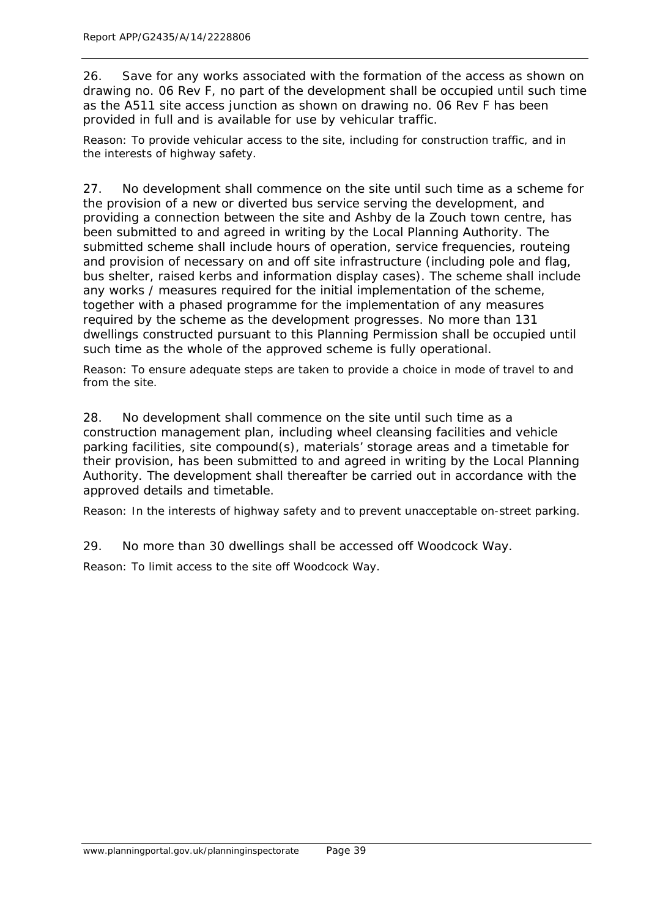26. Save for any works associated with the formation of the access as shown on drawing no. 06 Rev F, no part of the development shall be occupied until such time as the A511 site access junction as shown on drawing no. 06 Rev F has been provided in full and is available for use by vehicular traffic.

Reason: To provide vehicular access to the site, including for construction traffic, and in the interests of highway safety.

27. No development shall commence on the site until such time as a scheme for the provision of a new or diverted bus service serving the development, and providing a connection between the site and Ashby de la Zouch town centre, has been submitted to and agreed in writing by the Local Planning Authority. The submitted scheme shall include hours of operation, service frequencies, routeing and provision of necessary on and off site infrastructure (including pole and flag, bus shelter, raised kerbs and information display cases). The scheme shall include any works / measures required for the initial implementation of the scheme, together with a phased programme for the implementation of any measures required by the scheme as the development progresses. No more than 131 dwellings constructed pursuant to this Planning Permission shall be occupied until such time as the whole of the approved scheme is fully operational.

Reason: To ensure adequate steps are taken to provide a choice in mode of travel to and from the site.

28. No development shall commence on the site until such time as a construction management plan, including wheel cleansing facilities and vehicle parking facilities, site compound(s), materials' storage areas and a timetable for their provision, has been submitted to and agreed in writing by the Local Planning Authority. The development shall thereafter be carried out in accordance with the approved details and timetable.

Reason: In the interests of highway safety and to prevent unacceptable on-street parking.

29. No more than 30 dwellings shall be accessed off Woodcock Way.

Reason: To limit access to the site off Woodcock Way.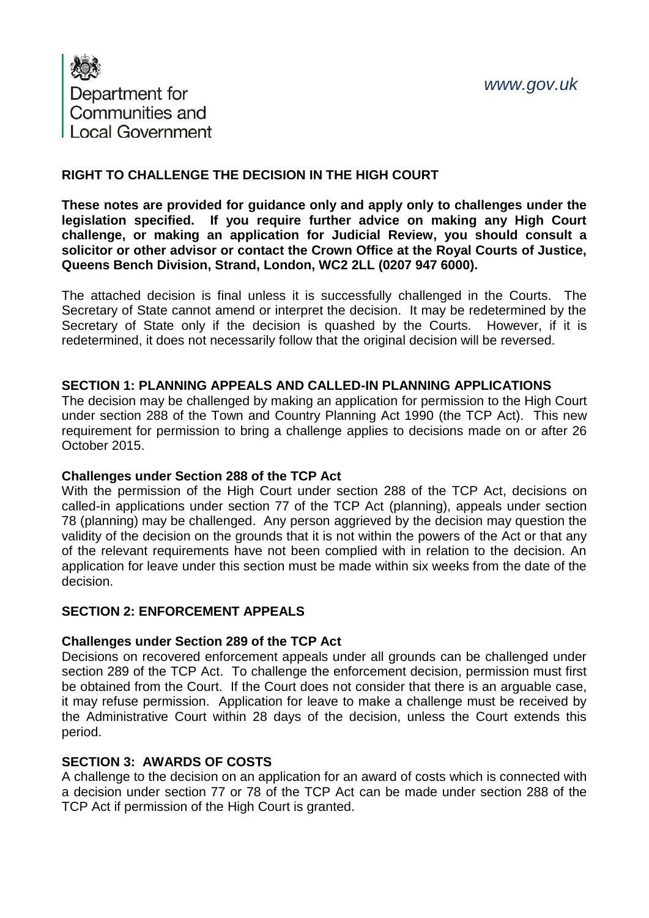

## **RIGHT TO CHALLENGE THE DECISION IN THE HIGH COURT**

**These notes are provided for guidance only and apply only to challenges under the legislation specified. If you require further advice on making any High Court challenge, or making an application for Judicial Review, you should consult a solicitor or other advisor or contact the Crown Office at the Royal Courts of Justice, Queens Bench Division, Strand, London, WC2 2LL (0207 947 6000).**

The attached decision is final unless it is successfully challenged in the Courts. The Secretary of State cannot amend or interpret the decision. It may be redetermined by the Secretary of State only if the decision is quashed by the Courts. However, if it is redetermined, it does not necessarily follow that the original decision will be reversed.

#### **SECTION 1: PLANNING APPEALS AND CALLED-IN PLANNING APPLICATIONS**

The decision may be challenged by making an application for permission to the High Court under section 288 of the Town and Country Planning Act 1990 (the TCP Act). This new requirement for permission to bring a challenge applies to decisions made on or after 26 October 2015.

## **Challenges under Section 288 of the TCP Act**

With the permission of the High Court under section 288 of the TCP Act, decisions on called-in applications under section 77 of the TCP Act (planning), appeals under section 78 (planning) may be challenged. Any person aggrieved by the decision may question the validity of the decision on the grounds that it is not within the powers of the Act or that any of the relevant requirements have not been complied with in relation to the decision. An application for leave under this section must be made within six weeks from the date of the decision.

## **SECTION 2: ENFORCEMENT APPEALS**

## **Challenges under Section 289 of the TCP Act**

Decisions on recovered enforcement appeals under all grounds can be challenged under section 289 of the TCP Act. To challenge the enforcement decision, permission must first be obtained from the Court. If the Court does not consider that there is an arguable case, it may refuse permission. Application for leave to make a challenge must be received by the Administrative Court within 28 days of the decision, unless the Court extends this period.

## **SECTION 3: AWARDS OF COSTS**

A challenge to the decision on an application for an award of costs which is connected with a decision under section 77 or 78 of the TCP Act can be made under section 288 of the TCP Act if permission of the High Court is granted.